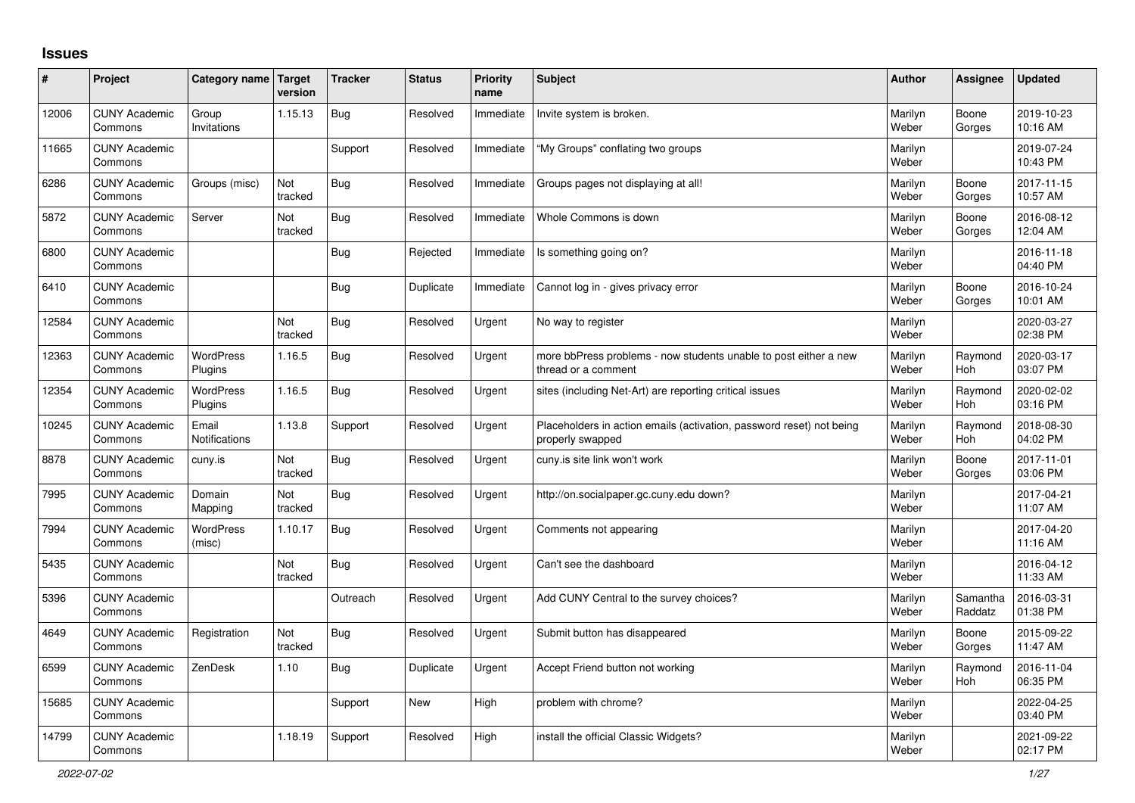## **Issues**

| ∦     | Project                         | Category name Target          | version        | <b>Tracker</b> | <b>Status</b> | <b>Priority</b><br>name | <b>Subject</b>                                                                           | Author           | Assignee              | <b>Updated</b>         |
|-------|---------------------------------|-------------------------------|----------------|----------------|---------------|-------------------------|------------------------------------------------------------------------------------------|------------------|-----------------------|------------------------|
| 12006 | <b>CUNY Academic</b><br>Commons | Group<br>Invitations          | 1.15.13        | Bug            | Resolved      | Immediate               | Invite system is broken.                                                                 | Marilyn<br>Weber | Boone<br>Gorges       | 2019-10-23<br>10:16 AM |
| 11665 | <b>CUNY Academic</b><br>Commons |                               |                | Support        | Resolved      | Immediate               | "My Groups" conflating two groups                                                        | Marilyn<br>Weber |                       | 2019-07-24<br>10:43 PM |
| 6286  | <b>CUNY Academic</b><br>Commons | Groups (misc)                 | Not<br>tracked | Bug            | Resolved      | Immediate               | Groups pages not displaying at all!                                                      | Marilyn<br>Weber | Boone<br>Gorges       | 2017-11-15<br>10:57 AM |
| 5872  | <b>CUNY Academic</b><br>Commons | Server                        | Not<br>tracked | Bug            | Resolved      | Immediate               | Whole Commons is down                                                                    | Marilyn<br>Weber | Boone<br>Gorges       | 2016-08-12<br>12:04 AM |
| 6800  | <b>CUNY Academic</b><br>Commons |                               |                | Bug            | Rejected      | Immediate               | Is something going on?                                                                   | Marilyn<br>Weber |                       | 2016-11-18<br>04:40 PM |
| 6410  | <b>CUNY Academic</b><br>Commons |                               |                | Bug            | Duplicate     | Immediate               | Cannot log in - gives privacy error                                                      | Marilyn<br>Weber | Boone<br>Gorges       | 2016-10-24<br>10:01 AM |
| 12584 | <b>CUNY Academic</b><br>Commons |                               | Not<br>tracked | <b>Bug</b>     | Resolved      | Urgent                  | No way to register                                                                       | Marilyn<br>Weber |                       | 2020-03-27<br>02:38 PM |
| 12363 | <b>CUNY Academic</b><br>Commons | WordPress<br>Plugins          | 1.16.5         | <b>Bug</b>     | Resolved      | Urgent                  | more bbPress problems - now students unable to post either a new<br>thread or a comment  | Marilyn<br>Weber | Raymond<br><b>Hoh</b> | 2020-03-17<br>03:07 PM |
| 12354 | <b>CUNY Academic</b><br>Commons | <b>WordPress</b><br>Plugins   | 1.16.5         | Bug            | Resolved      | Urgent                  | sites (including Net-Art) are reporting critical issues                                  | Marilyn<br>Weber | Raymond<br>Hoh        | 2020-02-02<br>03:16 PM |
| 10245 | <b>CUNY Academic</b><br>Commons | Email<br><b>Notifications</b> | 1.13.8         | Support        | Resolved      | Urgent                  | Placeholders in action emails (activation, password reset) not being<br>properly swapped | Marilyn<br>Weber | Raymond<br><b>Hoh</b> | 2018-08-30<br>04:02 PM |
| 8878  | <b>CUNY Academic</b><br>Commons | cuny.is                       | Not<br>tracked | <b>Bug</b>     | Resolved      | Urgent                  | cuny.is site link won't work                                                             | Marilyn<br>Weber | Boone<br>Gorges       | 2017-11-01<br>03:06 PM |
| 7995  | <b>CUNY Academic</b><br>Commons | Domain<br>Mapping             | Not<br>tracked | <b>Bug</b>     | Resolved      | Urgent                  | http://on.socialpaper.gc.cuny.edu down?                                                  | Marilyn<br>Weber |                       | 2017-04-21<br>11:07 AM |
| 7994  | <b>CUNY Academic</b><br>Commons | <b>WordPress</b><br>(misc)    | 1.10.17        | <b>Bug</b>     | Resolved      | Urgent                  | Comments not appearing                                                                   | Marilyn<br>Weber |                       | 2017-04-20<br>11:16 AM |
| 5435  | <b>CUNY Academic</b><br>Commons |                               | Not<br>tracked | <b>Bug</b>     | Resolved      | Urgent                  | Can't see the dashboard                                                                  | Marilyn<br>Weber |                       | 2016-04-12<br>11:33 AM |
| 5396  | <b>CUNY Academic</b><br>Commons |                               |                | Outreach       | Resolved      | Urgent                  | Add CUNY Central to the survey choices?                                                  | Marilyn<br>Weber | Samantha<br>Raddatz   | 2016-03-31<br>01:38 PM |
| 4649  | <b>CUNY Academic</b><br>Commons | Registration                  | Not<br>tracked | Bug            | Resolved      | Urgent                  | Submit button has disappeared                                                            | Marilyn<br>Weber | Boone<br>Gorges       | 2015-09-22<br>11:47 AM |
| 6599  | <b>CUNY Academic</b><br>Commons | ZenDesk                       | 1.10           | <b>Bug</b>     | Duplicate     | Urgent                  | Accept Friend button not working                                                         | Marilyn<br>Weber | Raymond<br><b>Hoh</b> | 2016-11-04<br>06:35 PM |
| 15685 | <b>CUNY Academic</b><br>Commons |                               |                | Support        | <b>New</b>    | High                    | problem with chrome?                                                                     | Marilyn<br>Weber |                       | 2022-04-25<br>03:40 PM |
| 14799 | <b>CUNY Academic</b><br>Commons |                               | 1.18.19        | Support        | Resolved      | High                    | install the official Classic Widgets?                                                    | Marilyn<br>Weber |                       | 2021-09-22<br>02:17 PM |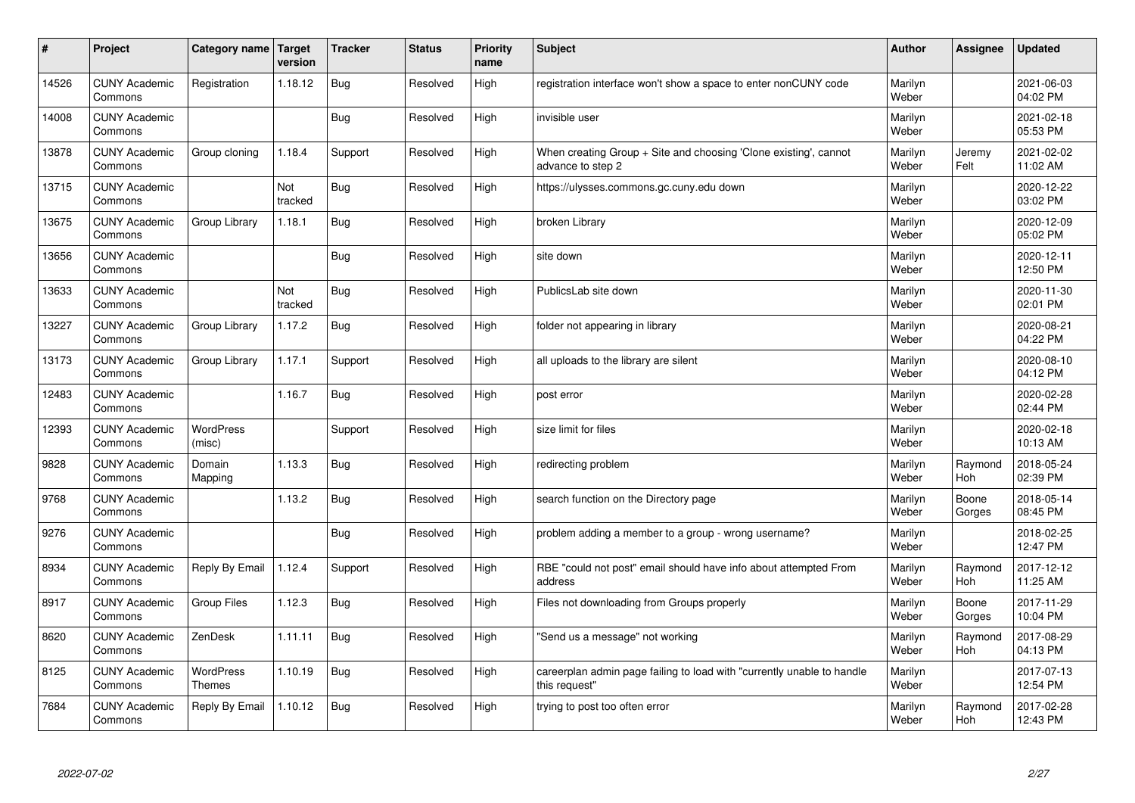| #     | Project                         | Category name   Target            | version        | <b>Tracker</b> | <b>Status</b> | <b>Priority</b><br>name | <b>Subject</b>                                                                          | <b>Author</b>    | Assignee              | <b>Updated</b>         |
|-------|---------------------------------|-----------------------------------|----------------|----------------|---------------|-------------------------|-----------------------------------------------------------------------------------------|------------------|-----------------------|------------------------|
| 14526 | <b>CUNY Academic</b><br>Commons | Registration                      | 1.18.12        | Bug            | Resolved      | High                    | registration interface won't show a space to enter nonCUNY code                         | Marilyn<br>Weber |                       | 2021-06-03<br>04:02 PM |
| 14008 | <b>CUNY Academic</b><br>Commons |                                   |                | Bug            | Resolved      | High                    | invisible user                                                                          | Marilyn<br>Weber |                       | 2021-02-18<br>05:53 PM |
| 13878 | <b>CUNY Academic</b><br>Commons | Group cloning                     | 1.18.4         | Support        | Resolved      | High                    | When creating Group + Site and choosing 'Clone existing', cannot<br>advance to step 2   | Marilyn<br>Weber | Jeremy<br>Felt        | 2021-02-02<br>11:02 AM |
| 13715 | <b>CUNY Academic</b><br>Commons |                                   | Not<br>tracked | Bug            | Resolved      | High                    | https://ulysses.commons.gc.cuny.edu down                                                | Marilyn<br>Weber |                       | 2020-12-22<br>03:02 PM |
| 13675 | <b>CUNY Academic</b><br>Commons | Group Library                     | 1.18.1         | Bug            | Resolved      | High                    | broken Library                                                                          | Marilyn<br>Weber |                       | 2020-12-09<br>05:02 PM |
| 13656 | <b>CUNY Academic</b><br>Commons |                                   |                | Bug            | Resolved      | High                    | site down                                                                               | Marilyn<br>Weber |                       | 2020-12-11<br>12:50 PM |
| 13633 | <b>CUNY Academic</b><br>Commons |                                   | Not<br>tracked | Bug            | Resolved      | High                    | PublicsLab site down                                                                    | Marilyn<br>Weber |                       | 2020-11-30<br>02:01 PM |
| 13227 | <b>CUNY Academic</b><br>Commons | Group Library                     | 1.17.2         | Bug            | Resolved      | High                    | folder not appearing in library                                                         | Marilyn<br>Weber |                       | 2020-08-21<br>04:22 PM |
| 13173 | <b>CUNY Academic</b><br>Commons | Group Library                     | 1.17.1         | Support        | Resolved      | High                    | all uploads to the library are silent                                                   | Marilyn<br>Weber |                       | 2020-08-10<br>04:12 PM |
| 12483 | <b>CUNY Academic</b><br>Commons |                                   | 1.16.7         | Bug            | Resolved      | High                    | post error                                                                              | Marilyn<br>Weber |                       | 2020-02-28<br>02:44 PM |
| 12393 | <b>CUNY Academic</b><br>Commons | <b>WordPress</b><br>(misc)        |                | Support        | Resolved      | High                    | size limit for files                                                                    | Marilyn<br>Weber |                       | 2020-02-18<br>10:13 AM |
| 9828  | <b>CUNY Academic</b><br>Commons | Domain<br>Mapping                 | 1.13.3         | Bug            | Resolved      | High                    | redirecting problem                                                                     | Marilyn<br>Weber | Raymond<br>Hoh        | 2018-05-24<br>02:39 PM |
| 9768  | <b>CUNY Academic</b><br>Commons |                                   | 1.13.2         | Bug            | Resolved      | High                    | search function on the Directory page                                                   | Marilyn<br>Weber | Boone<br>Gorges       | 2018-05-14<br>08:45 PM |
| 9276  | <b>CUNY Academic</b><br>Commons |                                   |                | <b>Bug</b>     | Resolved      | High                    | problem adding a member to a group - wrong username?                                    | Marilyn<br>Weber |                       | 2018-02-25<br>12:47 PM |
| 8934  | <b>CUNY Academic</b><br>Commons | Reply By Email                    | 1.12.4         | Support        | Resolved      | High                    | RBE "could not post" email should have info about attempted From<br>address             | Marilyn<br>Weber | Raymond<br><b>Hoh</b> | 2017-12-12<br>11:25 AM |
| 8917  | <b>CUNY Academic</b><br>Commons | Group Files                       | 1.12.3         | Bug            | Resolved      | High                    | Files not downloading from Groups properly                                              | Marilyn<br>Weber | Boone<br>Gorges       | 2017-11-29<br>10:04 PM |
| 8620  | <b>CUNY Academic</b><br>Commons | ZenDesk                           | 1.11.11        | Bug            | Resolved      | High                    | 'Send us a message" not working                                                         | Marilyn<br>Weber | Raymond<br>Hoh        | 2017-08-29<br>04:13 PM |
| 8125  | <b>CUNY Academic</b><br>Commons | <b>WordPress</b><br><b>Themes</b> | 1.10.19        | Bug            | Resolved      | High                    | careerplan admin page failing to load with "currently unable to handle<br>this request" | Marilyn<br>Weber |                       | 2017-07-13<br>12:54 PM |
| 7684  | <b>CUNY Academic</b><br>Commons | Reply By Email                    | 1.10.12        | Bug            | Resolved      | High                    | trying to post too often error                                                          | Marilyn<br>Weber | Raymond<br>Hoh        | 2017-02-28<br>12:43 PM |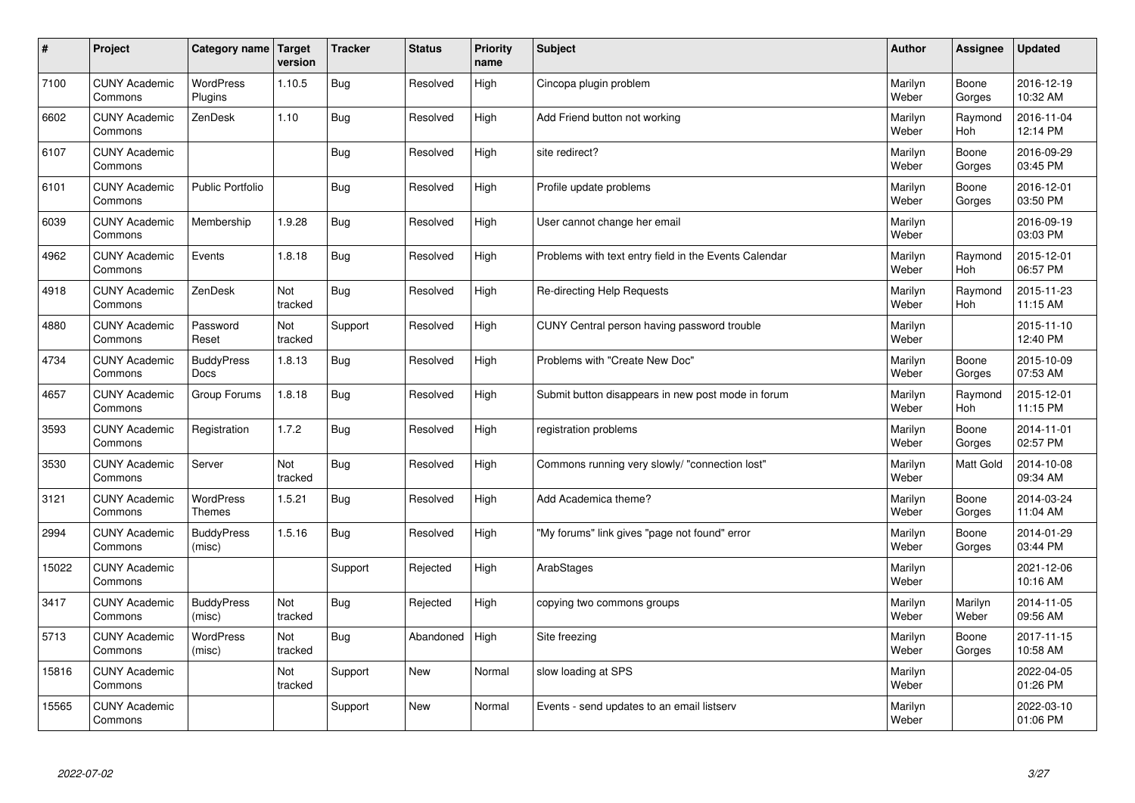| $\pmb{\#}$ | Project                         | Category name                    | Target<br>version | <b>Tracker</b> | <b>Status</b> | <b>Priority</b><br>name | <b>Subject</b>                                        | <b>Author</b>    | Assignee         | <b>Updated</b>         |
|------------|---------------------------------|----------------------------------|-------------------|----------------|---------------|-------------------------|-------------------------------------------------------|------------------|------------------|------------------------|
| 7100       | <b>CUNY Academic</b><br>Commons | <b>WordPress</b><br>Plugins      | 1.10.5            | <b>Bug</b>     | Resolved      | High                    | Cincopa plugin problem                                | Marilyn<br>Weber | Boone<br>Gorges  | 2016-12-19<br>10:32 AM |
| 6602       | <b>CUNY Academic</b><br>Commons | ZenDesk                          | 1.10              | <b>Bug</b>     | Resolved      | High                    | Add Friend button not working                         | Marilyn<br>Weber | Raymond<br>Hoh   | 2016-11-04<br>12:14 PM |
| 6107       | <b>CUNY Academic</b><br>Commons |                                  |                   | <b>Bug</b>     | Resolved      | High                    | site redirect?                                        | Marilyn<br>Weber | Boone<br>Gorges  | 2016-09-29<br>03:45 PM |
| 6101       | <b>CUNY Academic</b><br>Commons | <b>Public Portfolio</b>          |                   | <b>Bug</b>     | Resolved      | High                    | Profile update problems                               | Marilyn<br>Weber | Boone<br>Gorges  | 2016-12-01<br>03:50 PM |
| 6039       | <b>CUNY Academic</b><br>Commons | Membership                       | 1.9.28            | <b>Bug</b>     | Resolved      | High                    | User cannot change her email                          | Marilyn<br>Weber |                  | 2016-09-19<br>03:03 PM |
| 4962       | <b>CUNY Academic</b><br>Commons | Events                           | 1.8.18            | <b>Bug</b>     | Resolved      | High                    | Problems with text entry field in the Events Calendar | Marilyn<br>Weber | Raymond<br>Hoh   | 2015-12-01<br>06:57 PM |
| 4918       | <b>CUNY Academic</b><br>Commons | ZenDesk                          | Not<br>tracked    | <b>Bug</b>     | Resolved      | High                    | Re-directing Help Requests                            | Marilyn<br>Weber | Raymond<br>Hoh   | 2015-11-23<br>11:15 AM |
| 4880       | <b>CUNY Academic</b><br>Commons | Password<br>Reset                | Not<br>tracked    | Support        | Resolved      | High                    | CUNY Central person having password trouble           | Marilyn<br>Weber |                  | 2015-11-10<br>12:40 PM |
| 4734       | <b>CUNY Academic</b><br>Commons | <b>BuddyPress</b><br><b>Docs</b> | 1.8.13            | Bug            | Resolved      | High                    | Problems with "Create New Doc"                        | Marilyn<br>Weber | Boone<br>Gorges  | 2015-10-09<br>07:53 AM |
| 4657       | <b>CUNY Academic</b><br>Commons | Group Forums                     | 1.8.18            | <b>Bug</b>     | Resolved      | High                    | Submit button disappears in new post mode in forum    | Marilyn<br>Weber | Raymond<br>Hoh   | 2015-12-01<br>11:15 PM |
| 3593       | <b>CUNY Academic</b><br>Commons | Registration                     | 1.7.2             | <b>Bug</b>     | Resolved      | High                    | registration problems                                 | Marilyn<br>Weber | Boone<br>Gorges  | 2014-11-01<br>02:57 PM |
| 3530       | <b>CUNY Academic</b><br>Commons | Server                           | Not<br>tracked    | <b>Bug</b>     | Resolved      | High                    | Commons running very slowly/ "connection lost"        | Marilyn<br>Weber | Matt Gold        | 2014-10-08<br>09:34 AM |
| 3121       | <b>CUNY Academic</b><br>Commons | WordPress<br><b>Themes</b>       | 1.5.21            | <b>Bug</b>     | Resolved      | High                    | Add Academica theme?                                  | Marilyn<br>Weber | Boone<br>Gorges  | 2014-03-24<br>11:04 AM |
| 2994       | <b>CUNY Academic</b><br>Commons | <b>BuddyPress</b><br>(misc)      | 1.5.16            | <b>Bug</b>     | Resolved      | High                    | "My forums" link gives "page not found" error         | Marilyn<br>Weber | Boone<br>Gorges  | 2014-01-29<br>03:44 PM |
| 15022      | <b>CUNY Academic</b><br>Commons |                                  |                   | Support        | Rejected      | High                    | ArabStages                                            | Marilyn<br>Weber |                  | 2021-12-06<br>10:16 AM |
| 3417       | <b>CUNY Academic</b><br>Commons | <b>BuddyPress</b><br>(misc)      | Not<br>tracked    | <b>Bug</b>     | Rejected      | High                    | copying two commons groups                            | Marilyn<br>Weber | Marilyn<br>Weber | 2014-11-05<br>09:56 AM |
| 5713       | <b>CUNY Academic</b><br>Commons | WordPress<br>(misc)              | Not<br>tracked    | Bug            | Abandoned     | High                    | Site freezing                                         | Marilyn<br>Weber | Boone<br>Gorges  | 2017-11-15<br>10:58 AM |
| 15816      | <b>CUNY Academic</b><br>Commons |                                  | Not<br>tracked    | Support        | New           | Normal                  | slow loading at SPS                                   | Marilyn<br>Weber |                  | 2022-04-05<br>01:26 PM |
| 15565      | <b>CUNY Academic</b><br>Commons |                                  |                   | Support        | <b>New</b>    | Normal                  | Events - send updates to an email listserv            | Marilyn<br>Weber |                  | 2022-03-10<br>01:06 PM |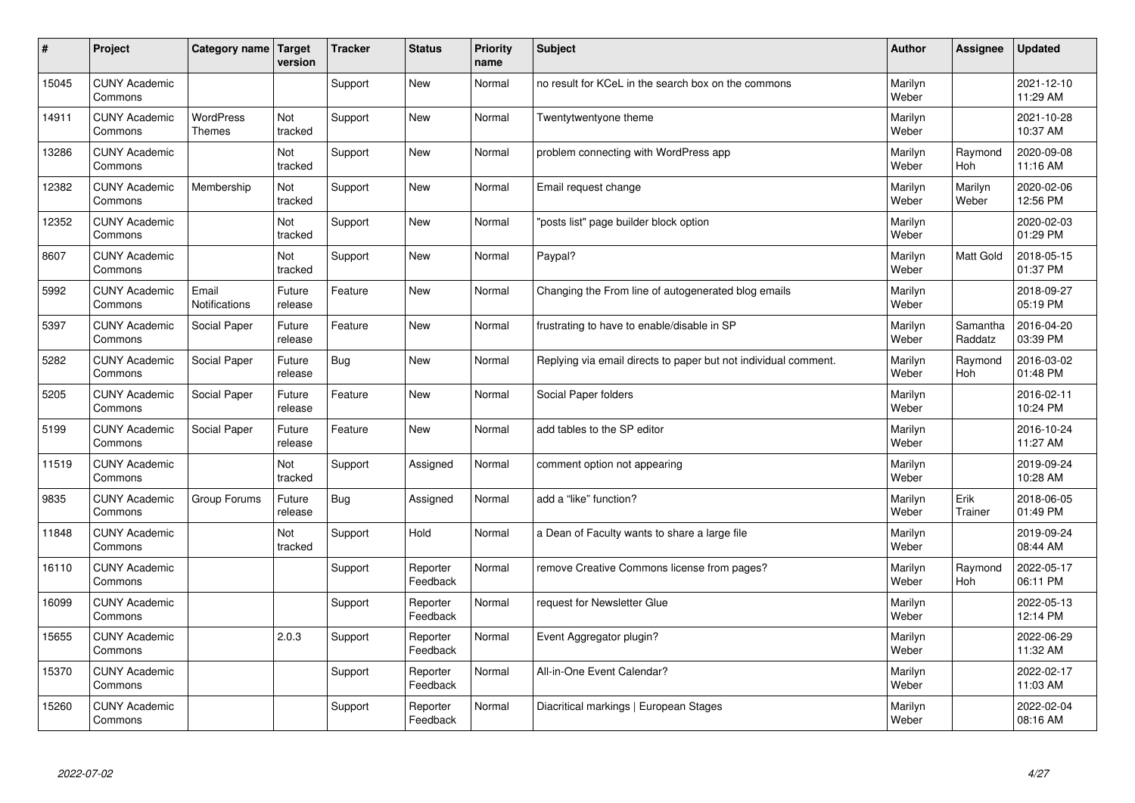| #     | Project                         | Category name   Target            | version               | <b>Tracker</b> | <b>Status</b>        | <b>Priority</b><br>name | <b>Subject</b>                                                  | <b>Author</b>    | Assignee            | <b>Updated</b>         |
|-------|---------------------------------|-----------------------------------|-----------------------|----------------|----------------------|-------------------------|-----------------------------------------------------------------|------------------|---------------------|------------------------|
| 15045 | <b>CUNY Academic</b><br>Commons |                                   |                       | Support        | <b>New</b>           | Normal                  | no result for KCeL in the search box on the commons             | Marilyn<br>Weber |                     | 2021-12-10<br>11:29 AM |
| 14911 | <b>CUNY Academic</b><br>Commons | <b>WordPress</b><br><b>Themes</b> | Not<br>tracked        | Support        | <b>New</b>           | Normal                  | Twentytwentyone theme                                           | Marilyn<br>Weber |                     | 2021-10-28<br>10:37 AM |
| 13286 | <b>CUNY Academic</b><br>Commons |                                   | Not<br>tracked        | Support        | <b>New</b>           | Normal                  | problem connecting with WordPress app                           | Marilyn<br>Weber | Raymond<br>Hoh      | 2020-09-08<br>11:16 AM |
| 12382 | <b>CUNY Academic</b><br>Commons | Membership                        | Not<br>tracked        | Support        | <b>New</b>           | Normal                  | Email request change                                            | Marilyn<br>Weber | Marilyn<br>Weber    | 2020-02-06<br>12:56 PM |
| 12352 | <b>CUNY Academic</b><br>Commons |                                   | Not<br>tracked        | Support        | <b>New</b>           | Normal                  | 'posts list" page builder block option                          | Marilyn<br>Weber |                     | 2020-02-03<br>01:29 PM |
| 8607  | <b>CUNY Academic</b><br>Commons |                                   | <b>Not</b><br>tracked | Support        | <b>New</b>           | Normal                  | Paypal?                                                         | Marilyn<br>Weber | Matt Gold           | 2018-05-15<br>01:37 PM |
| 5992  | <b>CUNY Academic</b><br>Commons | Email<br>Notifications            | Future<br>release     | Feature        | <b>New</b>           | Normal                  | Changing the From line of autogenerated blog emails             | Marilyn<br>Weber |                     | 2018-09-27<br>05:19 PM |
| 5397  | <b>CUNY Academic</b><br>Commons | Social Paper                      | Future<br>release     | Feature        | <b>New</b>           | Normal                  | frustrating to have to enable/disable in SP                     | Marilyn<br>Weber | Samantha<br>Raddatz | 2016-04-20<br>03:39 PM |
| 5282  | <b>CUNY Academic</b><br>Commons | Social Paper                      | Future<br>release     | <b>Bug</b>     | <b>New</b>           | Normal                  | Replying via email directs to paper but not individual comment. | Marilyn<br>Weber | Raymond<br>Hoh      | 2016-03-02<br>01:48 PM |
| 5205  | <b>CUNY Academic</b><br>Commons | Social Paper                      | Future<br>release     | Feature        | <b>New</b>           | Normal                  | Social Paper folders                                            | Marilyn<br>Weber |                     | 2016-02-11<br>10:24 PM |
| 5199  | <b>CUNY Academic</b><br>Commons | Social Paper                      | Future<br>release     | Feature        | <b>New</b>           | Normal                  | add tables to the SP editor                                     | Marilyn<br>Weber |                     | 2016-10-24<br>11:27 AM |
| 11519 | <b>CUNY Academic</b><br>Commons |                                   | Not<br>tracked        | Support        | Assigned             | Normal                  | comment option not appearing                                    | Marilyn<br>Weber |                     | 2019-09-24<br>10:28 AM |
| 9835  | <b>CUNY Academic</b><br>Commons | Group Forums                      | Future<br>release     | Bug            | Assigned             | Normal                  | add a "like" function?                                          | Marilyn<br>Weber | Erik<br>Trainer     | 2018-06-05<br>01:49 PM |
| 11848 | <b>CUNY Academic</b><br>Commons |                                   | Not<br>tracked        | Support        | Hold                 | Normal                  | a Dean of Faculty wants to share a large file                   | Marilyn<br>Weber |                     | 2019-09-24<br>08:44 AM |
| 16110 | <b>CUNY Academic</b><br>Commons |                                   |                       | Support        | Reporter<br>Feedback | Normal                  | remove Creative Commons license from pages?                     | Marilyn<br>Weber | Raymond<br>Hoh      | 2022-05-17<br>06:11 PM |
| 16099 | <b>CUNY Academic</b><br>Commons |                                   |                       | Support        | Reporter<br>Feedback | Normal                  | request for Newsletter Glue                                     | Marilyn<br>Weber |                     | 2022-05-13<br>12:14 PM |
| 15655 | <b>CUNY Academic</b><br>Commons |                                   | 2.0.3                 | Support        | Reporter<br>Feedback | Normal                  | Event Aggregator plugin?                                        | Marilyn<br>Weber |                     | 2022-06-29<br>11:32 AM |
| 15370 | <b>CUNY Academic</b><br>Commons |                                   |                       | Support        | Reporter<br>Feedback | Normal                  | All-in-One Event Calendar?                                      | Marilyn<br>Weber |                     | 2022-02-17<br>11:03 AM |
| 15260 | <b>CUNY Academic</b><br>Commons |                                   |                       | Support        | Reporter<br>Feedback | Normal                  | Diacritical markings   European Stages                          | Marilyn<br>Weber |                     | 2022-02-04<br>08:16 AM |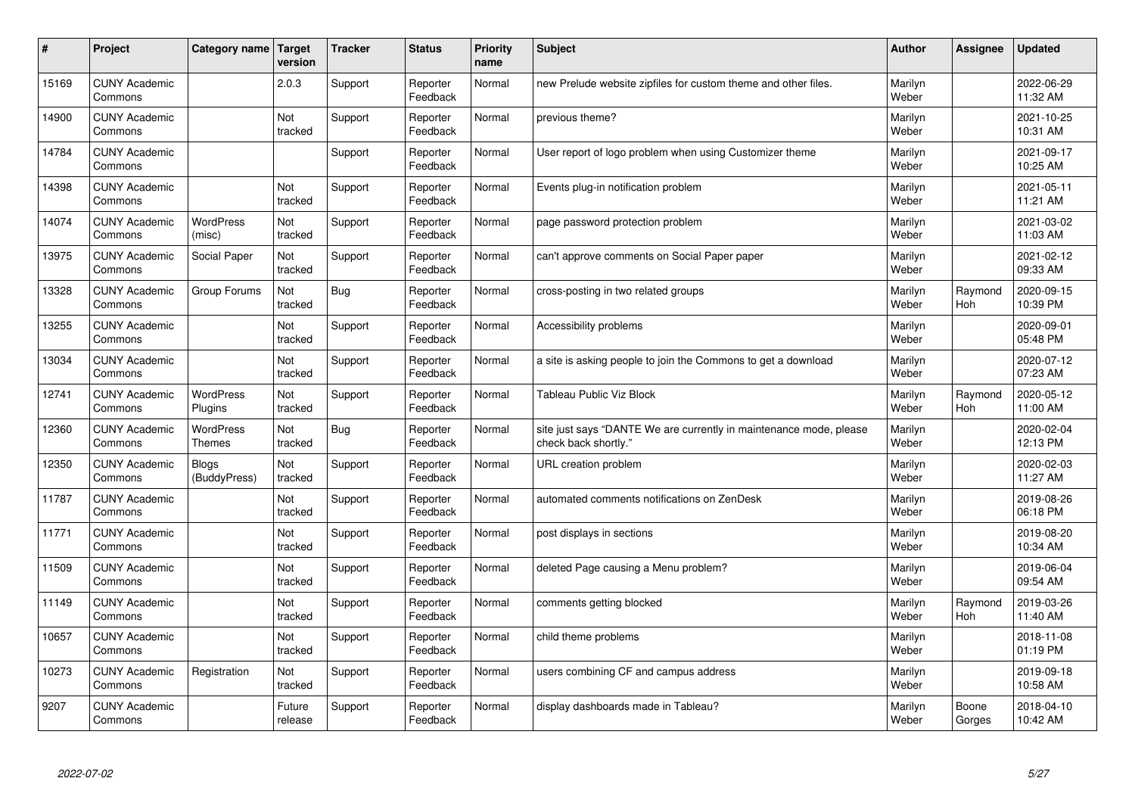| #     | Project                         | Category name                     | Target<br>version | <b>Tracker</b> | <b>Status</b>        | <b>Priority</b><br>name | <b>Subject</b>                                                                             | <b>Author</b>    | Assignee        | <b>Updated</b>         |
|-------|---------------------------------|-----------------------------------|-------------------|----------------|----------------------|-------------------------|--------------------------------------------------------------------------------------------|------------------|-----------------|------------------------|
| 15169 | <b>CUNY Academic</b><br>Commons |                                   | 2.0.3             | Support        | Reporter<br>Feedback | Normal                  | new Prelude website zipfiles for custom theme and other files.                             | Marilyn<br>Weber |                 | 2022-06-29<br>11:32 AM |
| 14900 | <b>CUNY Academic</b><br>Commons |                                   | Not<br>tracked    | Support        | Reporter<br>Feedback | Normal                  | previous theme?                                                                            | Marilyn<br>Weber |                 | 2021-10-25<br>10:31 AM |
| 14784 | <b>CUNY Academic</b><br>Commons |                                   |                   | Support        | Reporter<br>Feedback | Normal                  | User report of logo problem when using Customizer theme                                    | Marilyn<br>Weber |                 | 2021-09-17<br>10:25 AM |
| 14398 | <b>CUNY Academic</b><br>Commons |                                   | Not<br>tracked    | Support        | Reporter<br>Feedback | Normal                  | Events plug-in notification problem                                                        | Marilyn<br>Weber |                 | 2021-05-11<br>11:21 AM |
| 14074 | <b>CUNY Academic</b><br>Commons | <b>WordPress</b><br>(misc)        | Not<br>tracked    | Support        | Reporter<br>Feedback | Normal                  | page password protection problem                                                           | Marilyn<br>Weber |                 | 2021-03-02<br>11:03 AM |
| 13975 | <b>CUNY Academic</b><br>Commons | Social Paper                      | Not<br>tracked    | Support        | Reporter<br>Feedback | Normal                  | can't approve comments on Social Paper paper                                               | Marilyn<br>Weber |                 | 2021-02-12<br>09:33 AM |
| 13328 | <b>CUNY Academic</b><br>Commons | Group Forums                      | Not<br>tracked    | Bug            | Reporter<br>Feedback | Normal                  | cross-posting in two related groups                                                        | Marilyn<br>Weber | Raymond<br>Hoh  | 2020-09-15<br>10:39 PM |
| 13255 | <b>CUNY Academic</b><br>Commons |                                   | Not<br>tracked    | Support        | Reporter<br>Feedback | Normal                  | Accessibility problems                                                                     | Marilyn<br>Weber |                 | 2020-09-01<br>05:48 PM |
| 13034 | <b>CUNY Academic</b><br>Commons |                                   | Not<br>tracked    | Support        | Reporter<br>Feedback | Normal                  | a site is asking people to join the Commons to get a download                              | Marilyn<br>Weber |                 | 2020-07-12<br>07:23 AM |
| 12741 | <b>CUNY Academic</b><br>Commons | <b>WordPress</b><br>Plugins       | Not<br>tracked    | Support        | Reporter<br>Feedback | Normal                  | <b>Tableau Public Viz Block</b>                                                            | Marilyn<br>Weber | Raymond<br>Hoh  | 2020-05-12<br>11:00 AM |
| 12360 | <b>CUNY Academic</b><br>Commons | <b>WordPress</b><br><b>Themes</b> | Not<br>tracked    | Bug            | Reporter<br>Feedback | Normal                  | site just says "DANTE We are currently in maintenance mode, please<br>check back shortly." | Marilyn<br>Weber |                 | 2020-02-04<br>12:13 PM |
| 12350 | <b>CUNY Academic</b><br>Commons | <b>Blogs</b><br>(BuddyPress)      | Not<br>tracked    | Support        | Reporter<br>Feedback | Normal                  | URL creation problem                                                                       | Marilyn<br>Weber |                 | 2020-02-03<br>11:27 AM |
| 11787 | <b>CUNY Academic</b><br>Commons |                                   | Not<br>tracked    | Support        | Reporter<br>Feedback | Normal                  | automated comments notifications on ZenDesk                                                | Marilyn<br>Weber |                 | 2019-08-26<br>06:18 PM |
| 11771 | <b>CUNY Academic</b><br>Commons |                                   | Not<br>tracked    | Support        | Reporter<br>Feedback | Normal                  | post displays in sections                                                                  | Marilyn<br>Weber |                 | 2019-08-20<br>10:34 AM |
| 11509 | <b>CUNY Academic</b><br>Commons |                                   | Not<br>tracked    | Support        | Reporter<br>Feedback | Normal                  | deleted Page causing a Menu problem?                                                       | Marilyn<br>Weber |                 | 2019-06-04<br>09:54 AM |
| 11149 | <b>CUNY Academic</b><br>Commons |                                   | Not<br>tracked    | Support        | Reporter<br>Feedback | Normal                  | comments getting blocked                                                                   | Marilyn<br>Weber | Raymond<br>Hoh  | 2019-03-26<br>11:40 AM |
| 10657 | <b>CUNY Academic</b><br>Commons |                                   | Not<br>tracked    | Support        | Reporter<br>Feedback | Normal                  | child theme problems                                                                       | Marilyn<br>Weber |                 | 2018-11-08<br>01:19 PM |
| 10273 | <b>CUNY Academic</b><br>Commons | Registration                      | Not<br>tracked    | Support        | Reporter<br>Feedback | Normal                  | users combining CF and campus address                                                      | Marilyn<br>Weber |                 | 2019-09-18<br>10:58 AM |
| 9207  | <b>CUNY Academic</b><br>Commons |                                   | Future<br>release | Support        | Reporter<br>Feedback | Normal                  | display dashboards made in Tableau?                                                        | Marilyn<br>Weber | Boone<br>Gorges | 2018-04-10<br>10:42 AM |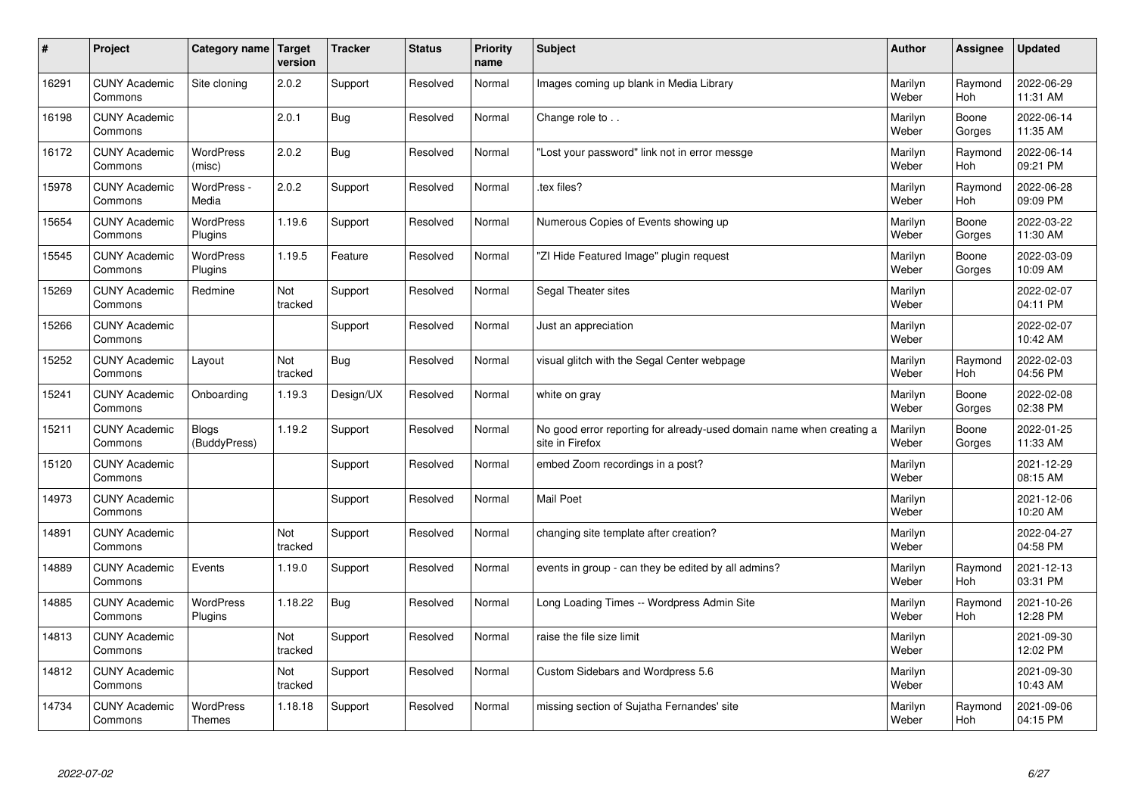| $\sharp$ | Project                         | Category name   Target            | version        | <b>Tracker</b> | <b>Status</b> | <b>Priority</b><br>name | <b>Subject</b>                                                                          | <b>Author</b>    | Assignee              | <b>Updated</b>         |
|----------|---------------------------------|-----------------------------------|----------------|----------------|---------------|-------------------------|-----------------------------------------------------------------------------------------|------------------|-----------------------|------------------------|
| 16291    | <b>CUNY Academic</b><br>Commons | Site cloning                      | 2.0.2          | Support        | Resolved      | Normal                  | Images coming up blank in Media Library                                                 | Marilyn<br>Weber | Raymond<br><b>Hoh</b> | 2022-06-29<br>11:31 AM |
| 16198    | <b>CUNY Academic</b><br>Commons |                                   | 2.0.1          | Bug            | Resolved      | Normal                  | Change role to                                                                          | Marilyn<br>Weber | Boone<br>Gorges       | 2022-06-14<br>11:35 AM |
| 16172    | <b>CUNY Academic</b><br>Commons | <b>WordPress</b><br>(misc)        | 2.0.2          | Bug            | Resolved      | Normal                  | 'Lost your password" link not in error messge                                           | Marilyn<br>Weber | Raymond<br>Hoh        | 2022-06-14<br>09:21 PM |
| 15978    | <b>CUNY Academic</b><br>Commons | WordPress -<br>Media              | 2.0.2          | Support        | Resolved      | Normal                  | tex files?                                                                              | Marilyn<br>Weber | Raymond<br>Hoh        | 2022-06-28<br>09:09 PM |
| 15654    | <b>CUNY Academic</b><br>Commons | <b>WordPress</b><br>Plugins       | 1.19.6         | Support        | Resolved      | Normal                  | Numerous Copies of Events showing up                                                    | Marilyn<br>Weber | Boone<br>Gorges       | 2022-03-22<br>11:30 AM |
| 15545    | <b>CUNY Academic</b><br>Commons | <b>WordPress</b><br>Plugins       | 1.19.5         | Feature        | Resolved      | Normal                  | 'ZI Hide Featured Image" plugin request                                                 | Marilyn<br>Weber | Boone<br>Gorges       | 2022-03-09<br>10:09 AM |
| 15269    | <b>CUNY Academic</b><br>Commons | Redmine                           | Not<br>tracked | Support        | Resolved      | Normal                  | Segal Theater sites                                                                     | Marilyn<br>Weber |                       | 2022-02-07<br>04:11 PM |
| 15266    | <b>CUNY Academic</b><br>Commons |                                   |                | Support        | Resolved      | Normal                  | Just an appreciation                                                                    | Marilyn<br>Weber |                       | 2022-02-07<br>10:42 AM |
| 15252    | <b>CUNY Academic</b><br>Commons | Layout                            | Not<br>tracked | Bug            | Resolved      | Normal                  | visual glitch with the Segal Center webpage                                             | Marilyn<br>Weber | Raymond<br>Hoh        | 2022-02-03<br>04:56 PM |
| 15241    | <b>CUNY Academic</b><br>Commons | Onboarding                        | 1.19.3         | Design/UX      | Resolved      | Normal                  | white on gray                                                                           | Marilyn<br>Weber | Boone<br>Gorges       | 2022-02-08<br>02:38 PM |
| 15211    | <b>CUNY Academic</b><br>Commons | <b>Blogs</b><br>(BuddyPress)      | 1.19.2         | Support        | Resolved      | Normal                  | No good error reporting for already-used domain name when creating a<br>site in Firefox | Marilyn<br>Weber | Boone<br>Gorges       | 2022-01-25<br>11:33 AM |
| 15120    | <b>CUNY Academic</b><br>Commons |                                   |                | Support        | Resolved      | Normal                  | embed Zoom recordings in a post?                                                        | Marilyn<br>Weber |                       | 2021-12-29<br>08:15 AM |
| 14973    | <b>CUNY Academic</b><br>Commons |                                   |                | Support        | Resolved      | Normal                  | <b>Mail Poet</b>                                                                        | Marilyn<br>Weber |                       | 2021-12-06<br>10:20 AM |
| 14891    | <b>CUNY Academic</b><br>Commons |                                   | Not<br>tracked | Support        | Resolved      | Normal                  | changing site template after creation?                                                  | Marilyn<br>Weber |                       | 2022-04-27<br>04:58 PM |
| 14889    | <b>CUNY Academic</b><br>Commons | Events                            | 1.19.0         | Support        | Resolved      | Normal                  | events in group - can they be edited by all admins?                                     | Marilyn<br>Weber | Raymond<br>Hoh        | 2021-12-13<br>03:31 PM |
| 14885    | <b>CUNY Academic</b><br>Commons | <b>WordPress</b><br>Plugins       | 1.18.22        | Bug            | Resolved      | Normal                  | Long Loading Times -- Wordpress Admin Site                                              | Marilyn<br>Weber | Raymond<br>Hoh        | 2021-10-26<br>12:28 PM |
| 14813    | <b>CUNY Academic</b><br>Commons |                                   | Not<br>tracked | Support        | Resolved      | Normal                  | raise the file size limit                                                               | Marilyn<br>Weber |                       | 2021-09-30<br>12:02 PM |
| 14812    | <b>CUNY Academic</b><br>Commons |                                   | Not<br>tracked | Support        | Resolved      | Normal                  | Custom Sidebars and Wordpress 5.6                                                       | Marilyn<br>Weber |                       | 2021-09-30<br>10:43 AM |
| 14734    | <b>CUNY Academic</b><br>Commons | <b>WordPress</b><br><b>Themes</b> | 1.18.18        | Support        | Resolved      | Normal                  | missing section of Sujatha Fernandes' site                                              | Marilyn<br>Weber | Raymond<br>Hoh        | 2021-09-06<br>04:15 PM |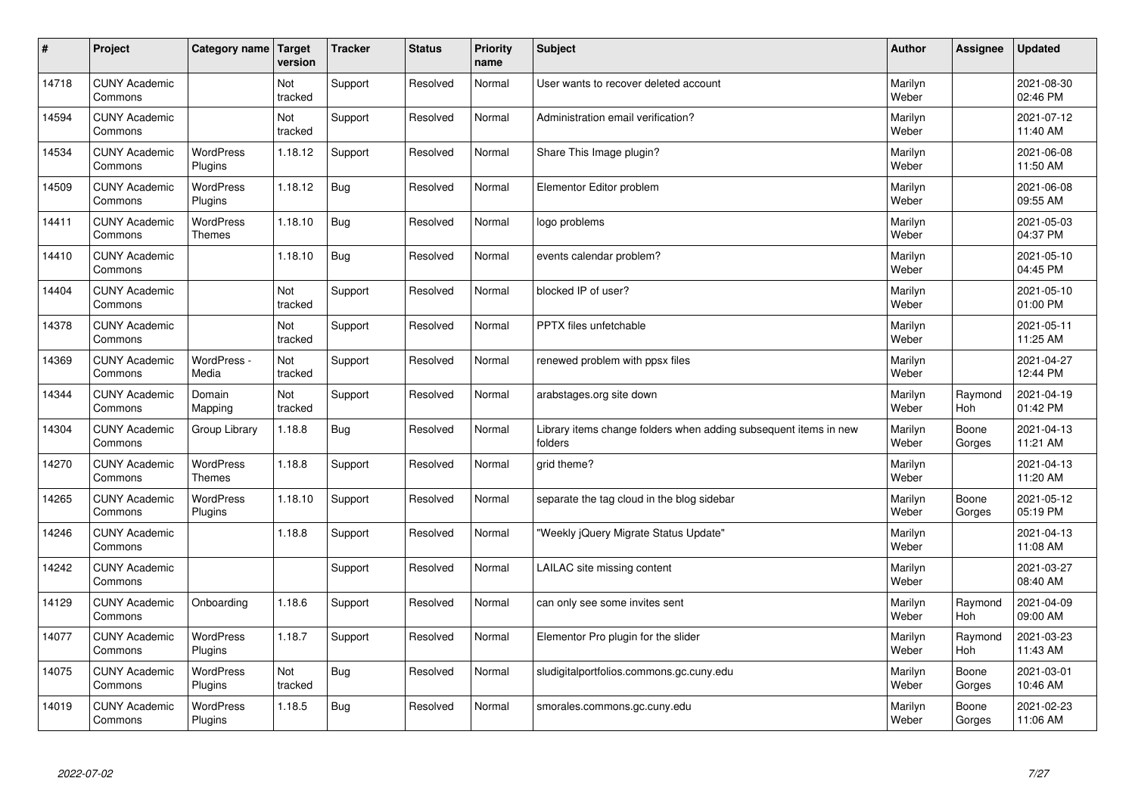| $\sharp$ | Project                         | Category name   Target            | version        | <b>Tracker</b> | <b>Status</b> | <b>Priority</b><br>name | <b>Subject</b>                                                              | <b>Author</b>    | Assignee        | <b>Updated</b>         |
|----------|---------------------------------|-----------------------------------|----------------|----------------|---------------|-------------------------|-----------------------------------------------------------------------------|------------------|-----------------|------------------------|
| 14718    | <b>CUNY Academic</b><br>Commons |                                   | Not<br>tracked | Support        | Resolved      | Normal                  | User wants to recover deleted account                                       | Marilyn<br>Weber |                 | 2021-08-30<br>02:46 PM |
| 14594    | <b>CUNY Academic</b><br>Commons |                                   | Not<br>tracked | Support        | Resolved      | Normal                  | Administration email verification?                                          | Marilyn<br>Weber |                 | 2021-07-12<br>11:40 AM |
| 14534    | <b>CUNY Academic</b><br>Commons | <b>WordPress</b><br>Plugins       | 1.18.12        | Support        | Resolved      | Normal                  | Share This Image plugin?                                                    | Marilyn<br>Weber |                 | 2021-06-08<br>11:50 AM |
| 14509    | <b>CUNY Academic</b><br>Commons | <b>WordPress</b><br>Plugins       | 1.18.12        | Bug            | Resolved      | Normal                  | Elementor Editor problem                                                    | Marilyn<br>Weber |                 | 2021-06-08<br>09:55 AM |
| 14411    | <b>CUNY Academic</b><br>Commons | <b>WordPress</b><br><b>Themes</b> | 1.18.10        | Bug            | Resolved      | Normal                  | logo problems                                                               | Marilyn<br>Weber |                 | 2021-05-03<br>04:37 PM |
| 14410    | <b>CUNY Academic</b><br>Commons |                                   | 1.18.10        | Bug            | Resolved      | Normal                  | events calendar problem?                                                    | Marilyn<br>Weber |                 | 2021-05-10<br>04:45 PM |
| 14404    | <b>CUNY Academic</b><br>Commons |                                   | Not<br>tracked | Support        | Resolved      | Normal                  | blocked IP of user?                                                         | Marilyn<br>Weber |                 | 2021-05-10<br>01:00 PM |
| 14378    | <b>CUNY Academic</b><br>Commons |                                   | Not<br>tracked | Support        | Resolved      | Normal                  | PPTX files unfetchable                                                      | Marilyn<br>Weber |                 | 2021-05-11<br>11:25 AM |
| 14369    | <b>CUNY Academic</b><br>Commons | WordPress -<br>Media              | Not<br>tracked | Support        | Resolved      | Normal                  | renewed problem with ppsx files                                             | Marilyn<br>Weber |                 | 2021-04-27<br>12:44 PM |
| 14344    | <b>CUNY Academic</b><br>Commons | Domain<br>Mapping                 | Not<br>tracked | Support        | Resolved      | Normal                  | arabstages.org site down                                                    | Marilyn<br>Weber | Raymond<br>Hoh  | 2021-04-19<br>01:42 PM |
| 14304    | <b>CUNY Academic</b><br>Commons | Group Library                     | 1.18.8         | Bug            | Resolved      | Normal                  | Library items change folders when adding subsequent items in new<br>folders | Marilyn<br>Weber | Boone<br>Gorges | 2021-04-13<br>11:21 AM |
| 14270    | <b>CUNY Academic</b><br>Commons | WordPress<br><b>Themes</b>        | 1.18.8         | Support        | Resolved      | Normal                  | grid theme?                                                                 | Marilyn<br>Weber |                 | 2021-04-13<br>11:20 AM |
| 14265    | <b>CUNY Academic</b><br>Commons | <b>WordPress</b><br>Plugins       | 1.18.10        | Support        | Resolved      | Normal                  | separate the tag cloud in the blog sidebar                                  | Marilyn<br>Weber | Boone<br>Gorges | 2021-05-12<br>05:19 PM |
| 14246    | <b>CUNY Academic</b><br>Commons |                                   | 1.18.8         | Support        | Resolved      | Normal                  | "Weekly jQuery Migrate Status Update"                                       | Marilyn<br>Weber |                 | 2021-04-13<br>11:08 AM |
| 14242    | <b>CUNY Academic</b><br>Commons |                                   |                | Support        | Resolved      | Normal                  | LAILAC site missing content                                                 | Marilyn<br>Weber |                 | 2021-03-27<br>08:40 AM |
| 14129    | <b>CUNY Academic</b><br>Commons | Onboarding                        | 1.18.6         | Support        | Resolved      | Normal                  | can only see some invites sent                                              | Marilyn<br>Weber | Raymond<br>Hoh  | 2021-04-09<br>09:00 AM |
| 14077    | <b>CUNY Academic</b><br>Commons | <b>WordPress</b><br>Plugins       | 1.18.7         | Support        | Resolved      | Normal                  | Elementor Pro plugin for the slider                                         | Marilyn<br>Weber | Raymond<br>Hoh  | 2021-03-23<br>11:43 AM |
| 14075    | <b>CUNY Academic</b><br>Commons | <b>WordPress</b><br>Plugins       | Not<br>tracked | <b>Bug</b>     | Resolved      | Normal                  | sludigitalportfolios.commons.gc.cuny.edu                                    | Marilyn<br>Weber | Boone<br>Gorges | 2021-03-01<br>10:46 AM |
| 14019    | <b>CUNY Academic</b><br>Commons | <b>WordPress</b><br>Plugins       | 1.18.5         | Bug            | Resolved      | Normal                  | smorales.commons.gc.cuny.edu                                                | Marilyn<br>Weber | Boone<br>Gorges | 2021-02-23<br>11:06 AM |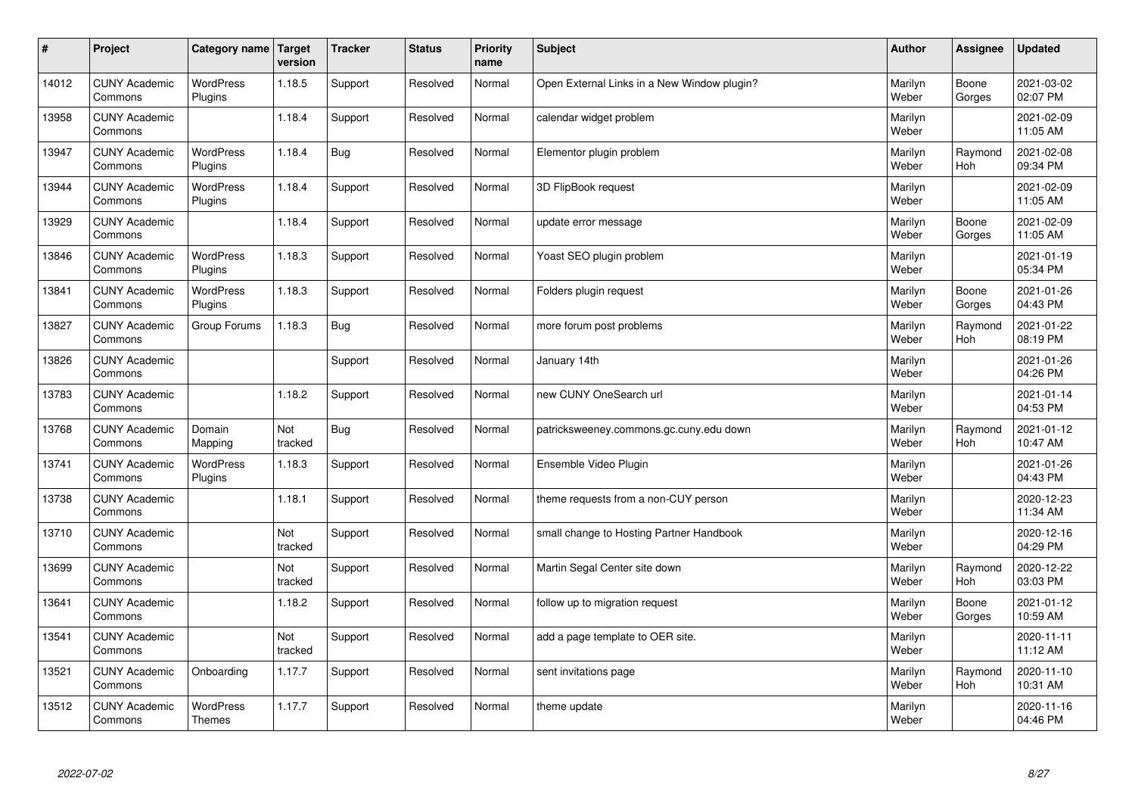| $\sharp$ | Project                         | Category name                     | Target<br>version | <b>Tracker</b> | <b>Status</b> | <b>Priority</b><br>name | <b>Subject</b>                              | <b>Author</b>    | Assignee              | <b>Updated</b>         |
|----------|---------------------------------|-----------------------------------|-------------------|----------------|---------------|-------------------------|---------------------------------------------|------------------|-----------------------|------------------------|
| 14012    | <b>CUNY Academic</b><br>Commons | <b>WordPress</b><br>Plugins       | 1.18.5            | Support        | Resolved      | Normal                  | Open External Links in a New Window plugin? | Marilyn<br>Weber | Boone<br>Gorges       | 2021-03-02<br>02:07 PM |
| 13958    | <b>CUNY Academic</b><br>Commons |                                   | 1.18.4            | Support        | Resolved      | Normal                  | calendar widget problem                     | Marilyn<br>Weber |                       | 2021-02-09<br>11:05 AM |
| 13947    | <b>CUNY Academic</b><br>Commons | <b>WordPress</b><br>Plugins       | 1.18.4            | <b>Bug</b>     | Resolved      | Normal                  | Elementor plugin problem                    | Marilyn<br>Weber | Raymond<br><b>Hoh</b> | 2021-02-08<br>09:34 PM |
| 13944    | <b>CUNY Academic</b><br>Commons | <b>WordPress</b><br>Plugins       | 1.18.4            | Support        | Resolved      | Normal                  | 3D FlipBook request                         | Marilyn<br>Weber |                       | 2021-02-09<br>11:05 AM |
| 13929    | <b>CUNY Academic</b><br>Commons |                                   | 1.18.4            | Support        | Resolved      | Normal                  | update error message                        | Marilyn<br>Weber | Boone<br>Gorges       | 2021-02-09<br>11:05 AM |
| 13846    | <b>CUNY Academic</b><br>Commons | <b>WordPress</b><br>Plugins       | 1.18.3            | Support        | Resolved      | Normal                  | Yoast SEO plugin problem                    | Marilyn<br>Weber |                       | 2021-01-19<br>05:34 PM |
| 13841    | <b>CUNY Academic</b><br>Commons | <b>WordPress</b><br>Plugins       | 1.18.3            | Support        | Resolved      | Normal                  | Folders plugin request                      | Marilyn<br>Weber | Boone<br>Gorges       | 2021-01-26<br>04:43 PM |
| 13827    | <b>CUNY Academic</b><br>Commons | Group Forums                      | 1.18.3            | Bug            | Resolved      | Normal                  | more forum post problems                    | Marilyn<br>Weber | Raymond<br>Hoh        | 2021-01-22<br>08:19 PM |
| 13826    | <b>CUNY Academic</b><br>Commons |                                   |                   | Support        | Resolved      | Normal                  | January 14th                                | Marilyn<br>Weber |                       | 2021-01-26<br>04:26 PM |
| 13783    | <b>CUNY Academic</b><br>Commons |                                   | 1.18.2            | Support        | Resolved      | Normal                  | new CUNY OneSearch url                      | Marilyn<br>Weber |                       | 2021-01-14<br>04:53 PM |
| 13768    | <b>CUNY Academic</b><br>Commons | Domain<br>Mapping                 | Not<br>tracked    | Bug            | Resolved      | Normal                  | patricksweeney.commons.gc.cuny.edu down     | Marilyn<br>Weber | Raymond<br>Hoh        | 2021-01-12<br>10:47 AM |
| 13741    | <b>CUNY Academic</b><br>Commons | <b>WordPress</b><br>Plugins       | 1.18.3            | Support        | Resolved      | Normal                  | Ensemble Video Plugin                       | Marilyn<br>Weber |                       | 2021-01-26<br>04:43 PM |
| 13738    | <b>CUNY Academic</b><br>Commons |                                   | 1.18.1            | Support        | Resolved      | Normal                  | theme requests from a non-CUY person        | Marilyn<br>Weber |                       | 2020-12-23<br>11:34 AM |
| 13710    | <b>CUNY Academic</b><br>Commons |                                   | Not<br>tracked    | Support        | Resolved      | Normal                  | small change to Hosting Partner Handbook    | Marilyn<br>Weber |                       | 2020-12-16<br>04:29 PM |
| 13699    | <b>CUNY Academic</b><br>Commons |                                   | Not<br>tracked    | Support        | Resolved      | Normal                  | Martin Segal Center site down               | Marilyn<br>Weber | Raymond<br>Hoh        | 2020-12-22<br>03:03 PM |
| 13641    | <b>CUNY Academic</b><br>Commons |                                   | 1.18.2            | Support        | Resolved      | Normal                  | follow up to migration request              | Marilyn<br>Weber | Boone<br>Gorges       | 2021-01-12<br>10:59 AM |
| 13541    | <b>CUNY Academic</b><br>Commons |                                   | Not<br>tracked    | Support        | Resolved      | Normal                  | add a page template to OER site.            | Marilyn<br>Weber |                       | 2020-11-11<br>11:12 AM |
| 13521    | <b>CUNY Academic</b><br>Commons | Onboarding                        | 1.17.7            | Support        | Resolved      | Normal                  | sent invitations page                       | Marilyn<br>Weber | Raymond<br>Hoh        | 2020-11-10<br>10:31 AM |
| 13512    | <b>CUNY Academic</b><br>Commons | <b>WordPress</b><br><b>Themes</b> | 1.17.7            | Support        | Resolved      | Normal                  | theme update                                | Marilyn<br>Weber |                       | 2020-11-16<br>04:46 PM |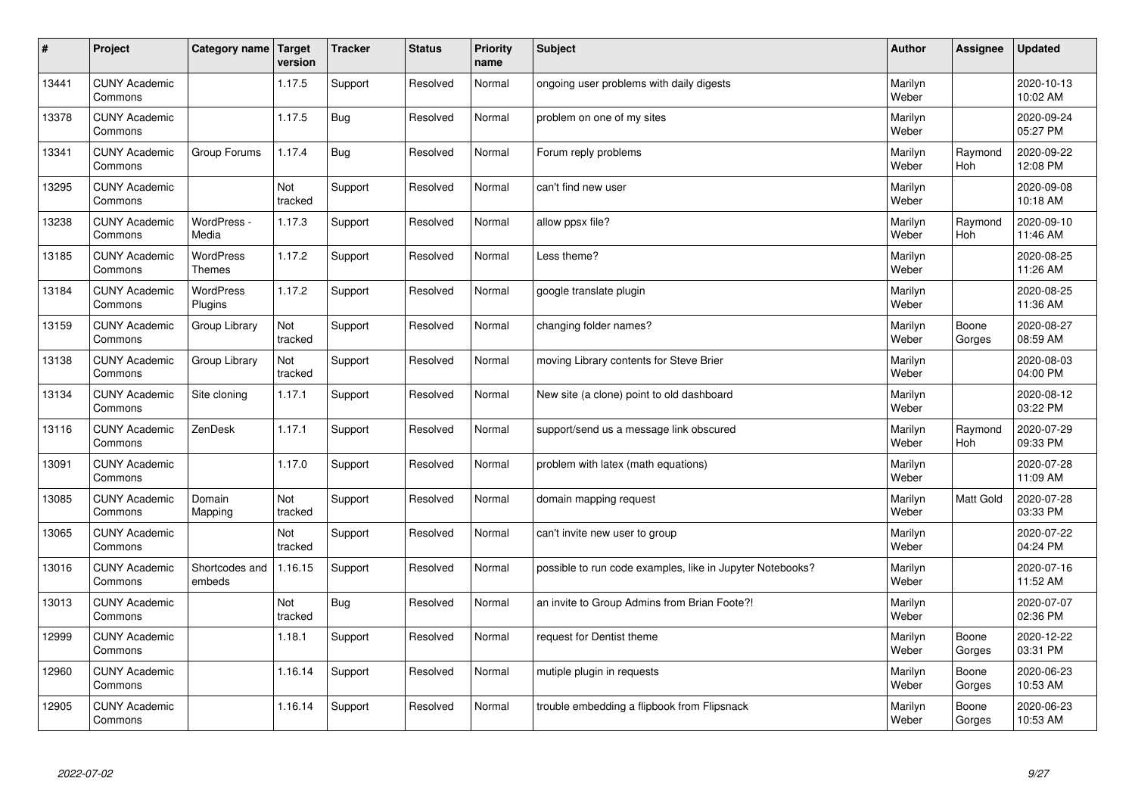| $\sharp$ | Project                         | Category name   Target            | version        | <b>Tracker</b> | <b>Status</b> | <b>Priority</b><br>name | <b>Subject</b>                                            | <b>Author</b>    | Assignee         | <b>Updated</b>         |
|----------|---------------------------------|-----------------------------------|----------------|----------------|---------------|-------------------------|-----------------------------------------------------------|------------------|------------------|------------------------|
| 13441    | <b>CUNY Academic</b><br>Commons |                                   | 1.17.5         | Support        | Resolved      | Normal                  | ongoing user problems with daily digests                  | Marilyn<br>Weber |                  | 2020-10-13<br>10:02 AM |
| 13378    | <b>CUNY Academic</b><br>Commons |                                   | 1.17.5         | Bug            | Resolved      | Normal                  | problem on one of my sites                                | Marilyn<br>Weber |                  | 2020-09-24<br>05:27 PM |
| 13341    | <b>CUNY Academic</b><br>Commons | Group Forums                      | 1.17.4         | Bug            | Resolved      | Normal                  | Forum reply problems                                      | Marilyn<br>Weber | Raymond<br>Hoh   | 2020-09-22<br>12:08 PM |
| 13295    | <b>CUNY Academic</b><br>Commons |                                   | Not<br>tracked | Support        | Resolved      | Normal                  | can't find new user                                       | Marilyn<br>Weber |                  | 2020-09-08<br>10:18 AM |
| 13238    | <b>CUNY Academic</b><br>Commons | WordPress -<br>Media              | 1.17.3         | Support        | Resolved      | Normal                  | allow ppsx file?                                          | Marilyn<br>Weber | Raymond<br>Hoh   | 2020-09-10<br>11:46 AM |
| 13185    | <b>CUNY Academic</b><br>Commons | <b>WordPress</b><br><b>Themes</b> | 1.17.2         | Support        | Resolved      | Normal                  | Less theme?                                               | Marilyn<br>Weber |                  | 2020-08-25<br>11:26 AM |
| 13184    | <b>CUNY Academic</b><br>Commons | <b>WordPress</b><br>Plugins       | 1.17.2         | Support        | Resolved      | Normal                  | google translate plugin                                   | Marilyn<br>Weber |                  | 2020-08-25<br>11:36 AM |
| 13159    | <b>CUNY Academic</b><br>Commons | Group Library                     | Not<br>tracked | Support        | Resolved      | Normal                  | changing folder names?                                    | Marilyn<br>Weber | Boone<br>Gorges  | 2020-08-27<br>08:59 AM |
| 13138    | <b>CUNY Academic</b><br>Commons | Group Library                     | Not<br>tracked | Support        | Resolved      | Normal                  | moving Library contents for Steve Brier                   | Marilyn<br>Weber |                  | 2020-08-03<br>04:00 PM |
| 13134    | <b>CUNY Academic</b><br>Commons | Site cloning                      | 1.17.1         | Support        | Resolved      | Normal                  | New site (a clone) point to old dashboard                 | Marilyn<br>Weber |                  | 2020-08-12<br>03:22 PM |
| 13116    | <b>CUNY Academic</b><br>Commons | ZenDesk                           | 1.17.1         | Support        | Resolved      | Normal                  | support/send us a message link obscured                   | Marilyn<br>Weber | Raymond<br>Hoh   | 2020-07-29<br>09:33 PM |
| 13091    | <b>CUNY Academic</b><br>Commons |                                   | 1.17.0         | Support        | Resolved      | Normal                  | problem with latex (math equations)                       | Marilyn<br>Weber |                  | 2020-07-28<br>11:09 AM |
| 13085    | <b>CUNY Academic</b><br>Commons | Domain<br>Mapping                 | Not<br>tracked | Support        | Resolved      | Normal                  | domain mapping request                                    | Marilyn<br>Weber | <b>Matt Gold</b> | 2020-07-28<br>03:33 PM |
| 13065    | <b>CUNY Academic</b><br>Commons |                                   | Not<br>tracked | Support        | Resolved      | Normal                  | can't invite new user to group                            | Marilyn<br>Weber |                  | 2020-07-22<br>04:24 PM |
| 13016    | <b>CUNY Academic</b><br>Commons | Shortcodes and<br>embeds          | 1.16.15        | Support        | Resolved      | Normal                  | possible to run code examples, like in Jupyter Notebooks? | Marilyn<br>Weber |                  | 2020-07-16<br>11:52 AM |
| 13013    | <b>CUNY Academic</b><br>Commons |                                   | Not<br>tracked | <b>Bug</b>     | Resolved      | Normal                  | an invite to Group Admins from Brian Foote?!              | Marilyn<br>Weber |                  | 2020-07-07<br>02:36 PM |
| 12999    | <b>CUNY Academic</b><br>Commons |                                   | 1.18.1         | Support        | Resolved      | Normal                  | request for Dentist theme                                 | Marilyn<br>Weber | Boone<br>Gorges  | 2020-12-22<br>03:31 PM |
| 12960    | <b>CUNY Academic</b><br>Commons |                                   | 1.16.14        | Support        | Resolved      | Normal                  | mutiple plugin in requests                                | Marilyn<br>Weber | Boone<br>Gorges  | 2020-06-23<br>10:53 AM |
| 12905    | <b>CUNY Academic</b><br>Commons |                                   | 1.16.14        | Support        | Resolved      | Normal                  | trouble embedding a flipbook from Flipsnack               | Marilyn<br>Weber | Boone<br>Gorges  | 2020-06-23<br>10:53 AM |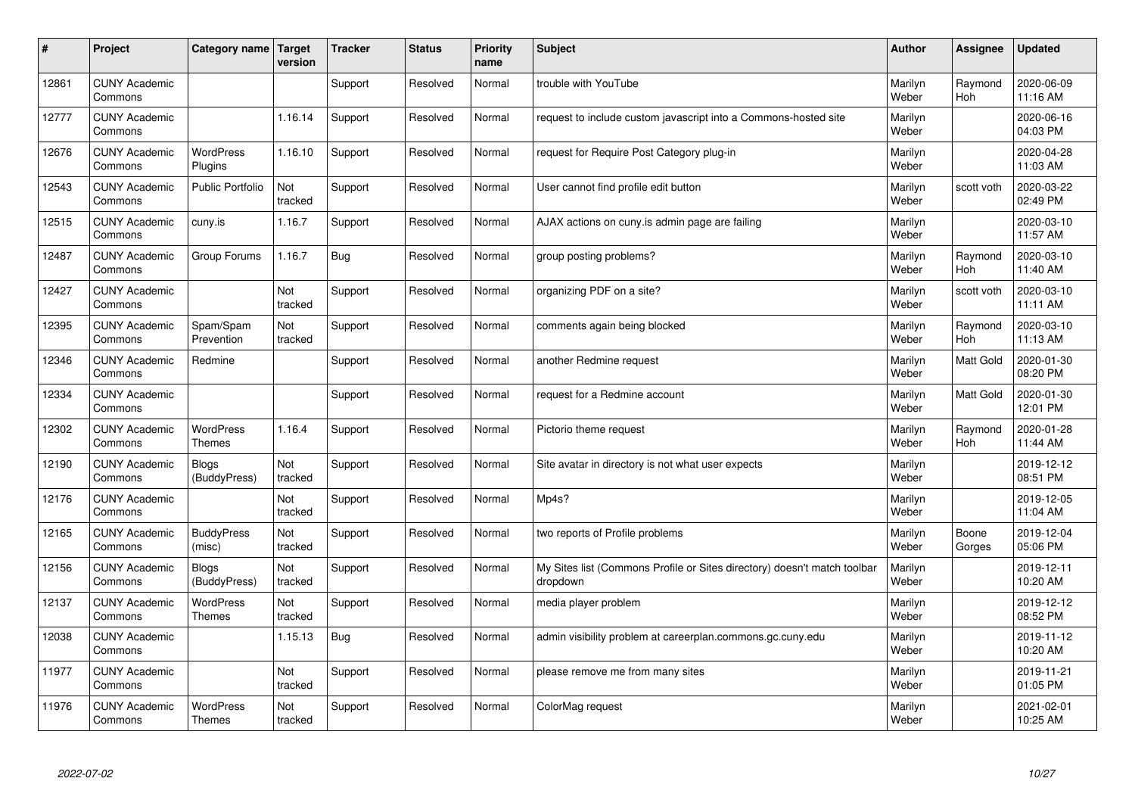| $\sharp$ | Project                         | Category name                     | Target<br>version | <b>Tracker</b> | <b>Status</b> | <b>Priority</b><br>name | <b>Subject</b>                                                                       | <b>Author</b>    | Assignee              | Updated                |
|----------|---------------------------------|-----------------------------------|-------------------|----------------|---------------|-------------------------|--------------------------------------------------------------------------------------|------------------|-----------------------|------------------------|
| 12861    | <b>CUNY Academic</b><br>Commons |                                   |                   | Support        | Resolved      | Normal                  | trouble with YouTube                                                                 | Marilyn<br>Weber | Raymond<br><b>Hoh</b> | 2020-06-09<br>11:16 AM |
| 12777    | <b>CUNY Academic</b><br>Commons |                                   | 1.16.14           | Support        | Resolved      | Normal                  | request to include custom javascript into a Commons-hosted site                      | Marilyn<br>Weber |                       | 2020-06-16<br>04:03 PM |
| 12676    | <b>CUNY Academic</b><br>Commons | <b>WordPress</b><br>Plugins       | 1.16.10           | Support        | Resolved      | Normal                  | request for Require Post Category plug-in                                            | Marilyn<br>Weber |                       | 2020-04-28<br>11:03 AM |
| 12543    | <b>CUNY Academic</b><br>Commons | <b>Public Portfolio</b>           | Not<br>tracked    | Support        | Resolved      | Normal                  | User cannot find profile edit button                                                 | Marilyn<br>Weber | scott voth            | 2020-03-22<br>02:49 PM |
| 12515    | <b>CUNY Academic</b><br>Commons | cuny.is                           | 1.16.7            | Support        | Resolved      | Normal                  | AJAX actions on cuny is admin page are failing                                       | Marilyn<br>Weber |                       | 2020-03-10<br>11:57 AM |
| 12487    | <b>CUNY Academic</b><br>Commons | Group Forums                      | 1.16.7            | Bug            | Resolved      | Normal                  | group posting problems?                                                              | Marilyn<br>Weber | Raymond<br>Hoh        | 2020-03-10<br>11:40 AM |
| 12427    | <b>CUNY Academic</b><br>Commons |                                   | Not<br>tracked    | Support        | Resolved      | Normal                  | organizing PDF on a site?                                                            | Marilyn<br>Weber | scott voth            | 2020-03-10<br>11:11 AM |
| 12395    | <b>CUNY Academic</b><br>Commons | Spam/Spam<br>Prevention           | Not<br>tracked    | Support        | Resolved      | Normal                  | comments again being blocked                                                         | Marilyn<br>Weber | Raymond<br>Hoh        | 2020-03-10<br>11:13 AM |
| 12346    | <b>CUNY Academic</b><br>Commons | Redmine                           |                   | Support        | Resolved      | Normal                  | another Redmine request                                                              | Marilyn<br>Weber | <b>Matt Gold</b>      | 2020-01-30<br>08:20 PM |
| 12334    | <b>CUNY Academic</b><br>Commons |                                   |                   | Support        | Resolved      | Normal                  | request for a Redmine account                                                        | Marilyn<br>Weber | <b>Matt Gold</b>      | 2020-01-30<br>12:01 PM |
| 12302    | <b>CUNY Academic</b><br>Commons | <b>WordPress</b><br><b>Themes</b> | 1.16.4            | Support        | Resolved      | Normal                  | Pictorio theme request                                                               | Marilyn<br>Weber | Raymond<br>Hoh        | 2020-01-28<br>11:44 AM |
| 12190    | <b>CUNY Academic</b><br>Commons | <b>Blogs</b><br>(BuddyPress)      | Not<br>tracked    | Support        | Resolved      | Normal                  | Site avatar in directory is not what user expects                                    | Marilyn<br>Weber |                       | 2019-12-12<br>08:51 PM |
| 12176    | <b>CUNY Academic</b><br>Commons |                                   | Not<br>tracked    | Support        | Resolved      | Normal                  | Mp4s?                                                                                | Marilyn<br>Weber |                       | 2019-12-05<br>11:04 AM |
| 12165    | <b>CUNY Academic</b><br>Commons | <b>BuddyPress</b><br>(misc)       | Not<br>tracked    | Support        | Resolved      | Normal                  | two reports of Profile problems                                                      | Marilyn<br>Weber | Boone<br>Gorges       | 2019-12-04<br>05:06 PM |
| 12156    | <b>CUNY Academic</b><br>Commons | <b>Blogs</b><br>(BuddyPress)      | Not<br>tracked    | Support        | Resolved      | Normal                  | My Sites list (Commons Profile or Sites directory) doesn't match toolbar<br>dropdown | Marilyn<br>Weber |                       | 2019-12-11<br>10:20 AM |
| 12137    | <b>CUNY Academic</b><br>Commons | <b>WordPress</b><br><b>Themes</b> | Not<br>tracked    | Support        | Resolved      | Normal                  | media player problem                                                                 | Marilyn<br>Weber |                       | 2019-12-12<br>08:52 PM |
| 12038    | <b>CUNY Academic</b><br>Commons |                                   | 1.15.13           | Bug            | Resolved      | Normal                  | admin visibility problem at careerplan.commons.gc.cuny.edu                           | Marilyn<br>Weber |                       | 2019-11-12<br>10:20 AM |
| 11977    | <b>CUNY Academic</b><br>Commons |                                   | Not<br>tracked    | Support        | Resolved      | Normal                  | please remove me from many sites                                                     | Marilyn<br>Weber |                       | 2019-11-21<br>01:05 PM |
| 11976    | <b>CUNY Academic</b><br>Commons | <b>WordPress</b><br><b>Themes</b> | Not<br>tracked    | Support        | Resolved      | Normal                  | ColorMag request                                                                     | Marilyn<br>Weber |                       | 2021-02-01<br>10:25 AM |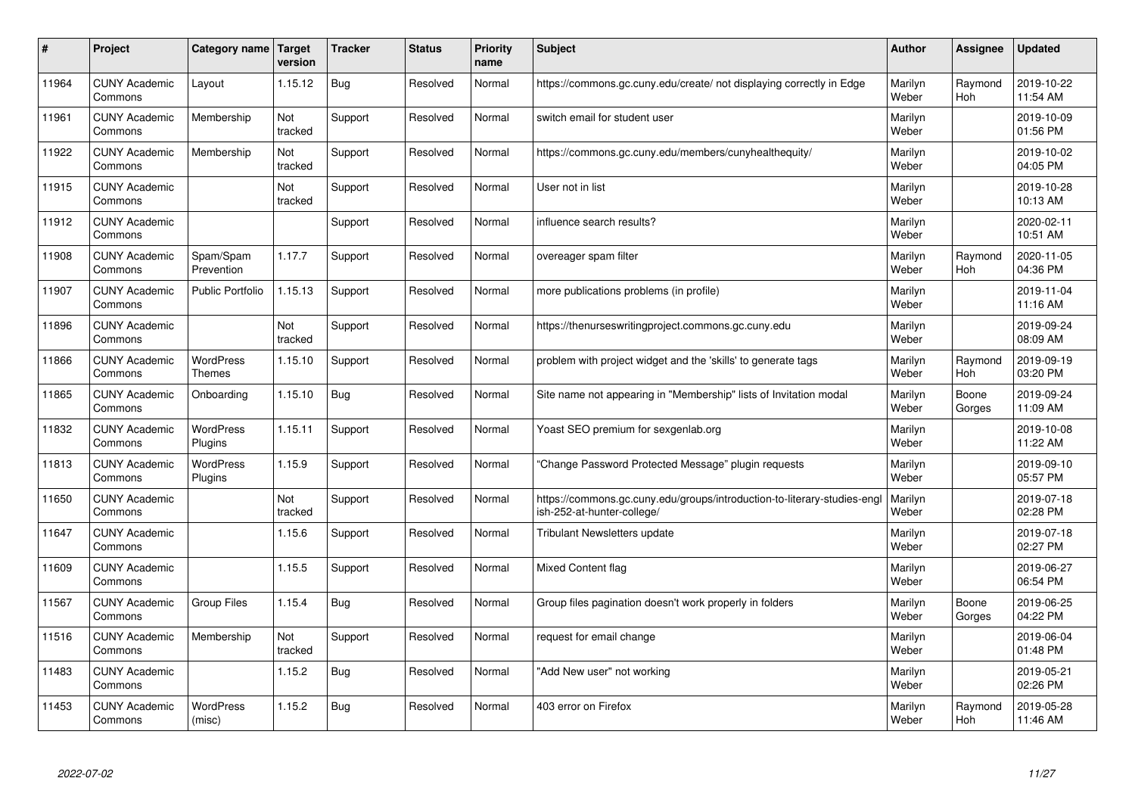| #     | Project                         | Category name   Target            | version        | <b>Tracker</b> | <b>Status</b> | <b>Priority</b><br>name | <b>Subject</b>                                                                                        | <b>Author</b>    | <b>Assignee</b>       | <b>Updated</b>         |
|-------|---------------------------------|-----------------------------------|----------------|----------------|---------------|-------------------------|-------------------------------------------------------------------------------------------------------|------------------|-----------------------|------------------------|
| 11964 | <b>CUNY Academic</b><br>Commons | Layout                            | 1.15.12        | Bug            | Resolved      | Normal                  | https://commons.gc.cuny.edu/create/ not displaying correctly in Edge                                  | Marilyn<br>Weber | Raymond<br><b>Hoh</b> | 2019-10-22<br>11:54 AM |
| 11961 | <b>CUNY Academic</b><br>Commons | Membership                        | Not<br>tracked | Support        | Resolved      | Normal                  | switch email for student user                                                                         | Marilyn<br>Weber |                       | 2019-10-09<br>01:56 PM |
| 11922 | <b>CUNY Academic</b><br>Commons | Membership                        | Not<br>tracked | Support        | Resolved      | Normal                  | https://commons.gc.cuny.edu/members/cunyhealthequity/                                                 | Marilyn<br>Weber |                       | 2019-10-02<br>04:05 PM |
| 11915 | <b>CUNY Academic</b><br>Commons |                                   | Not<br>tracked | Support        | Resolved      | Normal                  | User not in list                                                                                      | Marilyn<br>Weber |                       | 2019-10-28<br>10:13 AM |
| 11912 | <b>CUNY Academic</b><br>Commons |                                   |                | Support        | Resolved      | Normal                  | influence search results?                                                                             | Marilyn<br>Weber |                       | 2020-02-11<br>10:51 AM |
| 11908 | <b>CUNY Academic</b><br>Commons | Spam/Spam<br>Prevention           | 1.17.7         | Support        | Resolved      | Normal                  | overeager spam filter                                                                                 | Marilyn<br>Weber | Raymond<br>Hoh        | 2020-11-05<br>04:36 PM |
| 11907 | <b>CUNY Academic</b><br>Commons | <b>Public Portfolio</b>           | 1.15.13        | Support        | Resolved      | Normal                  | more publications problems (in profile)                                                               | Marilyn<br>Weber |                       | 2019-11-04<br>11:16 AM |
| 11896 | <b>CUNY Academic</b><br>Commons |                                   | Not<br>tracked | Support        | Resolved      | Normal                  | https://thenurseswritingproject.commons.gc.cuny.edu                                                   | Marilyn<br>Weber |                       | 2019-09-24<br>08:09 AM |
| 11866 | <b>CUNY Academic</b><br>Commons | <b>WordPress</b><br><b>Themes</b> | 1.15.10        | Support        | Resolved      | Normal                  | problem with project widget and the 'skills' to generate tags                                         | Marilyn<br>Weber | Raymond<br>Hoh        | 2019-09-19<br>03:20 PM |
| 11865 | <b>CUNY Academic</b><br>Commons | Onboarding                        | 1.15.10        | Bug            | Resolved      | Normal                  | Site name not appearing in "Membership" lists of Invitation modal                                     | Marilyn<br>Weber | Boone<br>Gorges       | 2019-09-24<br>11:09 AM |
| 11832 | <b>CUNY Academic</b><br>Commons | <b>WordPress</b><br>Plugins       | 1.15.11        | Support        | Resolved      | Normal                  | Yoast SEO premium for sexgenlab.org                                                                   | Marilyn<br>Weber |                       | 2019-10-08<br>11:22 AM |
| 11813 | <b>CUNY Academic</b><br>Commons | <b>WordPress</b><br>Plugins       | 1.15.9         | Support        | Resolved      | Normal                  | Change Password Protected Message" plugin requests                                                    | Marilyn<br>Weber |                       | 2019-09-10<br>05:57 PM |
| 11650 | <b>CUNY Academic</b><br>Commons |                                   | Not<br>tracked | Support        | Resolved      | Normal                  | https://commons.gc.cuny.edu/groups/introduction-to-literary-studies-eng<br>ish-252-at-hunter-college/ | Marilyn<br>Weber |                       | 2019-07-18<br>02:28 PM |
| 11647 | <b>CUNY Academic</b><br>Commons |                                   | 1.15.6         | Support        | Resolved      | Normal                  | <b>Tribulant Newsletters update</b>                                                                   | Marilyn<br>Weber |                       | 2019-07-18<br>02:27 PM |
| 11609 | <b>CUNY Academic</b><br>Commons |                                   | 1.15.5         | Support        | Resolved      | Normal                  | <b>Mixed Content flag</b>                                                                             | Marilyn<br>Weber |                       | 2019-06-27<br>06:54 PM |
| 11567 | <b>CUNY Academic</b><br>Commons | Group Files                       | 1.15.4         | Bug            | Resolved      | Normal                  | Group files pagination doesn't work properly in folders                                               | Marilyn<br>Weber | Boone<br>Gorges       | 2019-06-25<br>04:22 PM |
| 11516 | <b>CUNY Academic</b><br>Commons | Membership                        | Not<br>tracked | Support        | Resolved      | Normal                  | request for email change                                                                              | Marilyn<br>Weber |                       | 2019-06-04<br>01:48 PM |
| 11483 | <b>CUNY Academic</b><br>Commons |                                   | 1.15.2         | <b>Bug</b>     | Resolved      | Normal                  | 'Add New user" not working                                                                            | Marilyn<br>Weber |                       | 2019-05-21<br>02:26 PM |
| 11453 | <b>CUNY Academic</b><br>Commons | <b>WordPress</b><br>(misc)        | 1.15.2         | Bug            | Resolved      | Normal                  | 403 error on Firefox                                                                                  | Marilyn<br>Weber | Raymond<br>Hoh        | 2019-05-28<br>11:46 AM |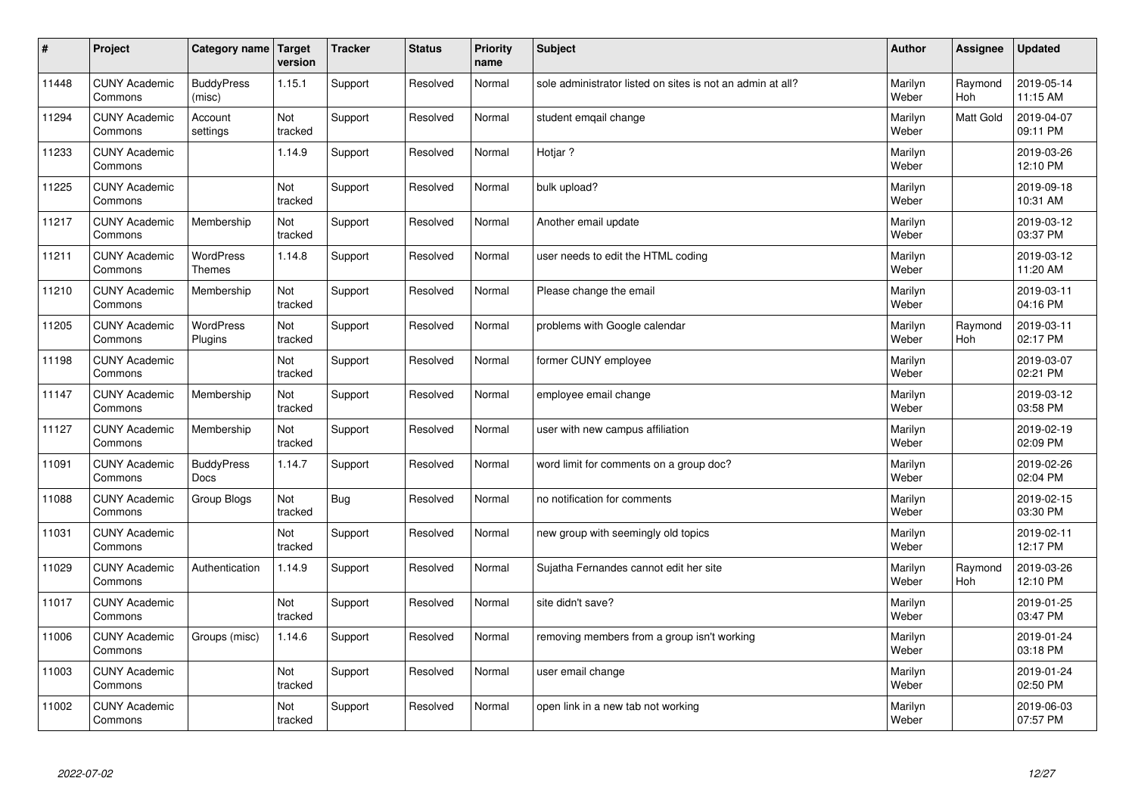| #     | Project                         | Category name                    | Target<br>version | <b>Tracker</b> | <b>Status</b> | <b>Priority</b><br>name | <b>Subject</b>                                             | <b>Author</b>    | Assignee       | <b>Updated</b>         |
|-------|---------------------------------|----------------------------------|-------------------|----------------|---------------|-------------------------|------------------------------------------------------------|------------------|----------------|------------------------|
| 11448 | <b>CUNY Academic</b><br>Commons | <b>BuddyPress</b><br>(misc)      | 1.15.1            | Support        | Resolved      | Normal                  | sole administrator listed on sites is not an admin at all? | Marilyn<br>Weber | Raymond<br>Hoh | 2019-05-14<br>11:15 AM |
| 11294 | <b>CUNY Academic</b><br>Commons | Account<br>settings              | Not<br>tracked    | Support        | Resolved      | Normal                  | student emqail change                                      | Marilyn<br>Weber | Matt Gold      | 2019-04-07<br>09:11 PM |
| 11233 | <b>CUNY Academic</b><br>Commons |                                  | 1.14.9            | Support        | Resolved      | Normal                  | Hotjar?                                                    | Marilyn<br>Weber |                | 2019-03-26<br>12:10 PM |
| 11225 | <b>CUNY Academic</b><br>Commons |                                  | Not<br>tracked    | Support        | Resolved      | Normal                  | bulk upload?                                               | Marilyn<br>Weber |                | 2019-09-18<br>10:31 AM |
| 11217 | <b>CUNY Academic</b><br>Commons | Membership                       | Not<br>tracked    | Support        | Resolved      | Normal                  | Another email update                                       | Marilyn<br>Weber |                | 2019-03-12<br>03:37 PM |
| 11211 | <b>CUNY Academic</b><br>Commons | <b>WordPress</b><br>Themes       | 1.14.8            | Support        | Resolved      | Normal                  | user needs to edit the HTML coding                         | Marilyn<br>Weber |                | 2019-03-12<br>11:20 AM |
| 11210 | <b>CUNY Academic</b><br>Commons | Membership                       | Not<br>tracked    | Support        | Resolved      | Normal                  | Please change the email                                    | Marilyn<br>Weber |                | 2019-03-11<br>04:16 PM |
| 11205 | <b>CUNY Academic</b><br>Commons | WordPress<br>Plugins             | Not<br>tracked    | Support        | Resolved      | Normal                  | problems with Google calendar                              | Marilyn<br>Weber | Raymond<br>Hoh | 2019-03-11<br>02:17 PM |
| 11198 | <b>CUNY Academic</b><br>Commons |                                  | Not<br>tracked    | Support        | Resolved      | Normal                  | former CUNY employee                                       | Marilyn<br>Weber |                | 2019-03-07<br>02:21 PM |
| 11147 | <b>CUNY Academic</b><br>Commons | Membership                       | Not<br>tracked    | Support        | Resolved      | Normal                  | employee email change                                      | Marilyn<br>Weber |                | 2019-03-12<br>03:58 PM |
| 11127 | <b>CUNY Academic</b><br>Commons | Membership                       | Not<br>tracked    | Support        | Resolved      | Normal                  | user with new campus affiliation                           | Marilyn<br>Weber |                | 2019-02-19<br>02:09 PM |
| 11091 | <b>CUNY Academic</b><br>Commons | <b>BuddyPress</b><br><b>Docs</b> | 1.14.7            | Support        | Resolved      | Normal                  | word limit for comments on a group doc?                    | Marilyn<br>Weber |                | 2019-02-26<br>02:04 PM |
| 11088 | <b>CUNY Academic</b><br>Commons | Group Blogs                      | Not<br>tracked    | <b>Bug</b>     | Resolved      | Normal                  | no notification for comments                               | Marilyn<br>Weber |                | 2019-02-15<br>03:30 PM |
| 11031 | <b>CUNY Academic</b><br>Commons |                                  | Not<br>tracked    | Support        | Resolved      | Normal                  | new group with seemingly old topics                        | Marilyn<br>Weber |                | 2019-02-11<br>12:17 PM |
| 11029 | <b>CUNY Academic</b><br>Commons | Authentication                   | 1.14.9            | Support        | Resolved      | Normal                  | Sujatha Fernandes cannot edit her site                     | Marilyn<br>Weber | Raymond<br>Hoh | 2019-03-26<br>12:10 PM |
| 11017 | <b>CUNY Academic</b><br>Commons |                                  | Not<br>tracked    | Support        | Resolved      | Normal                  | site didn't save?                                          | Marilyn<br>Weber |                | 2019-01-25<br>03:47 PM |
| 11006 | <b>CUNY Academic</b><br>Commons | Groups (misc)                    | 1.14.6            | Support        | Resolved      | Normal                  | removing members from a group isn't working                | Marilyn<br>Weber |                | 2019-01-24<br>03:18 PM |
| 11003 | <b>CUNY Academic</b><br>Commons |                                  | Not<br>tracked    | Support        | Resolved      | Normal                  | user email change                                          | Marilyn<br>Weber |                | 2019-01-24<br>02:50 PM |
| 11002 | <b>CUNY Academic</b><br>Commons |                                  | Not<br>tracked    | Support        | Resolved      | Normal                  | open link in a new tab not working                         | Marilyn<br>Weber |                | 2019-06-03<br>07:57 PM |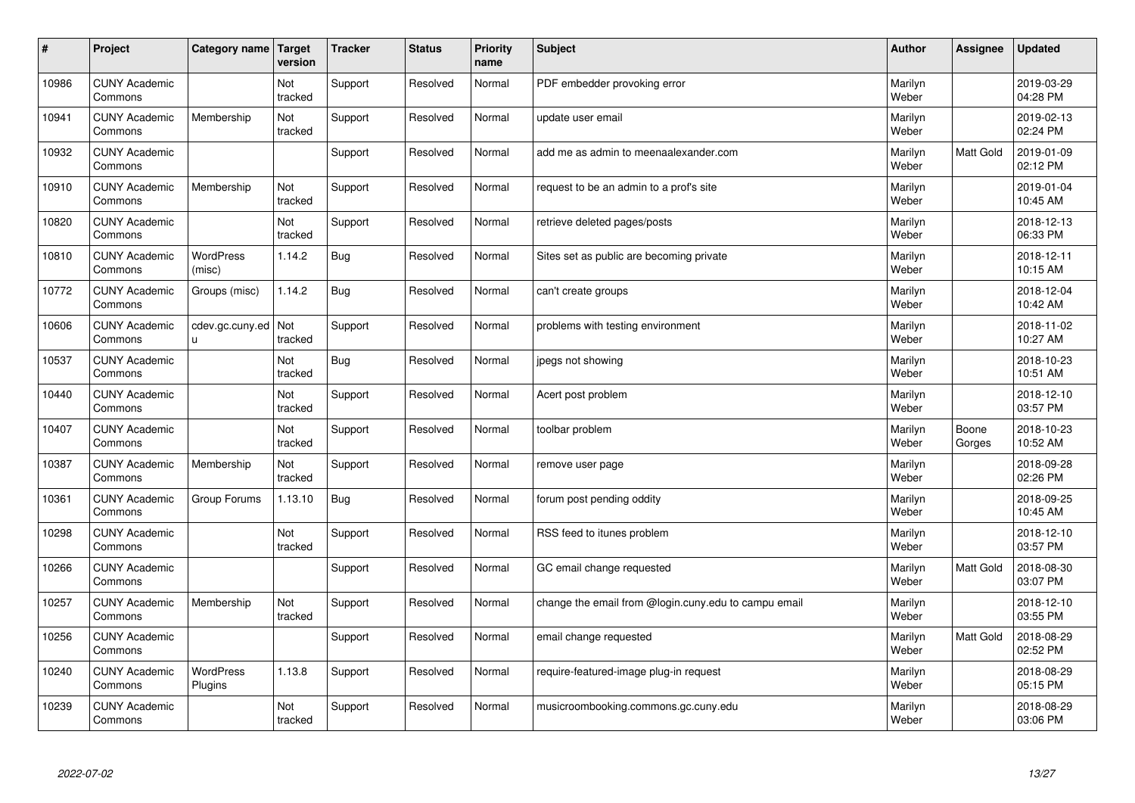| #     | Project                         | Category name   Target      | version        | <b>Tracker</b> | <b>Status</b> | <b>Priority</b><br>name | <b>Subject</b>                                       | <b>Author</b>    | Assignee         | Updated                |
|-------|---------------------------------|-----------------------------|----------------|----------------|---------------|-------------------------|------------------------------------------------------|------------------|------------------|------------------------|
| 10986 | <b>CUNY Academic</b><br>Commons |                             | Not<br>tracked | Support        | Resolved      | Normal                  | PDF embedder provoking error                         | Marilyn<br>Weber |                  | 2019-03-29<br>04:28 PM |
| 10941 | <b>CUNY Academic</b><br>Commons | Membership                  | Not<br>tracked | Support        | Resolved      | Normal                  | update user email                                    | Marilyn<br>Weber |                  | 2019-02-13<br>02:24 PM |
| 10932 | <b>CUNY Academic</b><br>Commons |                             |                | Support        | Resolved      | Normal                  | add me as admin to meenaalexander.com                | Marilyn<br>Weber | Matt Gold        | 2019-01-09<br>02:12 PM |
| 10910 | <b>CUNY Academic</b><br>Commons | Membership                  | Not<br>tracked | Support        | Resolved      | Normal                  | request to be an admin to a prof's site              | Marilyn<br>Weber |                  | 2019-01-04<br>10:45 AM |
| 10820 | <b>CUNY Academic</b><br>Commons |                             | Not<br>tracked | Support        | Resolved      | Normal                  | retrieve deleted pages/posts                         | Marilyn<br>Weber |                  | 2018-12-13<br>06:33 PM |
| 10810 | <b>CUNY Academic</b><br>Commons | <b>WordPress</b><br>(misc)  | 1.14.2         | <b>Bug</b>     | Resolved      | Normal                  | Sites set as public are becoming private             | Marilyn<br>Weber |                  | 2018-12-11<br>10:15 AM |
| 10772 | <b>CUNY Academic</b><br>Commons | Groups (misc)               | 1.14.2         | Bug            | Resolved      | Normal                  | can't create groups                                  | Marilyn<br>Weber |                  | 2018-12-04<br>10:42 AM |
| 10606 | <b>CUNY Academic</b><br>Commons | cdev.gc.cuny.ed<br>u.       | Not<br>tracked | Support        | Resolved      | Normal                  | problems with testing environment                    | Marilyn<br>Weber |                  | 2018-11-02<br>10:27 AM |
| 10537 | <b>CUNY Academic</b><br>Commons |                             | Not<br>tracked | Bug            | Resolved      | Normal                  | jpegs not showing                                    | Marilyn<br>Weber |                  | 2018-10-23<br>10:51 AM |
| 10440 | <b>CUNY Academic</b><br>Commons |                             | Not<br>tracked | Support        | Resolved      | Normal                  | Acert post problem                                   | Marilyn<br>Weber |                  | 2018-12-10<br>03:57 PM |
| 10407 | <b>CUNY Academic</b><br>Commons |                             | Not<br>tracked | Support        | Resolved      | Normal                  | toolbar problem                                      | Marilyn<br>Weber | Boone<br>Gorges  | 2018-10-23<br>10:52 AM |
| 10387 | <b>CUNY Academic</b><br>Commons | Membership                  | Not<br>tracked | Support        | Resolved      | Normal                  | remove user page                                     | Marilyn<br>Weber |                  | 2018-09-28<br>02:26 PM |
| 10361 | <b>CUNY Academic</b><br>Commons | Group Forums                | 1.13.10        | Bug            | Resolved      | Normal                  | forum post pending oddity                            | Marilyn<br>Weber |                  | 2018-09-25<br>10:45 AM |
| 10298 | <b>CUNY Academic</b><br>Commons |                             | Not<br>tracked | Support        | Resolved      | Normal                  | RSS feed to itunes problem                           | Marilyn<br>Weber |                  | 2018-12-10<br>03:57 PM |
| 10266 | <b>CUNY Academic</b><br>Commons |                             |                | Support        | Resolved      | Normal                  | GC email change requested                            | Marilyn<br>Weber | Matt Gold        | 2018-08-30<br>03:07 PM |
| 10257 | <b>CUNY Academic</b><br>Commons | Membership                  | Not<br>tracked | Support        | Resolved      | Normal                  | change the email from @login.cuny.edu to campu email | Marilyn<br>Weber |                  | 2018-12-10<br>03:55 PM |
| 10256 | <b>CUNY Academic</b><br>Commons |                             |                | Support        | Resolved      | Normal                  | email change requested                               | Marilyn<br>Weber | <b>Matt Gold</b> | 2018-08-29<br>02:52 PM |
| 10240 | <b>CUNY Academic</b><br>Commons | <b>WordPress</b><br>Plugins | 1.13.8         | Support        | Resolved      | Normal                  | require-featured-image plug-in request               | Marilyn<br>Weber |                  | 2018-08-29<br>05:15 PM |
| 10239 | <b>CUNY Academic</b><br>Commons |                             | Not<br>tracked | Support        | Resolved      | Normal                  | musicroombooking.commons.gc.cuny.edu                 | Marilyn<br>Weber |                  | 2018-08-29<br>03:06 PM |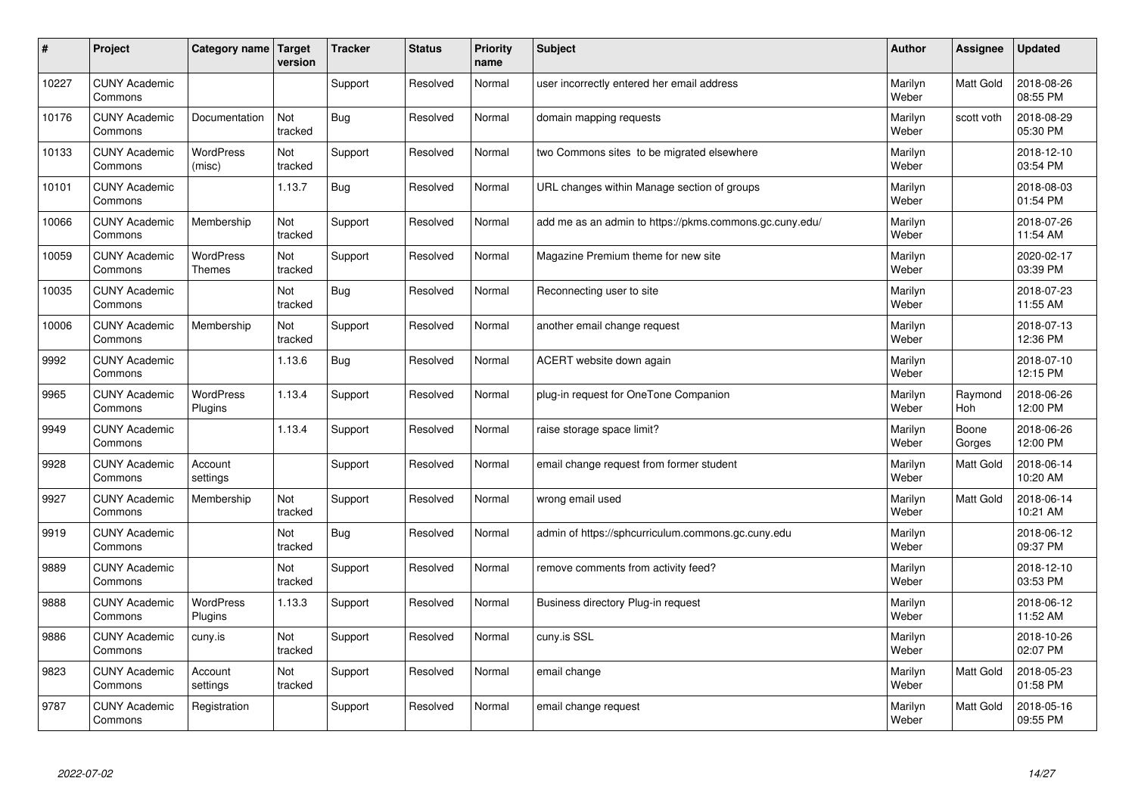| $\vert$ # | Project                         | Category name   Target            | version        | <b>Tracker</b> | <b>Status</b> | <b>Priority</b><br>name | <b>Subject</b>                                          | <b>Author</b>    | Assignee        | <b>Updated</b>         |
|-----------|---------------------------------|-----------------------------------|----------------|----------------|---------------|-------------------------|---------------------------------------------------------|------------------|-----------------|------------------------|
| 10227     | <b>CUNY Academic</b><br>Commons |                                   |                | Support        | Resolved      | Normal                  | user incorrectly entered her email address              | Marilyn<br>Weber | Matt Gold       | 2018-08-26<br>08:55 PM |
| 10176     | <b>CUNY Academic</b><br>Commons | Documentation                     | Not<br>tracked | Bug            | Resolved      | Normal                  | domain mapping requests                                 | Marilyn<br>Weber | scott voth      | 2018-08-29<br>05:30 PM |
| 10133     | <b>CUNY Academic</b><br>Commons | <b>WordPress</b><br>(misc)        | Not<br>tracked | Support        | Resolved      | Normal                  | two Commons sites to be migrated elsewhere              | Marilyn<br>Weber |                 | 2018-12-10<br>03:54 PM |
| 10101     | <b>CUNY Academic</b><br>Commons |                                   | 1.13.7         | <b>Bug</b>     | Resolved      | Normal                  | URL changes within Manage section of groups             | Marilyn<br>Weber |                 | 2018-08-03<br>01:54 PM |
| 10066     | <b>CUNY Academic</b><br>Commons | Membership                        | Not<br>tracked | Support        | Resolved      | Normal                  | add me as an admin to https://pkms.commons.gc.cuny.edu/ | Marilyn<br>Weber |                 | 2018-07-26<br>11:54 AM |
| 10059     | <b>CUNY Academic</b><br>Commons | <b>WordPress</b><br><b>Themes</b> | Not<br>tracked | Support        | Resolved      | Normal                  | Magazine Premium theme for new site                     | Marilyn<br>Weber |                 | 2020-02-17<br>03:39 PM |
| 10035     | <b>CUNY Academic</b><br>Commons |                                   | Not<br>tracked | <b>Bug</b>     | Resolved      | Normal                  | Reconnecting user to site                               | Marilyn<br>Weber |                 | 2018-07-23<br>11:55 AM |
| 10006     | <b>CUNY Academic</b><br>Commons | Membership                        | Not<br>tracked | Support        | Resolved      | Normal                  | another email change request                            | Marilyn<br>Weber |                 | 2018-07-13<br>12:36 PM |
| 9992      | <b>CUNY Academic</b><br>Commons |                                   | 1.13.6         | Bug            | Resolved      | Normal                  | ACERT website down again                                | Marilyn<br>Weber |                 | 2018-07-10<br>12:15 PM |
| 9965      | <b>CUNY Academic</b><br>Commons | WordPress<br>Plugins              | 1.13.4         | Support        | Resolved      | Normal                  | plug-in request for OneTone Companion                   | Marilyn<br>Weber | Raymond<br>Hoh  | 2018-06-26<br>12:00 PM |
| 9949      | <b>CUNY Academic</b><br>Commons |                                   | 1.13.4         | Support        | Resolved      | Normal                  | raise storage space limit?                              | Marilyn<br>Weber | Boone<br>Gorges | 2018-06-26<br>12:00 PM |
| 9928      | <b>CUNY Academic</b><br>Commons | Account<br>settings               |                | Support        | Resolved      | Normal                  | email change request from former student                | Marilyn<br>Weber | Matt Gold       | 2018-06-14<br>10:20 AM |
| 9927      | <b>CUNY Academic</b><br>Commons | Membership                        | Not<br>tracked | Support        | Resolved      | Normal                  | wrong email used                                        | Marilyn<br>Weber | Matt Gold       | 2018-06-14<br>10:21 AM |
| 9919      | <b>CUNY Academic</b><br>Commons |                                   | Not<br>tracked | <b>Bug</b>     | Resolved      | Normal                  | admin of https://sphcurriculum.commons.gc.cuny.edu      | Marilyn<br>Weber |                 | 2018-06-12<br>09:37 PM |
| 9889      | <b>CUNY Academic</b><br>Commons |                                   | Not<br>tracked | Support        | Resolved      | Normal                  | remove comments from activity feed?                     | Marilyn<br>Weber |                 | 2018-12-10<br>03:53 PM |
| 9888      | <b>CUNY Academic</b><br>Commons | WordPress<br>Plugins              | 1.13.3         | Support        | Resolved      | Normal                  | Business directory Plug-in request                      | Marilyn<br>Weber |                 | 2018-06-12<br>11:52 AM |
| 9886      | <b>CUNY Academic</b><br>Commons | cuny.is                           | Not<br>tracked | Support        | Resolved      | Normal                  | cuny.is SSL                                             | Marilyn<br>Weber |                 | 2018-10-26<br>02:07 PM |
| 9823      | <b>CUNY Academic</b><br>Commons | Account<br>settings               | Not<br>tracked | Support        | Resolved      | Normal                  | email change                                            | Marilyn<br>Weber | Matt Gold       | 2018-05-23<br>01:58 PM |
| 9787      | <b>CUNY Academic</b><br>Commons | Registration                      |                | Support        | Resolved      | Normal                  | email change request                                    | Marilyn<br>Weber | Matt Gold       | 2018-05-16<br>09:55 PM |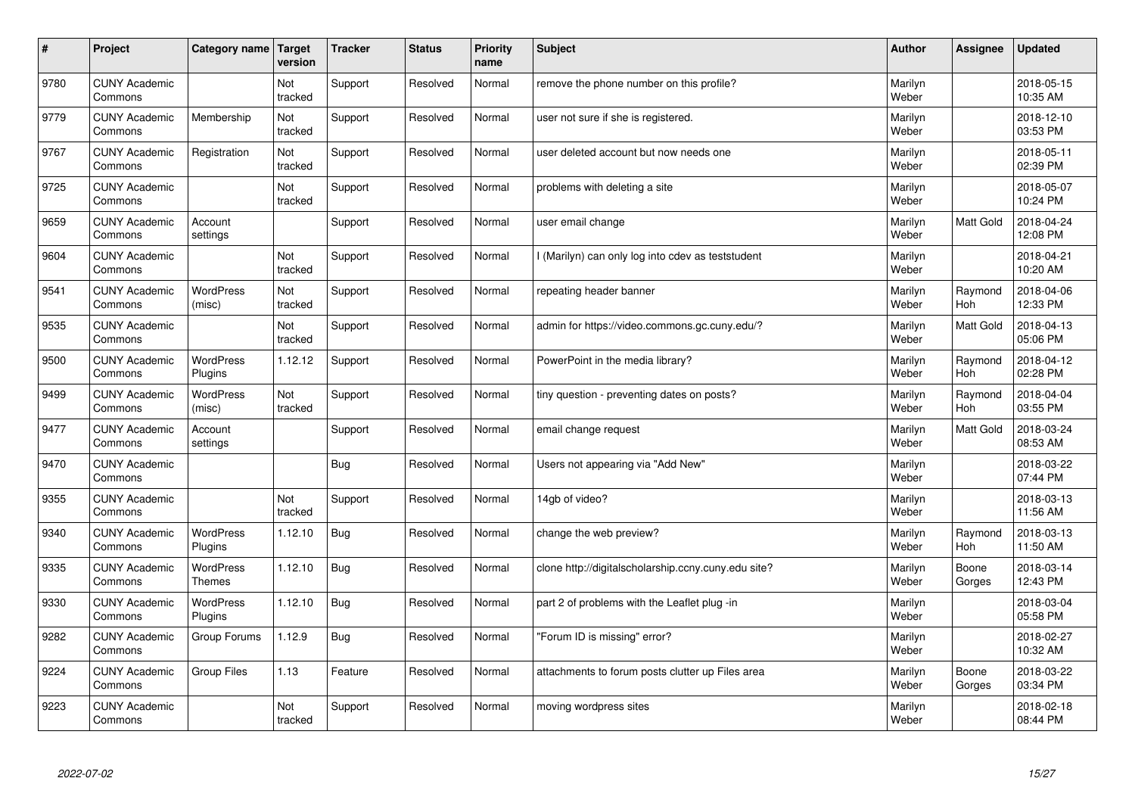| #    | Project                         | Category name                     | Target<br>version | <b>Tracker</b> | <b>Status</b> | <b>Priority</b><br>name | <b>Subject</b>                                      | <b>Author</b>    | Assignee        | <b>Updated</b>         |
|------|---------------------------------|-----------------------------------|-------------------|----------------|---------------|-------------------------|-----------------------------------------------------|------------------|-----------------|------------------------|
| 9780 | <b>CUNY Academic</b><br>Commons |                                   | Not<br>tracked    | Support        | Resolved      | Normal                  | remove the phone number on this profile?            | Marilyn<br>Weber |                 | 2018-05-15<br>10:35 AM |
| 9779 | <b>CUNY Academic</b><br>Commons | Membership                        | Not<br>tracked    | Support        | Resolved      | Normal                  | user not sure if she is registered.                 | Marilyn<br>Weber |                 | 2018-12-10<br>03:53 PM |
| 9767 | <b>CUNY Academic</b><br>Commons | Registration                      | Not<br>tracked    | Support        | Resolved      | Normal                  | user deleted account but now needs one              | Marilyn<br>Weber |                 | 2018-05-11<br>02:39 PM |
| 9725 | <b>CUNY Academic</b><br>Commons |                                   | Not<br>tracked    | Support        | Resolved      | Normal                  | problems with deleting a site                       | Marilyn<br>Weber |                 | 2018-05-07<br>10:24 PM |
| 9659 | <b>CUNY Academic</b><br>Commons | Account<br>settings               |                   | Support        | Resolved      | Normal                  | user email change                                   | Marilyn<br>Weber | Matt Gold       | 2018-04-24<br>12:08 PM |
| 9604 | <b>CUNY Academic</b><br>Commons |                                   | Not<br>tracked    | Support        | Resolved      | Normal                  | I (Marilyn) can only log into cdev as teststudent   | Marilyn<br>Weber |                 | 2018-04-21<br>10:20 AM |
| 9541 | <b>CUNY Academic</b><br>Commons | <b>WordPress</b><br>(misc)        | Not<br>tracked    | Support        | Resolved      | Normal                  | repeating header banner                             | Marilyn<br>Weber | Raymond<br>Hoh  | 2018-04-06<br>12:33 PM |
| 9535 | <b>CUNY Academic</b><br>Commons |                                   | Not<br>tracked    | Support        | Resolved      | Normal                  | admin for https://video.commons.gc.cuny.edu/?       | Marilyn<br>Weber | Matt Gold       | 2018-04-13<br>05:06 PM |
| 9500 | <b>CUNY Academic</b><br>Commons | <b>WordPress</b><br>Plugins       | 1.12.12           | Support        | Resolved      | Normal                  | PowerPoint in the media library?                    | Marilyn<br>Weber | Raymond<br>Hoh  | 2018-04-12<br>02:28 PM |
| 9499 | <b>CUNY Academic</b><br>Commons | WordPress<br>(misc)               | Not<br>tracked    | Support        | Resolved      | Normal                  | tiny question - preventing dates on posts?          | Marilyn<br>Weber | Raymond<br>Hoh  | 2018-04-04<br>03:55 PM |
| 9477 | <b>CUNY Academic</b><br>Commons | Account<br>settings               |                   | Support        | Resolved      | Normal                  | email change request                                | Marilyn<br>Weber | Matt Gold       | 2018-03-24<br>08:53 AM |
| 9470 | <b>CUNY Academic</b><br>Commons |                                   |                   | <b>Bug</b>     | Resolved      | Normal                  | Users not appearing via "Add New"                   | Marilyn<br>Weber |                 | 2018-03-22<br>07:44 PM |
| 9355 | <b>CUNY Academic</b><br>Commons |                                   | Not<br>tracked    | Support        | Resolved      | Normal                  | 14gb of video?                                      | Marilyn<br>Weber |                 | 2018-03-13<br>11:56 AM |
| 9340 | <b>CUNY Academic</b><br>Commons | <b>WordPress</b><br>Plugins       | 1.12.10           | Bug            | Resolved      | Normal                  | change the web preview?                             | Marilyn<br>Weber | Raymond<br>Hoh  | 2018-03-13<br>11:50 AM |
| 9335 | <b>CUNY Academic</b><br>Commons | <b>WordPress</b><br><b>Themes</b> | 1.12.10           | Bug            | Resolved      | Normal                  | clone http://digitalscholarship.ccny.cuny.edu site? | Marilyn<br>Weber | Boone<br>Gorges | 2018-03-14<br>12:43 PM |
| 9330 | <b>CUNY Academic</b><br>Commons | <b>WordPress</b><br>Plugins       | 1.12.10           | Bug            | Resolved      | Normal                  | part 2 of problems with the Leaflet plug -in        | Marilyn<br>Weber |                 | 2018-03-04<br>05:58 PM |
| 9282 | <b>CUNY Academic</b><br>Commons | Group Forums                      | 1.12.9            | Bug            | Resolved      | Normal                  | 'Forum ID is missing" error?                        | Marilyn<br>Weber |                 | 2018-02-27<br>10:32 AM |
| 9224 | <b>CUNY Academic</b><br>Commons | Group Files                       | 1.13              | Feature        | Resolved      | Normal                  | attachments to forum posts clutter up Files area    | Marilyn<br>Weber | Boone<br>Gorges | 2018-03-22<br>03:34 PM |
| 9223 | <b>CUNY Academic</b><br>Commons |                                   | Not<br>tracked    | Support        | Resolved      | Normal                  | moving wordpress sites                              | Marilyn<br>Weber |                 | 2018-02-18<br>08:44 PM |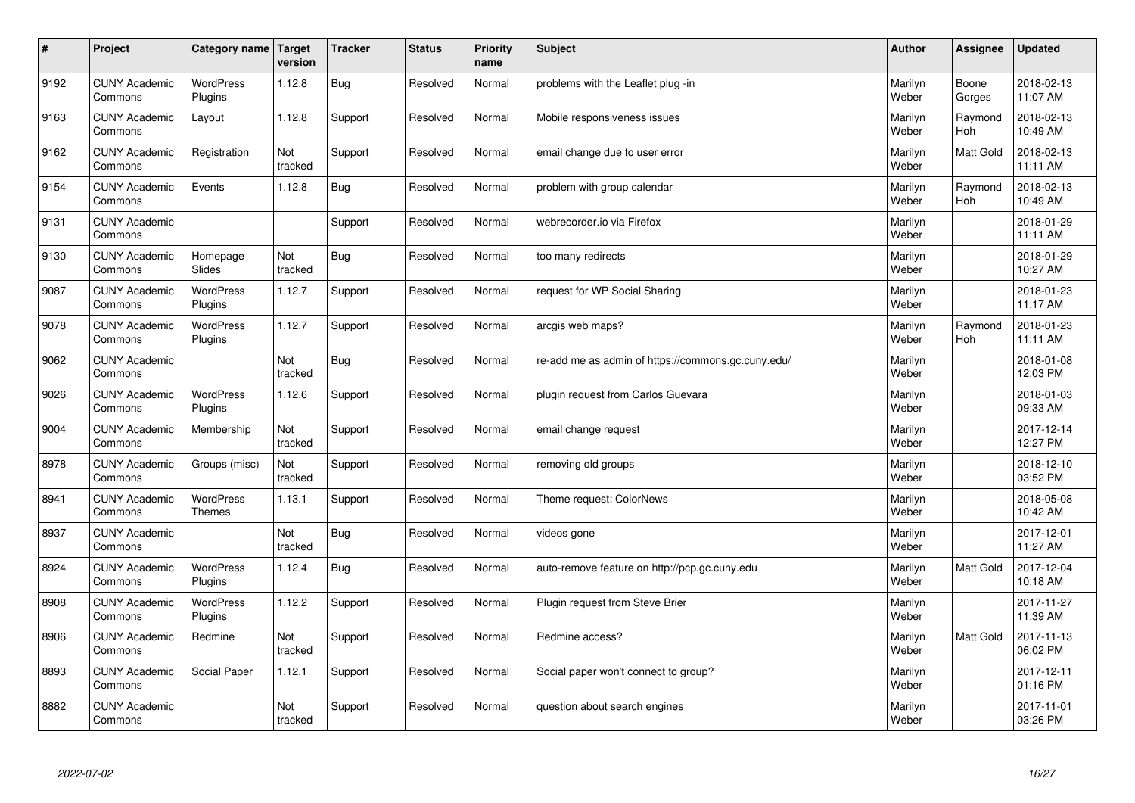| $\vert$ # | Project                         | Category name                     | Target<br>version | <b>Tracker</b> | <b>Status</b> | <b>Priority</b><br>name | <b>Subject</b>                                     | <b>Author</b>    | Assignee              | Updated                |
|-----------|---------------------------------|-----------------------------------|-------------------|----------------|---------------|-------------------------|----------------------------------------------------|------------------|-----------------------|------------------------|
| 9192      | <b>CUNY Academic</b><br>Commons | <b>WordPress</b><br>Plugins       | 1.12.8            | Bug            | Resolved      | Normal                  | problems with the Leaflet plug -in                 | Marilyn<br>Weber | Boone<br>Gorges       | 2018-02-13<br>11:07 AM |
| 9163      | <b>CUNY Academic</b><br>Commons | Layout                            | 1.12.8            | Support        | Resolved      | Normal                  | Mobile responsiveness issues                       | Marilyn<br>Weber | Raymond<br>Hoh        | 2018-02-13<br>10:49 AM |
| 9162      | <b>CUNY Academic</b><br>Commons | Registration                      | Not<br>tracked    | Support        | Resolved      | Normal                  | email change due to user error                     | Marilyn<br>Weber | <b>Matt Gold</b>      | 2018-02-13<br>11:11 AM |
| 9154      | <b>CUNY Academic</b><br>Commons | Events                            | 1.12.8            | Bug            | Resolved      | Normal                  | problem with group calendar                        | Marilyn<br>Weber | Raymond<br><b>Hoh</b> | 2018-02-13<br>10:49 AM |
| 9131      | <b>CUNY Academic</b><br>Commons |                                   |                   | Support        | Resolved      | Normal                  | webrecorder.jo via Firefox                         | Marilyn<br>Weber |                       | 2018-01-29<br>11:11 AM |
| 9130      | <b>CUNY Academic</b><br>Commons | Homepage<br>Slides                | Not<br>tracked    | Bug            | Resolved      | Normal                  | too many redirects                                 | Marilyn<br>Weber |                       | 2018-01-29<br>10:27 AM |
| 9087      | <b>CUNY Academic</b><br>Commons | WordPress<br>Plugins              | 1.12.7            | Support        | Resolved      | Normal                  | request for WP Social Sharing                      | Marilyn<br>Weber |                       | 2018-01-23<br>11:17 AM |
| 9078      | <b>CUNY Academic</b><br>Commons | WordPress<br>Plugins              | 1.12.7            | Support        | Resolved      | Normal                  | arcgis web maps?                                   | Marilyn<br>Weber | Raymond<br>Hoh        | 2018-01-23<br>11:11 AM |
| 9062      | <b>CUNY Academic</b><br>Commons |                                   | Not<br>tracked    | Bug            | Resolved      | Normal                  | re-add me as admin of https://commons.gc.cuny.edu/ | Marilyn<br>Weber |                       | 2018-01-08<br>12:03 PM |
| 9026      | <b>CUNY Academic</b><br>Commons | WordPress<br>Plugins              | 1.12.6            | Support        | Resolved      | Normal                  | plugin request from Carlos Guevara                 | Marilyn<br>Weber |                       | 2018-01-03<br>09:33 AM |
| 9004      | <b>CUNY Academic</b><br>Commons | Membership                        | Not<br>tracked    | Support        | Resolved      | Normal                  | email change request                               | Marilyn<br>Weber |                       | 2017-12-14<br>12:27 PM |
| 8978      | <b>CUNY Academic</b><br>Commons | Groups (misc)                     | Not<br>tracked    | Support        | Resolved      | Normal                  | removing old groups                                | Marilyn<br>Weber |                       | 2018-12-10<br>03:52 PM |
| 8941      | <b>CUNY Academic</b><br>Commons | <b>WordPress</b><br><b>Themes</b> | 1.13.1            | Support        | Resolved      | Normal                  | Theme request: ColorNews                           | Marilyn<br>Weber |                       | 2018-05-08<br>10:42 AM |
| 8937      | <b>CUNY Academic</b><br>Commons |                                   | Not<br>tracked    | Bug            | Resolved      | Normal                  | videos gone                                        | Marilyn<br>Weber |                       | 2017-12-01<br>11:27 AM |
| 8924      | <b>CUNY Academic</b><br>Commons | <b>WordPress</b><br>Plugins       | 1.12.4            | Bug            | Resolved      | Normal                  | auto-remove feature on http://pcp.gc.cuny.edu      | Marilyn<br>Weber | <b>Matt Gold</b>      | 2017-12-04<br>10:18 AM |
| 8908      | <b>CUNY Academic</b><br>Commons | <b>WordPress</b><br>Plugins       | 1.12.2            | Support        | Resolved      | Normal                  | Plugin request from Steve Brier                    | Marilyn<br>Weber |                       | 2017-11-27<br>11:39 AM |
| 8906      | <b>CUNY Academic</b><br>Commons | Redmine                           | Not<br>tracked    | Support        | Resolved      | Normal                  | Redmine access?                                    | Marilyn<br>Weber | <b>Matt Gold</b>      | 2017-11-13<br>06:02 PM |
| 8893      | <b>CUNY Academic</b><br>Commons | Social Paper                      | 1.12.1            | Support        | Resolved      | Normal                  | Social paper won't connect to group?               | Marilyn<br>Weber |                       | 2017-12-11<br>01:16 PM |
| 8882      | <b>CUNY Academic</b><br>Commons |                                   | Not<br>tracked    | Support        | Resolved      | Normal                  | question about search engines                      | Marilyn<br>Weber |                       | 2017-11-01<br>03:26 PM |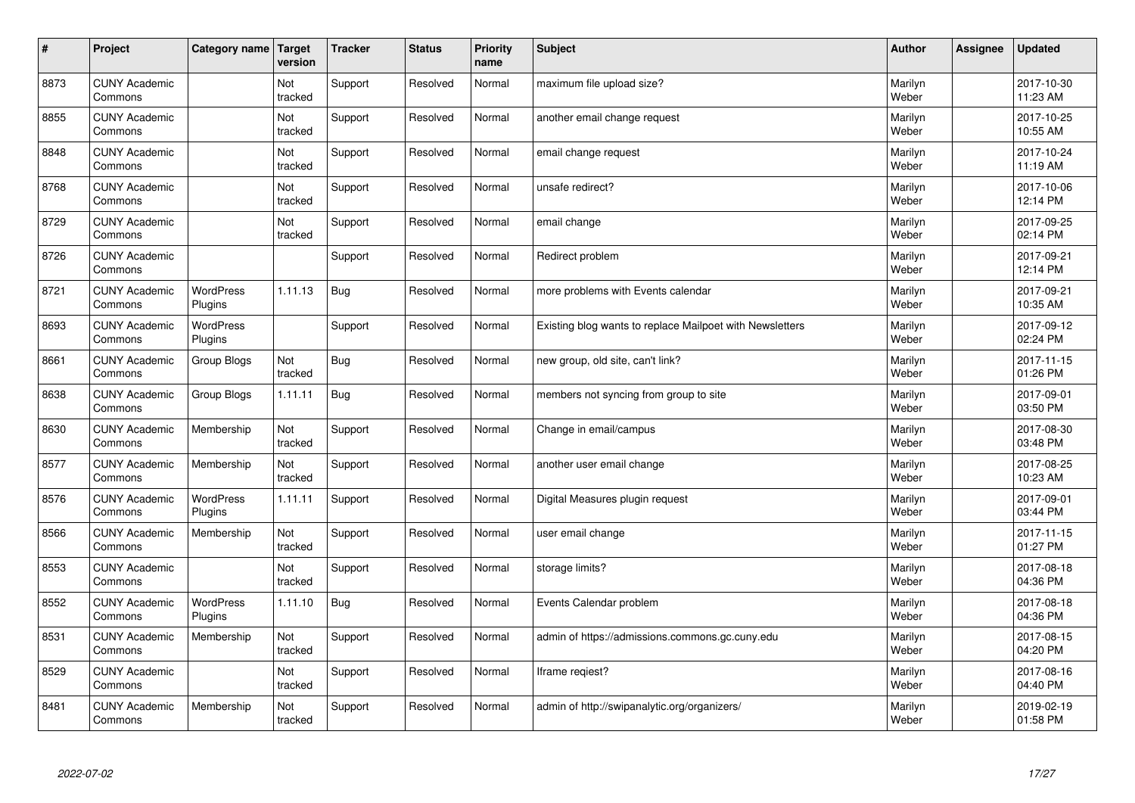| $\sharp$ | Project                         | Category name               | Target<br>version | <b>Tracker</b> | <b>Status</b> | <b>Priority</b><br>name | <b>Subject</b>                                           | <b>Author</b>    | Assignee | <b>Updated</b>         |
|----------|---------------------------------|-----------------------------|-------------------|----------------|---------------|-------------------------|----------------------------------------------------------|------------------|----------|------------------------|
| 8873     | <b>CUNY Academic</b><br>Commons |                             | Not<br>tracked    | Support        | Resolved      | Normal                  | maximum file upload size?                                | Marilyn<br>Weber |          | 2017-10-30<br>11:23 AM |
| 8855     | <b>CUNY Academic</b><br>Commons |                             | Not<br>tracked    | Support        | Resolved      | Normal                  | another email change request                             | Marilyn<br>Weber |          | 2017-10-25<br>10:55 AM |
| 8848     | <b>CUNY Academic</b><br>Commons |                             | Not<br>tracked    | Support        | Resolved      | Normal                  | email change request                                     | Marilyn<br>Weber |          | 2017-10-24<br>11:19 AM |
| 8768     | <b>CUNY Academic</b><br>Commons |                             | Not<br>tracked    | Support        | Resolved      | Normal                  | unsafe redirect?                                         | Marilyn<br>Weber |          | 2017-10-06<br>12:14 PM |
| 8729     | <b>CUNY Academic</b><br>Commons |                             | Not<br>tracked    | Support        | Resolved      | Normal                  | email change                                             | Marilyn<br>Weber |          | 2017-09-25<br>02:14 PM |
| 8726     | <b>CUNY Academic</b><br>Commons |                             |                   | Support        | Resolved      | Normal                  | Redirect problem                                         | Marilyn<br>Weber |          | 2017-09-21<br>12:14 PM |
| 8721     | <b>CUNY Academic</b><br>Commons | <b>WordPress</b><br>Plugins | 1.11.13           | Bug            | Resolved      | Normal                  | more problems with Events calendar                       | Marilyn<br>Weber |          | 2017-09-21<br>10:35 AM |
| 8693     | <b>CUNY Academic</b><br>Commons | <b>WordPress</b><br>Plugins |                   | Support        | Resolved      | Normal                  | Existing blog wants to replace Mailpoet with Newsletters | Marilyn<br>Weber |          | 2017-09-12<br>02:24 PM |
| 8661     | <b>CUNY Academic</b><br>Commons | Group Blogs                 | Not<br>tracked    | <b>Bug</b>     | Resolved      | Normal                  | new group, old site, can't link?                         | Marilyn<br>Weber |          | 2017-11-15<br>01:26 PM |
| 8638     | <b>CUNY Academic</b><br>Commons | Group Blogs                 | 1.11.11           | Bug            | Resolved      | Normal                  | members not syncing from group to site                   | Marilyn<br>Weber |          | 2017-09-01<br>03:50 PM |
| 8630     | <b>CUNY Academic</b><br>Commons | Membership                  | Not<br>tracked    | Support        | Resolved      | Normal                  | Change in email/campus                                   | Marilyn<br>Weber |          | 2017-08-30<br>03:48 PM |
| 8577     | <b>CUNY Academic</b><br>Commons | Membership                  | Not<br>tracked    | Support        | Resolved      | Normal                  | another user email change                                | Marilyn<br>Weber |          | 2017-08-25<br>10:23 AM |
| 8576     | <b>CUNY Academic</b><br>Commons | <b>WordPress</b><br>Plugins | 1.11.11           | Support        | Resolved      | Normal                  | Digital Measures plugin request                          | Marilyn<br>Weber |          | 2017-09-01<br>03:44 PM |
| 8566     | <b>CUNY Academic</b><br>Commons | Membership                  | Not<br>tracked    | Support        | Resolved      | Normal                  | user email change                                        | Marilyn<br>Weber |          | 2017-11-15<br>01:27 PM |
| 8553     | <b>CUNY Academic</b><br>Commons |                             | Not<br>tracked    | Support        | Resolved      | Normal                  | storage limits?                                          | Marilyn<br>Weber |          | 2017-08-18<br>04:36 PM |
| 8552     | <b>CUNY Academic</b><br>Commons | <b>WordPress</b><br>Plugins | 1.11.10           | Bug            | Resolved      | Normal                  | Events Calendar problem                                  | Marilyn<br>Weber |          | 2017-08-18<br>04:36 PM |
| 8531     | <b>CUNY Academic</b><br>Commons | Membership                  | Not<br>tracked    | Support        | Resolved      | Normal                  | admin of https://admissions.commons.gc.cuny.edu          | Marilyn<br>Weber |          | 2017-08-15<br>04:20 PM |
| 8529     | <b>CUNY Academic</b><br>Commons |                             | Not<br>tracked    | Support        | Resolved      | Normal                  | lframe regiest?                                          | Marilyn<br>Weber |          | 2017-08-16<br>04:40 PM |
| 8481     | <b>CUNY Academic</b><br>Commons | Membership                  | Not<br>tracked    | Support        | Resolved      | Normal                  | admin of http://swipanalytic.org/organizers/             | Marilyn<br>Weber |          | 2019-02-19<br>01:58 PM |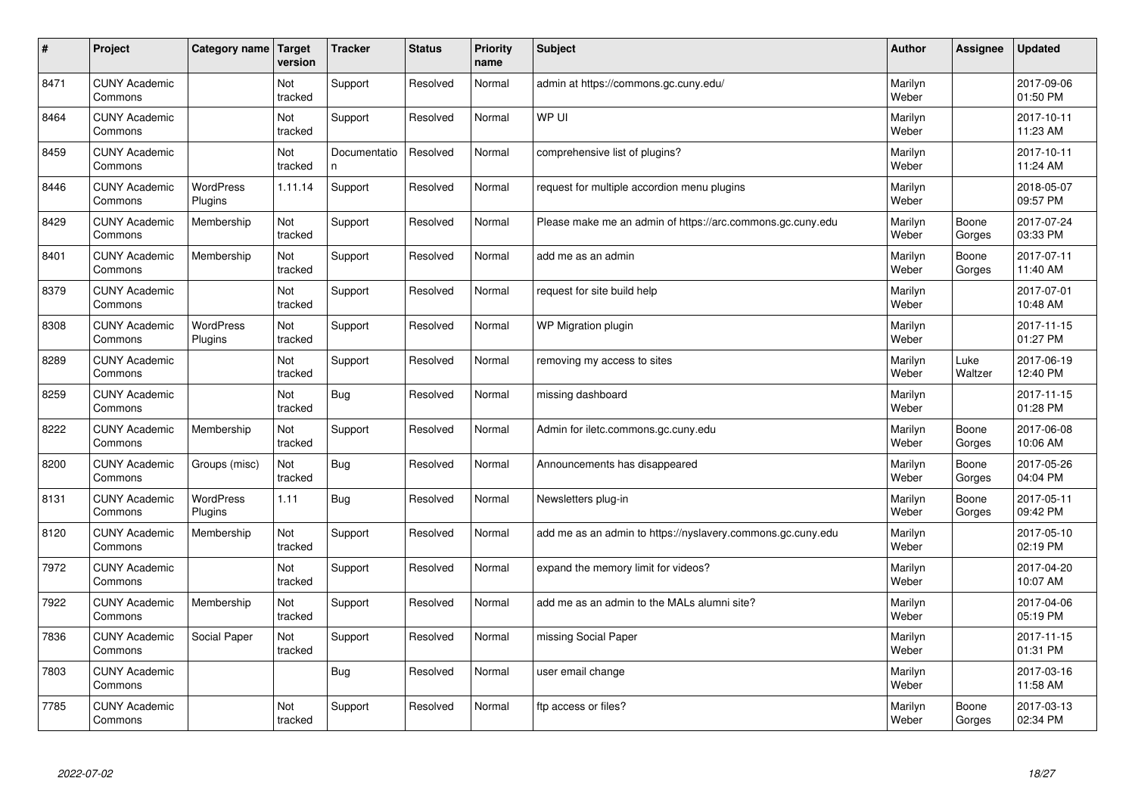| $\vert$ # | Project                         | Category name               | Target<br>version | <b>Tracker</b>     | <b>Status</b> | <b>Priority</b><br>name | <b>Subject</b>                                              | <b>Author</b>    | Assignee        | <b>Updated</b>         |
|-----------|---------------------------------|-----------------------------|-------------------|--------------------|---------------|-------------------------|-------------------------------------------------------------|------------------|-----------------|------------------------|
| 8471      | <b>CUNY Academic</b><br>Commons |                             | Not<br>tracked    | Support            | Resolved      | Normal                  | admin at https://commons.gc.cuny.edu/                       | Marilyn<br>Weber |                 | 2017-09-06<br>01:50 PM |
| 8464      | <b>CUNY Academic</b><br>Commons |                             | Not<br>tracked    | Support            | Resolved      | Normal                  | WP UI                                                       | Marilyn<br>Weber |                 | 2017-10-11<br>11:23 AM |
| 8459      | <b>CUNY Academic</b><br>Commons |                             | Not<br>tracked    | Documentatio<br>n. | Resolved      | Normal                  | comprehensive list of plugins?                              | Marilyn<br>Weber |                 | 2017-10-11<br>11:24 AM |
| 8446      | <b>CUNY Academic</b><br>Commons | <b>WordPress</b><br>Plugins | 1.11.14           | Support            | Resolved      | Normal                  | request for multiple accordion menu plugins                 | Marilyn<br>Weber |                 | 2018-05-07<br>09:57 PM |
| 8429      | <b>CUNY Academic</b><br>Commons | Membership                  | Not<br>tracked    | Support            | Resolved      | Normal                  | Please make me an admin of https://arc.commons.gc.cuny.edu  | Marilyn<br>Weber | Boone<br>Gorges | 2017-07-24<br>03:33 PM |
| 8401      | <b>CUNY Academic</b><br>Commons | Membership                  | Not<br>tracked    | Support            | Resolved      | Normal                  | add me as an admin                                          | Marilyn<br>Weber | Boone<br>Gorges | 2017-07-11<br>11:40 AM |
| 8379      | <b>CUNY Academic</b><br>Commons |                             | Not<br>tracked    | Support            | Resolved      | Normal                  | request for site build help                                 | Marilyn<br>Weber |                 | 2017-07-01<br>10:48 AM |
| 8308      | <b>CUNY Academic</b><br>Commons | WordPress<br>Plugins        | Not<br>tracked    | Support            | Resolved      | Normal                  | WP Migration plugin                                         | Marilyn<br>Weber |                 | 2017-11-15<br>01:27 PM |
| 8289      | <b>CUNY Academic</b><br>Commons |                             | Not<br>tracked    | Support            | Resolved      | Normal                  | removing my access to sites                                 | Marilyn<br>Weber | Luke<br>Waltzer | 2017-06-19<br>12:40 PM |
| 8259      | <b>CUNY Academic</b><br>Commons |                             | Not<br>tracked    | <b>Bug</b>         | Resolved      | Normal                  | missing dashboard                                           | Marilyn<br>Weber |                 | 2017-11-15<br>01:28 PM |
| 8222      | <b>CUNY Academic</b><br>Commons | Membership                  | Not<br>tracked    | Support            | Resolved      | Normal                  | Admin for iletc.commons.gc.cuny.edu                         | Marilyn<br>Weber | Boone<br>Gorges | 2017-06-08<br>10:06 AM |
| 8200      | <b>CUNY Academic</b><br>Commons | Groups (misc)               | Not<br>tracked    | <b>Bug</b>         | Resolved      | Normal                  | Announcements has disappeared                               | Marilyn<br>Weber | Boone<br>Gorges | 2017-05-26<br>04:04 PM |
| 8131      | <b>CUNY Academic</b><br>Commons | WordPress<br>Plugins        | 1.11              | <b>Bug</b>         | Resolved      | Normal                  | Newsletters plug-in                                         | Marilyn<br>Weber | Boone<br>Gorges | 2017-05-11<br>09:42 PM |
| 8120      | <b>CUNY Academic</b><br>Commons | Membership                  | Not<br>tracked    | Support            | Resolved      | Normal                  | add me as an admin to https://nyslavery.commons.gc.cuny.edu | Marilyn<br>Weber |                 | 2017-05-10<br>02:19 PM |
| 7972      | <b>CUNY Academic</b><br>Commons |                             | Not<br>tracked    | Support            | Resolved      | Normal                  | expand the memory limit for videos?                         | Marilyn<br>Weber |                 | 2017-04-20<br>10:07 AM |
| 7922      | <b>CUNY Academic</b><br>Commons | Membership                  | Not<br>tracked    | Support            | Resolved      | Normal                  | add me as an admin to the MALs alumni site?                 | Marilyn<br>Weber |                 | 2017-04-06<br>05:19 PM |
| 7836      | <b>CUNY Academic</b><br>Commons | Social Paper                | Not<br>tracked    | Support            | Resolved      | Normal                  | missing Social Paper                                        | Marilyn<br>Weber |                 | 2017-11-15<br>01:31 PM |
| 7803      | <b>CUNY Academic</b><br>Commons |                             |                   | <b>Bug</b>         | Resolved      | Normal                  | user email change                                           | Marilyn<br>Weber |                 | 2017-03-16<br>11:58 AM |
| 7785      | <b>CUNY Academic</b><br>Commons |                             | Not<br>tracked    | Support            | Resolved      | Normal                  | ftp access or files?                                        | Marilyn<br>Weber | Boone<br>Gorges | 2017-03-13<br>02:34 PM |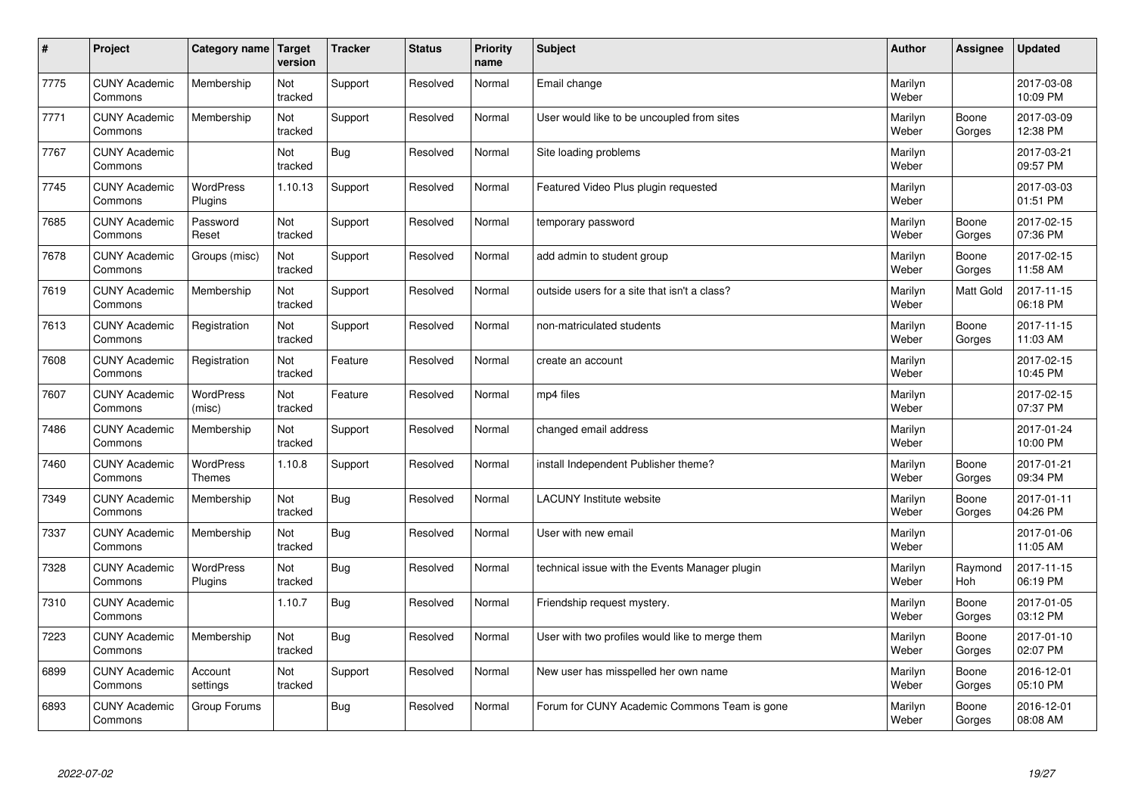| $\sharp$ | Project                         | Category name   Target      | version        | <b>Tracker</b> | <b>Status</b> | <b>Priority</b><br>name | <b>Subject</b>                                  | <b>Author</b>    | Assignee              | <b>Updated</b>         |
|----------|---------------------------------|-----------------------------|----------------|----------------|---------------|-------------------------|-------------------------------------------------|------------------|-----------------------|------------------------|
| 7775     | <b>CUNY Academic</b><br>Commons | Membership                  | Not<br>tracked | Support        | Resolved      | Normal                  | Email change                                    | Marilyn<br>Weber |                       | 2017-03-08<br>10:09 PM |
| 7771     | <b>CUNY Academic</b><br>Commons | Membership                  | Not<br>tracked | Support        | Resolved      | Normal                  | User would like to be uncoupled from sites      | Marilyn<br>Weber | Boone<br>Gorges       | 2017-03-09<br>12:38 PM |
| 7767     | <b>CUNY Academic</b><br>Commons |                             | Not<br>tracked | Bug            | Resolved      | Normal                  | Site loading problems                           | Marilyn<br>Weber |                       | 2017-03-21<br>09:57 PM |
| 7745     | <b>CUNY Academic</b><br>Commons | <b>WordPress</b><br>Plugins | 1.10.13        | Support        | Resolved      | Normal                  | Featured Video Plus plugin requested            | Marilyn<br>Weber |                       | 2017-03-03<br>01:51 PM |
| 7685     | <b>CUNY Academic</b><br>Commons | Password<br>Reset           | Not<br>tracked | Support        | Resolved      | Normal                  | temporary password                              | Marilyn<br>Weber | Boone<br>Gorges       | 2017-02-15<br>07:36 PM |
| 7678     | <b>CUNY Academic</b><br>Commons | Groups (misc)               | Not<br>tracked | Support        | Resolved      | Normal                  | add admin to student group                      | Marilyn<br>Weber | Boone<br>Gorges       | 2017-02-15<br>11:58 AM |
| 7619     | <b>CUNY Academic</b><br>Commons | Membership                  | Not<br>tracked | Support        | Resolved      | Normal                  | outside users for a site that isn't a class?    | Marilyn<br>Weber | Matt Gold             | 2017-11-15<br>06:18 PM |
| 7613     | <b>CUNY Academic</b><br>Commons | Registration                | Not<br>tracked | Support        | Resolved      | Normal                  | non-matriculated students                       | Marilyn<br>Weber | Boone<br>Gorges       | 2017-11-15<br>11:03 AM |
| 7608     | <b>CUNY Academic</b><br>Commons | Registration                | Not<br>tracked | Feature        | Resolved      | Normal                  | create an account                               | Marilyn<br>Weber |                       | 2017-02-15<br>10:45 PM |
| 7607     | <b>CUNY Academic</b><br>Commons | <b>WordPress</b><br>(misc)  | Not<br>tracked | Feature        | Resolved      | Normal                  | mp4 files                                       | Marilyn<br>Weber |                       | 2017-02-15<br>07:37 PM |
| 7486     | <b>CUNY Academic</b><br>Commons | Membership                  | Not<br>tracked | Support        | Resolved      | Normal                  | changed email address                           | Marilyn<br>Weber |                       | 2017-01-24<br>10:00 PM |
| 7460     | <b>CUNY Academic</b><br>Commons | WordPress<br><b>Themes</b>  | 1.10.8         | Support        | Resolved      | Normal                  | install Independent Publisher theme?            | Marilyn<br>Weber | Boone<br>Gorges       | 2017-01-21<br>09:34 PM |
| 7349     | <b>CUNY Academic</b><br>Commons | Membership                  | Not<br>tracked | Bug            | Resolved      | Normal                  | <b>LACUNY</b> Institute website                 | Marilyn<br>Weber | Boone<br>Gorges       | 2017-01-11<br>04:26 PM |
| 7337     | <b>CUNY Academic</b><br>Commons | Membership                  | Not<br>tracked | Bug            | Resolved      | Normal                  | User with new email                             | Marilyn<br>Weber |                       | 2017-01-06<br>11:05 AM |
| 7328     | <b>CUNY Academic</b><br>Commons | WordPress<br>Plugins        | Not<br>tracked | Bug            | Resolved      | Normal                  | technical issue with the Events Manager plugin  | Marilyn<br>Weber | Raymond<br><b>Hoh</b> | 2017-11-15<br>06:19 PM |
| 7310     | <b>CUNY Academic</b><br>Commons |                             | 1.10.7         | Bug            | Resolved      | Normal                  | Friendship request mystery.                     | Marilyn<br>Weber | Boone<br>Gorges       | 2017-01-05<br>03:12 PM |
| 7223     | <b>CUNY Academic</b><br>Commons | Membership                  | Not<br>tracked | Bug            | Resolved      | Normal                  | User with two profiles would like to merge them | Marilyn<br>Weber | Boone<br>Gorges       | 2017-01-10<br>02:07 PM |
| 6899     | <b>CUNY Academic</b><br>Commons | Account<br>settings         | Not<br>tracked | Support        | Resolved      | Normal                  | New user has misspelled her own name            | Marilyn<br>Weber | Boone<br>Gorges       | 2016-12-01<br>05:10 PM |
| 6893     | <b>CUNY Academic</b><br>Commons | Group Forums                |                | Bug            | Resolved      | Normal                  | Forum for CUNY Academic Commons Team is gone    | Marilyn<br>Weber | Boone<br>Gorges       | 2016-12-01<br>08:08 AM |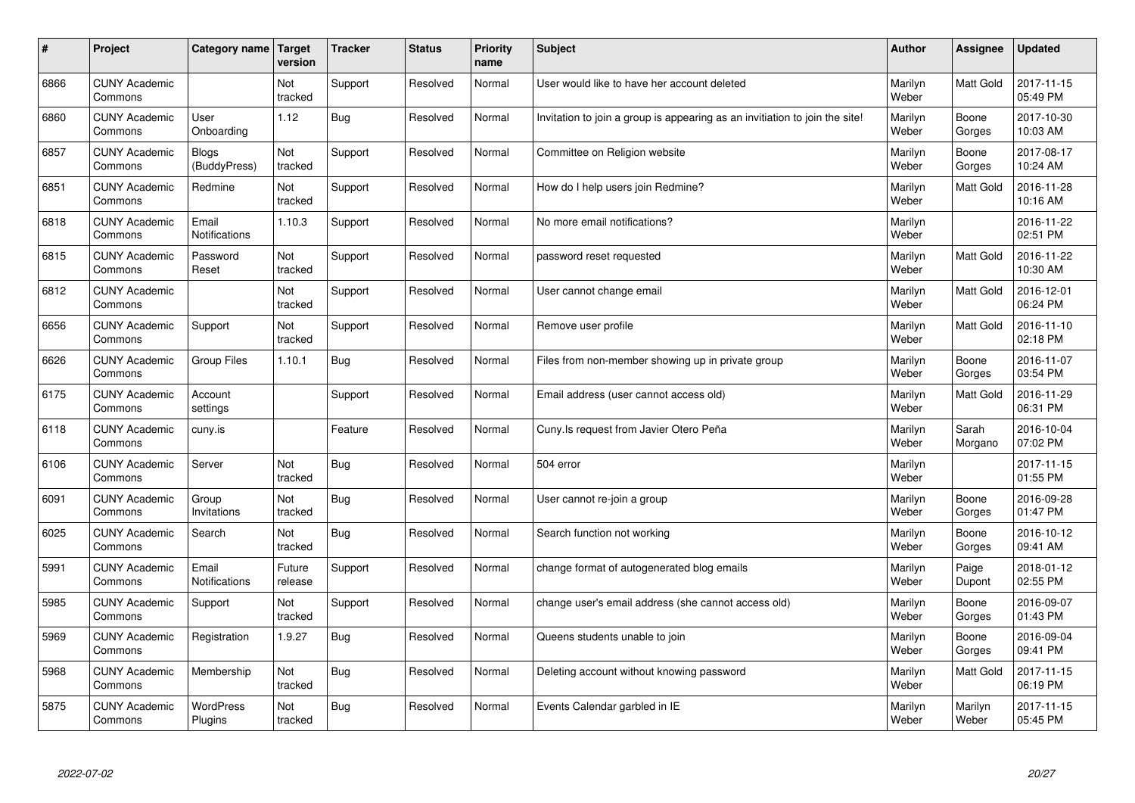| #    | Project                         | <b>Category name</b>          | <b>Target</b><br>version | <b>Tracker</b> | <b>Status</b> | <b>Priority</b><br>name | <b>Subject</b>                                                              | <b>Author</b>    | Assignee         | <b>Updated</b>         |
|------|---------------------------------|-------------------------------|--------------------------|----------------|---------------|-------------------------|-----------------------------------------------------------------------------|------------------|------------------|------------------------|
| 6866 | <b>CUNY Academic</b><br>Commons |                               | Not<br>tracked           | Support        | Resolved      | Normal                  | User would like to have her account deleted                                 | Marilyn<br>Weber | <b>Matt Gold</b> | 2017-11-15<br>05:49 PM |
| 6860 | <b>CUNY Academic</b><br>Commons | User<br>Onboarding            | 1.12                     | Bug            | Resolved      | Normal                  | Invitation to join a group is appearing as an invitiation to join the site! | Marilyn<br>Weber | Boone<br>Gorges  | 2017-10-30<br>10:03 AM |
| 6857 | <b>CUNY Academic</b><br>Commons | <b>Blogs</b><br>(BuddyPress)  | Not<br>tracked           | Support        | Resolved      | Normal                  | Committee on Religion website                                               | Marilyn<br>Weber | Boone<br>Gorges  | 2017-08-17<br>10:24 AM |
| 6851 | <b>CUNY Academic</b><br>Commons | Redmine                       | Not<br>tracked           | Support        | Resolved      | Normal                  | How do I help users join Redmine?                                           | Marilyn<br>Weber | Matt Gold        | 2016-11-28<br>10:16 AM |
| 6818 | <b>CUNY Academic</b><br>Commons | Email<br><b>Notifications</b> | 1.10.3                   | Support        | Resolved      | Normal                  | No more email notifications?                                                | Marilyn<br>Weber |                  | 2016-11-22<br>02:51 PM |
| 6815 | <b>CUNY Academic</b><br>Commons | Password<br>Reset             | Not<br>tracked           | Support        | Resolved      | Normal                  | password reset requested                                                    | Marilyn<br>Weber | <b>Matt Gold</b> | 2016-11-22<br>10:30 AM |
| 6812 | <b>CUNY Academic</b><br>Commons |                               | Not<br>tracked           | Support        | Resolved      | Normal                  | User cannot change email                                                    | Marilyn<br>Weber | Matt Gold        | 2016-12-01<br>06:24 PM |
| 6656 | <b>CUNY Academic</b><br>Commons | Support                       | Not<br>tracked           | Support        | Resolved      | Normal                  | Remove user profile                                                         | Marilyn<br>Weber | Matt Gold        | 2016-11-10<br>02:18 PM |
| 6626 | <b>CUNY Academic</b><br>Commons | Group Files                   | 1.10.1                   | Bug            | Resolved      | Normal                  | Files from non-member showing up in private group                           | Marilyn<br>Weber | Boone<br>Gorges  | 2016-11-07<br>03:54 PM |
| 6175 | <b>CUNY Academic</b><br>Commons | Account<br>settings           |                          | Support        | Resolved      | Normal                  | Email address (user cannot access old)                                      | Marilyn<br>Weber | <b>Matt Gold</b> | 2016-11-29<br>06:31 PM |
| 6118 | <b>CUNY Academic</b><br>Commons | cuny.is                       |                          | Feature        | Resolved      | Normal                  | Cuny. Is request from Javier Otero Peña                                     | Marilyn<br>Weber | Sarah<br>Morgano | 2016-10-04<br>07:02 PM |
| 6106 | <b>CUNY Academic</b><br>Commons | Server                        | Not<br>tracked           | Bug            | Resolved      | Normal                  | 504 error                                                                   | Marilyn<br>Weber |                  | 2017-11-15<br>01:55 PM |
| 6091 | <b>CUNY Academic</b><br>Commons | Group<br>Invitations          | Not<br>tracked           | <b>Bug</b>     | Resolved      | Normal                  | User cannot re-join a group                                                 | Marilyn<br>Weber | Boone<br>Gorges  | 2016-09-28<br>01:47 PM |
| 6025 | <b>CUNY Academic</b><br>Commons | Search                        | Not<br>tracked           | <b>Bug</b>     | Resolved      | Normal                  | Search function not working                                                 | Marilyn<br>Weber | Boone<br>Gorges  | 2016-10-12<br>09:41 AM |
| 5991 | <b>CUNY Academic</b><br>Commons | Email<br>Notifications        | Future<br>release        | Support        | Resolved      | Normal                  | change format of autogenerated blog emails                                  | Marilyn<br>Weber | Paige<br>Dupont  | 2018-01-12<br>02:55 PM |
| 5985 | <b>CUNY Academic</b><br>Commons | Support                       | Not<br>tracked           | Support        | Resolved      | Normal                  | change user's email address (she cannot access old)                         | Marilyn<br>Weber | Boone<br>Gorges  | 2016-09-07<br>01:43 PM |
| 5969 | <b>CUNY Academic</b><br>Commons | Registration                  | 1.9.27                   | <b>Bug</b>     | Resolved      | Normal                  | Queens students unable to join                                              | Marilyn<br>Weber | Boone<br>Gorges  | 2016-09-04<br>09:41 PM |
| 5968 | <b>CUNY Academic</b><br>Commons | Membership                    | Not<br>tracked           | Bug            | Resolved      | Normal                  | Deleting account without knowing password                                   | Marilyn<br>Weber | <b>Matt Gold</b> | 2017-11-15<br>06:19 PM |
| 5875 | <b>CUNY Academic</b><br>Commons | <b>WordPress</b><br>Plugins   | Not<br>tracked           | Bug            | Resolved      | Normal                  | Events Calendar garbled in IE                                               | Marilyn<br>Weber | Marilyn<br>Weber | 2017-11-15<br>05:45 PM |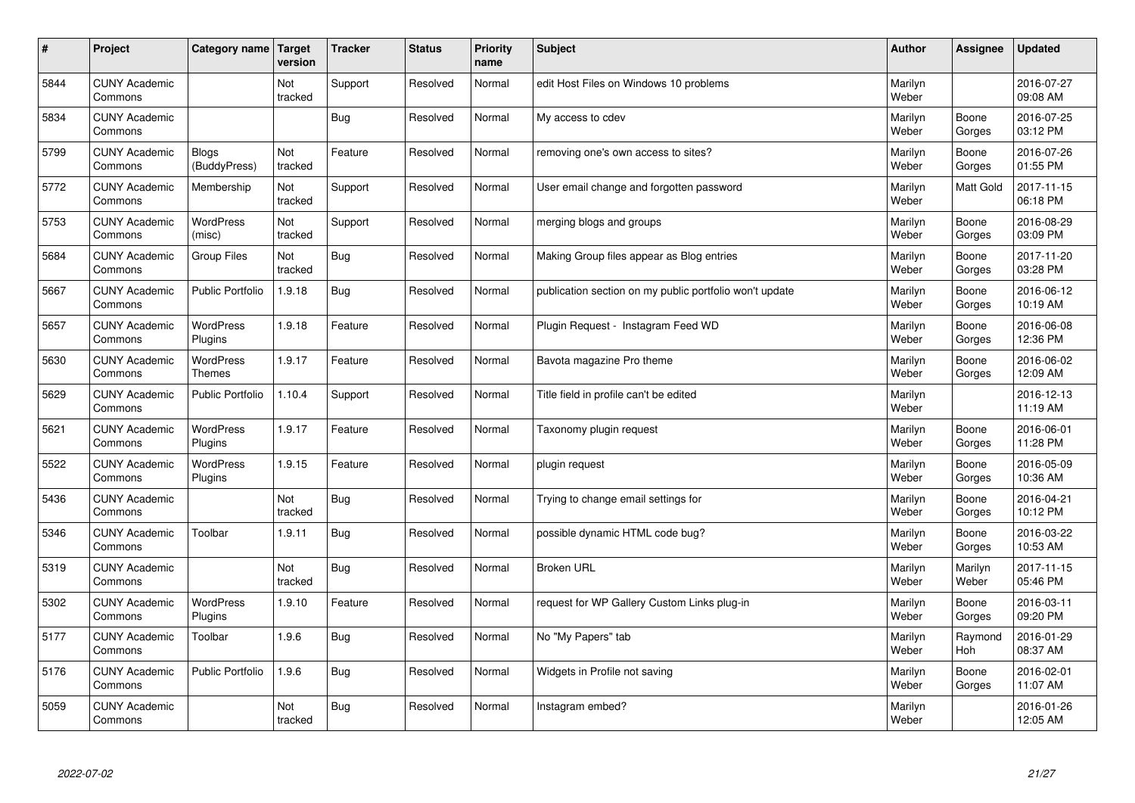| $\vert$ # | Project                         | Category name Target       | version        | <b>Tracker</b> | <b>Status</b> | <b>Priority</b><br>name | <b>Subject</b>                                          | <b>Author</b>    | <b>Assignee</b>  | <b>Updated</b>         |
|-----------|---------------------------------|----------------------------|----------------|----------------|---------------|-------------------------|---------------------------------------------------------|------------------|------------------|------------------------|
| 5844      | <b>CUNY Academic</b><br>Commons |                            | Not<br>tracked | Support        | Resolved      | Normal                  | edit Host Files on Windows 10 problems                  | Marilyn<br>Weber |                  | 2016-07-27<br>09:08 AM |
| 5834      | <b>CUNY Academic</b><br>Commons |                            |                | Bug            | Resolved      | Normal                  | My access to cdev                                       | Marilyn<br>Weber | Boone<br>Gorges  | 2016-07-25<br>03:12 PM |
| 5799      | <b>CUNY Academic</b><br>Commons | Blogs<br>(BuddyPress)      | Not<br>tracked | Feature        | Resolved      | Normal                  | removing one's own access to sites?                     | Marilyn<br>Weber | Boone<br>Gorges  | 2016-07-26<br>01:55 PM |
| 5772      | <b>CUNY Academic</b><br>Commons | Membership                 | Not<br>tracked | Support        | Resolved      | Normal                  | User email change and forgotten password                | Marilyn<br>Weber | Matt Gold        | 2017-11-15<br>06:18 PM |
| 5753      | <b>CUNY Academic</b><br>Commons | <b>WordPress</b><br>(misc) | Not<br>tracked | Support        | Resolved      | Normal                  | merging blogs and groups                                | Marilyn<br>Weber | Boone<br>Gorges  | 2016-08-29<br>03:09 PM |
| 5684      | <b>CUNY Academic</b><br>Commons | <b>Group Files</b>         | Not<br>tracked | Bug            | Resolved      | Normal                  | Making Group files appear as Blog entries               | Marilyn<br>Weber | Boone<br>Gorges  | 2017-11-20<br>03:28 PM |
| 5667      | <b>CUNY Academic</b><br>Commons | <b>Public Portfolio</b>    | 1.9.18         | Bug            | Resolved      | Normal                  | publication section on my public portfolio won't update | Marilyn<br>Weber | Boone<br>Gorges  | 2016-06-12<br>10:19 AM |
| 5657      | <b>CUNY Academic</b><br>Commons | WordPress<br>Plugins       | 1.9.18         | Feature        | Resolved      | Normal                  | Plugin Reguest - Instagram Feed WD                      | Marilyn<br>Weber | Boone<br>Gorges  | 2016-06-08<br>12:36 PM |
| 5630      | <b>CUNY Academic</b><br>Commons | WordPress<br><b>Themes</b> | 1.9.17         | Feature        | Resolved      | Normal                  | Bavota magazine Pro theme                               | Marilyn<br>Weber | Boone<br>Gorges  | 2016-06-02<br>12:09 AM |
| 5629      | <b>CUNY Academic</b><br>Commons | <b>Public Portfolio</b>    | 1.10.4         | Support        | Resolved      | Normal                  | Title field in profile can't be edited                  | Marilyn<br>Weber |                  | 2016-12-13<br>11:19 AM |
| 5621      | <b>CUNY Academic</b><br>Commons | WordPress<br>Plugins       | 1.9.17         | Feature        | Resolved      | Normal                  | Taxonomy plugin request                                 | Marilyn<br>Weber | Boone<br>Gorges  | 2016-06-01<br>11:28 PM |
| 5522      | <b>CUNY Academic</b><br>Commons | WordPress<br>Plugins       | 1.9.15         | Feature        | Resolved      | Normal                  | plugin request                                          | Marilyn<br>Weber | Boone<br>Gorges  | 2016-05-09<br>10:36 AM |
| 5436      | <b>CUNY Academic</b><br>Commons |                            | Not<br>tracked | Bug            | Resolved      | Normal                  | Trying to change email settings for                     | Marilyn<br>Weber | Boone<br>Gorges  | 2016-04-21<br>10:12 PM |
| 5346      | <b>CUNY Academic</b><br>Commons | Toolbar                    | 1.9.11         | <b>Bug</b>     | Resolved      | Normal                  | possible dynamic HTML code bug?                         | Marilyn<br>Weber | Boone<br>Gorges  | 2016-03-22<br>10:53 AM |
| 5319      | <b>CUNY Academic</b><br>Commons |                            | Not<br>tracked | Bug            | Resolved      | Normal                  | <b>Broken URL</b>                                       | Marilyn<br>Weber | Marilyn<br>Weber | 2017-11-15<br>05:46 PM |
| 5302      | <b>CUNY Academic</b><br>Commons | WordPress<br>Plugins       | 1.9.10         | Feature        | Resolved      | Normal                  | request for WP Gallery Custom Links plug-in             | Marilyn<br>Weber | Boone<br>Gorges  | 2016-03-11<br>09:20 PM |
| 5177      | <b>CUNY Academic</b><br>Commons | Toolbar                    | 1.9.6          | <b>Bug</b>     | Resolved      | Normal                  | No "My Papers" tab                                      | Marilyn<br>Weber | Raymond<br>Hoh   | 2016-01-29<br>08:37 AM |
| 5176      | <b>CUNY Academic</b><br>Commons | <b>Public Portfolio</b>    | 1.9.6          | Bug            | Resolved      | Normal                  | Widgets in Profile not saving                           | Marilyn<br>Weber | Boone<br>Gorges  | 2016-02-01<br>11:07 AM |
| 5059      | <b>CUNY Academic</b><br>Commons |                            | Not<br>tracked | Bug            | Resolved      | Normal                  | Instagram embed?                                        | Marilyn<br>Weber |                  | 2016-01-26<br>12:05 AM |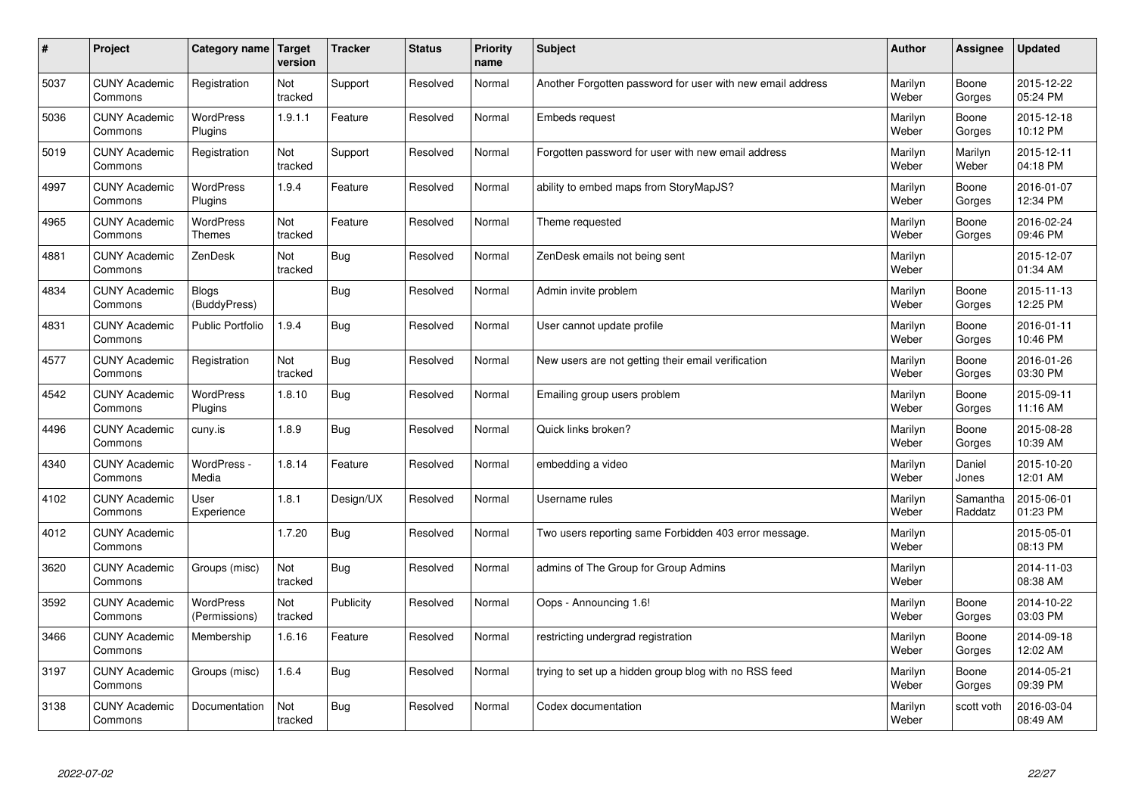| #    | Project                         | Category name   Target            | version        | <b>Tracker</b> | <b>Status</b> | Priority<br>name | <b>Subject</b>                                             | <b>Author</b>    | <b>Assignee</b>     | <b>Updated</b>         |
|------|---------------------------------|-----------------------------------|----------------|----------------|---------------|------------------|------------------------------------------------------------|------------------|---------------------|------------------------|
| 5037 | <b>CUNY Academic</b><br>Commons | Registration                      | Not<br>tracked | Support        | Resolved      | Normal           | Another Forgotten password for user with new email address | Marilyn<br>Weber | Boone<br>Gorges     | 2015-12-22<br>05:24 PM |
| 5036 | <b>CUNY Academic</b><br>Commons | <b>WordPress</b><br>Plugins       | 1.9.1.1        | Feature        | Resolved      | Normal           | <b>Embeds request</b>                                      | Marilyn<br>Weber | Boone<br>Gorges     | 2015-12-18<br>10:12 PM |
| 5019 | <b>CUNY Academic</b><br>Commons | Registration                      | Not<br>tracked | Support        | Resolved      | Normal           | Forgotten password for user with new email address         | Marilyn<br>Weber | Marilyn<br>Weber    | 2015-12-11<br>04:18 PM |
| 4997 | <b>CUNY Academic</b><br>Commons | WordPress<br>Plugins              | 1.9.4          | Feature        | Resolved      | Normal           | ability to embed maps from StoryMapJS?                     | Marilyn<br>Weber | Boone<br>Gorges     | 2016-01-07<br>12:34 PM |
| 4965 | <b>CUNY Academic</b><br>Commons | <b>WordPress</b><br><b>Themes</b> | Not<br>tracked | Feature        | Resolved      | Normal           | Theme requested                                            | Marilyn<br>Weber | Boone<br>Gorges     | 2016-02-24<br>09:46 PM |
| 4881 | <b>CUNY Academic</b><br>Commons | ZenDesk                           | Not<br>tracked | Bug            | Resolved      | Normal           | ZenDesk emails not being sent                              | Marilyn<br>Weber |                     | 2015-12-07<br>01:34 AM |
| 4834 | <b>CUNY Academic</b><br>Commons | <b>Blogs</b><br>(BuddyPress)      |                | Bug            | Resolved      | Normal           | Admin invite problem                                       | Marilyn<br>Weber | Boone<br>Gorges     | 2015-11-13<br>12:25 PM |
| 4831 | <b>CUNY Academic</b><br>Commons | <b>Public Portfolio</b>           | 1.9.4          | Bug            | Resolved      | Normal           | User cannot update profile                                 | Marilyn<br>Weber | Boone<br>Gorges     | 2016-01-11<br>10:46 PM |
| 4577 | <b>CUNY Academic</b><br>Commons | Registration                      | Not<br>tracked | Bug            | Resolved      | Normal           | New users are not getting their email verification         | Marilyn<br>Weber | Boone<br>Gorges     | 2016-01-26<br>03:30 PM |
| 4542 | <b>CUNY Academic</b><br>Commons | <b>WordPress</b><br>Plugins       | 1.8.10         | <b>Bug</b>     | Resolved      | Normal           | Emailing group users problem                               | Marilyn<br>Weber | Boone<br>Gorges     | 2015-09-11<br>11:16 AM |
| 4496 | <b>CUNY Academic</b><br>Commons | cuny.is                           | 1.8.9          | Bug            | Resolved      | Normal           | Quick links broken?                                        | Marilyn<br>Weber | Boone<br>Gorges     | 2015-08-28<br>10:39 AM |
| 4340 | <b>CUNY Academic</b><br>Commons | WordPress -<br>Media              | 1.8.14         | Feature        | Resolved      | Normal           | embedding a video                                          | Marilyn<br>Weber | Daniel<br>Jones     | 2015-10-20<br>12:01 AM |
| 4102 | <b>CUNY Academic</b><br>Commons | User<br>Experience                | 1.8.1          | Design/UX      | Resolved      | Normal           | Username rules                                             | Marilyn<br>Weber | Samantha<br>Raddatz | 2015-06-01<br>01:23 PM |
| 4012 | <b>CUNY Academic</b><br>Commons |                                   | 1.7.20         | <b>Bug</b>     | Resolved      | Normal           | Two users reporting same Forbidden 403 error message.      | Marilyn<br>Weber |                     | 2015-05-01<br>08:13 PM |
| 3620 | <b>CUNY Academic</b><br>Commons | Groups (misc)                     | Not<br>tracked | Bug            | Resolved      | Normal           | admins of The Group for Group Admins                       | Marilyn<br>Weber |                     | 2014-11-03<br>08:38 AM |
| 3592 | <b>CUNY Academic</b><br>Commons | WordPress<br>(Permissions)        | Not<br>tracked | Publicity      | Resolved      | Normal           | Oops - Announcing 1.6!                                     | Marilyn<br>Weber | Boone<br>Gorges     | 2014-10-22<br>03:03 PM |
| 3466 | <b>CUNY Academic</b><br>Commons | Membership                        | 1.6.16         | Feature        | Resolved      | Normal           | restricting undergrad registration                         | Marilyn<br>Weber | Boone<br>Gorges     | 2014-09-18<br>12:02 AM |
| 3197 | <b>CUNY Academic</b><br>Commons | Groups (misc)                     | 1.6.4          | <b>Bug</b>     | Resolved      | Normal           | trying to set up a hidden group blog with no RSS feed      | Marilyn<br>Weber | Boone<br>Gorges     | 2014-05-21<br>09:39 PM |
| 3138 | <b>CUNY Academic</b><br>Commons | Documentation                     | Not<br>tracked | Bug            | Resolved      | Normal           | Codex documentation                                        | Marilyn<br>Weber | scott voth          | 2016-03-04<br>08:49 AM |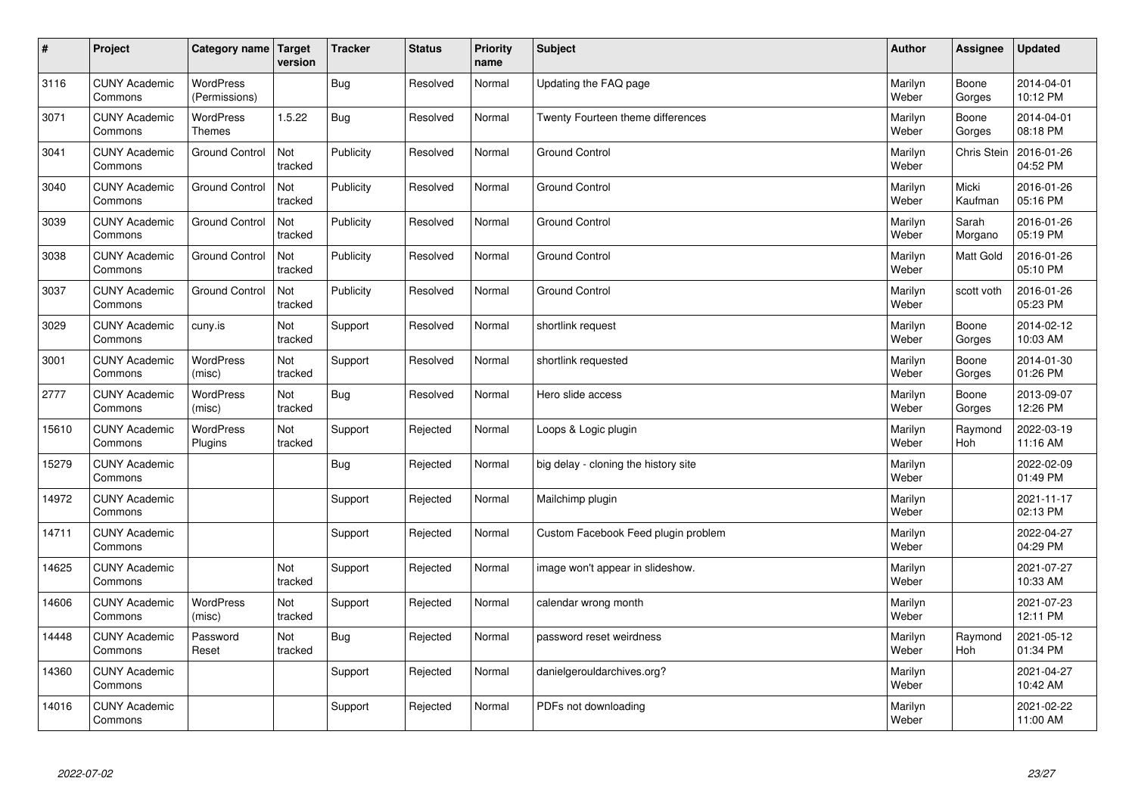| $\vert$ # | Project                         | Category name   Target            | version        | <b>Tracker</b> | <b>Status</b> | <b>Priority</b><br>name | <b>Subject</b>                       | <b>Author</b>    | Assignee         | <b>Updated</b>         |
|-----------|---------------------------------|-----------------------------------|----------------|----------------|---------------|-------------------------|--------------------------------------|------------------|------------------|------------------------|
| 3116      | <b>CUNY Academic</b><br>Commons | <b>WordPress</b><br>(Permissions) |                | <b>Bug</b>     | Resolved      | Normal                  | Updating the FAQ page                | Marilyn<br>Weber | Boone<br>Gorges  | 2014-04-01<br>10:12 PM |
| 3071      | <b>CUNY Academic</b><br>Commons | <b>WordPress</b><br>Themes        | 1.5.22         | Bug            | Resolved      | Normal                  | Twenty Fourteen theme differences    | Marilyn<br>Weber | Boone<br>Gorges  | 2014-04-01<br>08:18 PM |
| 3041      | <b>CUNY Academic</b><br>Commons | <b>Ground Control</b>             | Not<br>tracked | Publicity      | Resolved      | Normal                  | <b>Ground Control</b>                | Marilyn<br>Weber | Chris Stein      | 2016-01-26<br>04:52 PM |
| 3040      | <b>CUNY Academic</b><br>Commons | <b>Ground Control</b>             | Not<br>tracked | Publicity      | Resolved      | Normal                  | <b>Ground Control</b>                | Marilyn<br>Weber | Micki<br>Kaufman | 2016-01-26<br>05:16 PM |
| 3039      | <b>CUNY Academic</b><br>Commons | <b>Ground Control</b>             | Not<br>tracked | Publicity      | Resolved      | Normal                  | <b>Ground Control</b>                | Marilyn<br>Weber | Sarah<br>Morgano | 2016-01-26<br>05:19 PM |
| 3038      | <b>CUNY Academic</b><br>Commons | <b>Ground Control</b>             | Not<br>tracked | Publicity      | Resolved      | Normal                  | <b>Ground Control</b>                | Marilyn<br>Weber | <b>Matt Gold</b> | 2016-01-26<br>05:10 PM |
| 3037      | <b>CUNY Academic</b><br>Commons | <b>Ground Control</b>             | Not<br>tracked | Publicity      | Resolved      | Normal                  | <b>Ground Control</b>                | Marilyn<br>Weber | scott voth       | 2016-01-26<br>05:23 PM |
| 3029      | <b>CUNY Academic</b><br>Commons | cuny.is                           | Not<br>tracked | Support        | Resolved      | Normal                  | shortlink request                    | Marilyn<br>Weber | Boone<br>Gorges  | 2014-02-12<br>10:03 AM |
| 3001      | <b>CUNY Academic</b><br>Commons | WordPress<br>(misc)               | Not<br>tracked | Support        | Resolved      | Normal                  | shortlink requested                  | Marilyn<br>Weber | Boone<br>Gorges  | 2014-01-30<br>01:26 PM |
| 2777      | <b>CUNY Academic</b><br>Commons | <b>WordPress</b><br>(misc)        | Not<br>tracked | <b>Bug</b>     | Resolved      | Normal                  | Hero slide access                    | Marilyn<br>Weber | Boone<br>Gorges  | 2013-09-07<br>12:26 PM |
| 15610     | <b>CUNY Academic</b><br>Commons | <b>WordPress</b><br>Plugins       | Not<br>tracked | Support        | Rejected      | Normal                  | Loops & Logic plugin                 | Marilyn<br>Weber | Raymond<br>Hoh   | 2022-03-19<br>11:16 AM |
| 15279     | <b>CUNY Academic</b><br>Commons |                                   |                | <b>Bug</b>     | Rejected      | Normal                  | big delay - cloning the history site | Marilyn<br>Weber |                  | 2022-02-09<br>01:49 PM |
| 14972     | <b>CUNY Academic</b><br>Commons |                                   |                | Support        | Rejected      | Normal                  | Mailchimp plugin                     | Marilyn<br>Weber |                  | 2021-11-17<br>02:13 PM |
| 14711     | <b>CUNY Academic</b><br>Commons |                                   |                | Support        | Rejected      | Normal                  | Custom Facebook Feed plugin problem  | Marilyn<br>Weber |                  | 2022-04-27<br>04:29 PM |
| 14625     | <b>CUNY Academic</b><br>Commons |                                   | Not<br>tracked | Support        | Rejected      | Normal                  | image won't appear in slideshow.     | Marilyn<br>Weber |                  | 2021-07-27<br>10:33 AM |
| 14606     | <b>CUNY Academic</b><br>Commons | WordPress<br>(misc)               | Not<br>tracked | Support        | Rejected      | Normal                  | calendar wrong month                 | Marilyn<br>Weber |                  | 2021-07-23<br>12:11 PM |
| 14448     | <b>CUNY Academic</b><br>Commons | Password<br>Reset                 | Not<br>tracked | <b>Bug</b>     | Rejected      | Normal                  | password reset weirdness             | Marilyn<br>Weber | Raymond<br>Hoh   | 2021-05-12<br>01:34 PM |
| 14360     | <b>CUNY Academic</b><br>Commons |                                   |                | Support        | Rejected      | Normal                  | danielgerouldarchives.org?           | Marilyn<br>Weber |                  | 2021-04-27<br>10:42 AM |
| 14016     | <b>CUNY Academic</b><br>Commons |                                   |                | Support        | Rejected      | Normal                  | PDFs not downloading                 | Marilyn<br>Weber |                  | 2021-02-22<br>11:00 AM |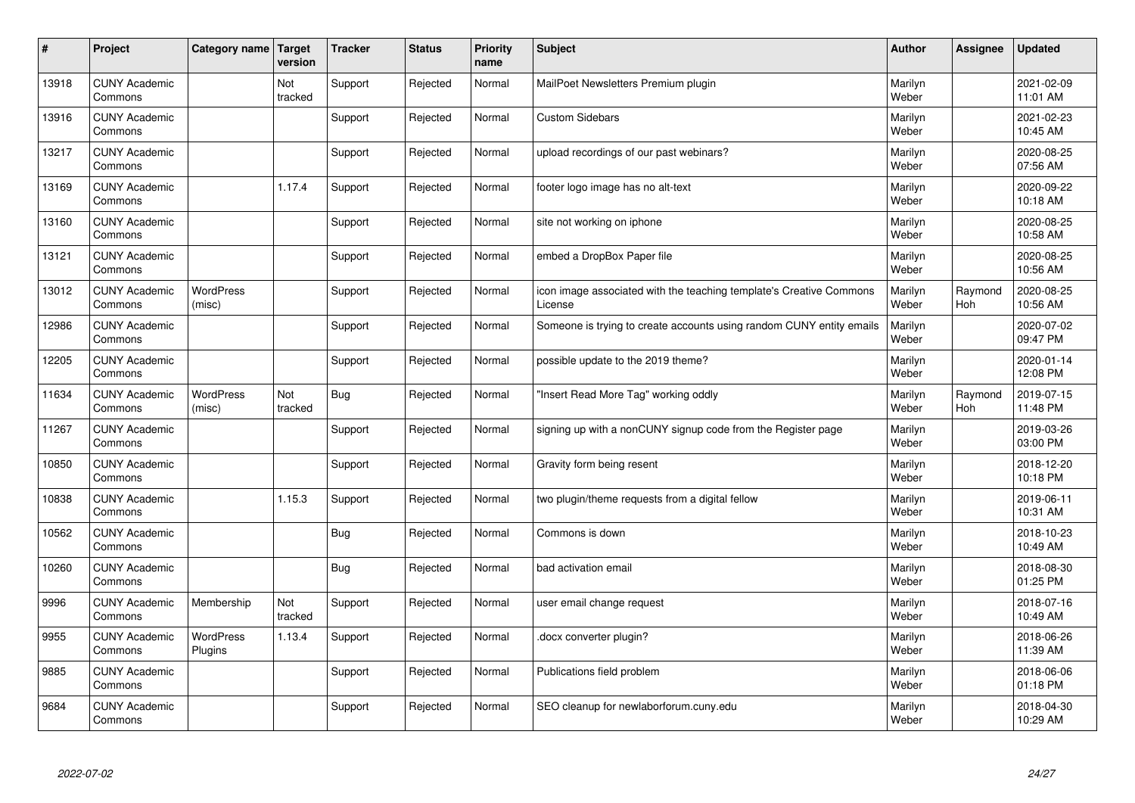| #     | Project                         | Category name   Target      | version        | <b>Tracker</b> | <b>Status</b> | <b>Priority</b><br>name | <b>Subject</b>                                                                 | <b>Author</b>    | <b>Assignee</b> | <b>Updated</b>         |
|-------|---------------------------------|-----------------------------|----------------|----------------|---------------|-------------------------|--------------------------------------------------------------------------------|------------------|-----------------|------------------------|
| 13918 | <b>CUNY Academic</b><br>Commons |                             | Not<br>tracked | Support        | Rejected      | Normal                  | MailPoet Newsletters Premium plugin                                            | Marilyn<br>Weber |                 | 2021-02-09<br>11:01 AM |
| 13916 | <b>CUNY Academic</b><br>Commons |                             |                | Support        | Rejected      | Normal                  | <b>Custom Sidebars</b>                                                         | Marilyn<br>Weber |                 | 2021-02-23<br>10:45 AM |
| 13217 | <b>CUNY Academic</b><br>Commons |                             |                | Support        | Rejected      | Normal                  | upload recordings of our past webinars?                                        | Marilyn<br>Weber |                 | 2020-08-25<br>07:56 AM |
| 13169 | <b>CUNY Academic</b><br>Commons |                             | 1.17.4         | Support        | Rejected      | Normal                  | footer logo image has no alt-text                                              | Marilyn<br>Weber |                 | 2020-09-22<br>10:18 AM |
| 13160 | <b>CUNY Academic</b><br>Commons |                             |                | Support        | Rejected      | Normal                  | site not working on iphone                                                     | Marilyn<br>Weber |                 | 2020-08-25<br>10:58 AM |
| 13121 | <b>CUNY Academic</b><br>Commons |                             |                | Support        | Rejected      | Normal                  | embed a DropBox Paper file                                                     | Marilyn<br>Weber |                 | 2020-08-25<br>10:56 AM |
| 13012 | <b>CUNY Academic</b><br>Commons | <b>WordPress</b><br>(misc)  |                | Support        | Rejected      | Normal                  | icon image associated with the teaching template's Creative Commons<br>License | Marilyn<br>Weber | Raymond<br>Hoh  | 2020-08-25<br>10:56 AM |
| 12986 | <b>CUNY Academic</b><br>Commons |                             |                | Support        | Rejected      | Normal                  | Someone is trying to create accounts using random CUNY entity emails           | Marilyn<br>Weber |                 | 2020-07-02<br>09:47 PM |
| 12205 | <b>CUNY Academic</b><br>Commons |                             |                | Support        | Rejected      | Normal                  | possible update to the 2019 theme?                                             | Marilyn<br>Weber |                 | 2020-01-14<br>12:08 PM |
| 11634 | <b>CUNY Academic</b><br>Commons | <b>WordPress</b><br>(misc)  | Not<br>tracked | <b>Bug</b>     | Rejected      | Normal                  | 'Insert Read More Tag" working oddly                                           | Marilyn<br>Weber | Raymond<br>Hoh  | 2019-07-15<br>11:48 PM |
| 11267 | <b>CUNY Academic</b><br>Commons |                             |                | Support        | Rejected      | Normal                  | signing up with a nonCUNY signup code from the Register page                   | Marilyn<br>Weber |                 | 2019-03-26<br>03:00 PM |
| 10850 | <b>CUNY Academic</b><br>Commons |                             |                | Support        | Rejected      | Normal                  | Gravity form being resent                                                      | Marilyn<br>Weber |                 | 2018-12-20<br>10:18 PM |
| 10838 | <b>CUNY Academic</b><br>Commons |                             | 1.15.3         | Support        | Rejected      | Normal                  | two plugin/theme requests from a digital fellow                                | Marilyn<br>Weber |                 | 2019-06-11<br>10:31 AM |
| 10562 | <b>CUNY Academic</b><br>Commons |                             |                | <b>Bug</b>     | Rejected      | Normal                  | Commons is down                                                                | Marilyn<br>Weber |                 | 2018-10-23<br>10:49 AM |
| 10260 | <b>CUNY Academic</b><br>Commons |                             |                | <b>Bug</b>     | Rejected      | Normal                  | bad activation email                                                           | Marilyn<br>Weber |                 | 2018-08-30<br>01:25 PM |
| 9996  | <b>CUNY Academic</b><br>Commons | Membership                  | Not<br>tracked | Support        | Rejected      | Normal                  | user email change request                                                      | Marilyn<br>Weber |                 | 2018-07-16<br>10:49 AM |
| 9955  | <b>CUNY Academic</b><br>Commons | <b>WordPress</b><br>Plugins | 1.13.4         | Support        | Rejected      | Normal                  | docx converter plugin?                                                         | Marilyn<br>Weber |                 | 2018-06-26<br>11:39 AM |
| 9885  | <b>CUNY Academic</b><br>Commons |                             |                | Support        | Rejected      | Normal                  | Publications field problem                                                     | Marilyn<br>Weber |                 | 2018-06-06<br>01:18 PM |
| 9684  | <b>CUNY Academic</b><br>Commons |                             |                | Support        | Rejected      | Normal                  | SEO cleanup for newlaborforum.cuny.edu                                         | Marilyn<br>Weber |                 | 2018-04-30<br>10:29 AM |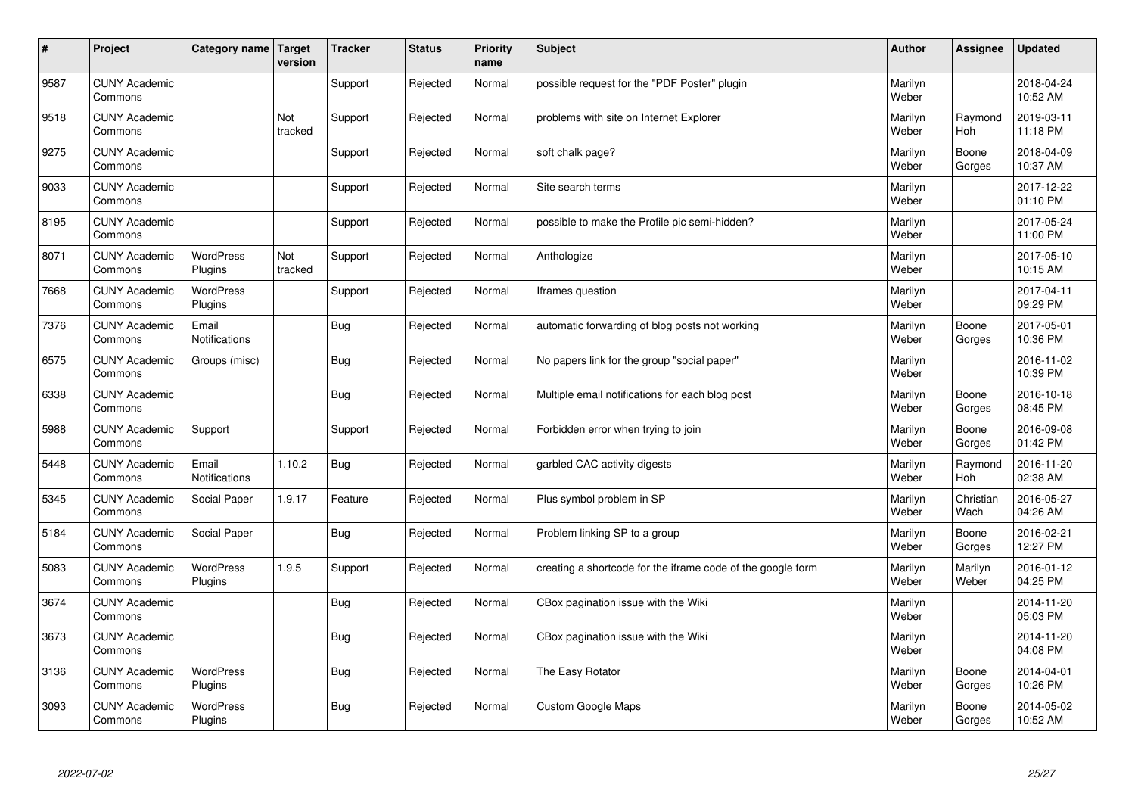| $\sharp$ | Project                         | Category name   Target        | version        | <b>Tracker</b> | <b>Status</b> | <b>Priority</b><br>name | <b>Subject</b>                                              | <b>Author</b>    | Assignee              | <b>Updated</b>         |
|----------|---------------------------------|-------------------------------|----------------|----------------|---------------|-------------------------|-------------------------------------------------------------|------------------|-----------------------|------------------------|
| 9587     | <b>CUNY Academic</b><br>Commons |                               |                | Support        | Rejected      | Normal                  | possible request for the "PDF Poster" plugin                | Marilyn<br>Weber |                       | 2018-04-24<br>10:52 AM |
| 9518     | <b>CUNY Academic</b><br>Commons |                               | Not<br>tracked | Support        | Rejected      | Normal                  | problems with site on Internet Explorer                     | Marilyn<br>Weber | Raymond<br>Hoh        | 2019-03-11<br>11:18 PM |
| 9275     | <b>CUNY Academic</b><br>Commons |                               |                | Support        | Rejected      | Normal                  | soft chalk page?                                            | Marilyn<br>Weber | Boone<br>Gorges       | 2018-04-09<br>10:37 AM |
| 9033     | <b>CUNY Academic</b><br>Commons |                               |                | Support        | Rejected      | Normal                  | Site search terms                                           | Marilyn<br>Weber |                       | 2017-12-22<br>01:10 PM |
| 8195     | <b>CUNY Academic</b><br>Commons |                               |                | Support        | Rejected      | Normal                  | possible to make the Profile pic semi-hidden?               | Marilyn<br>Weber |                       | 2017-05-24<br>11:00 PM |
| 8071     | <b>CUNY Academic</b><br>Commons | <b>WordPress</b><br>Plugins   | Not<br>tracked | Support        | Rejected      | Normal                  | Anthologize                                                 | Marilyn<br>Weber |                       | 2017-05-10<br>10:15 AM |
| 7668     | <b>CUNY Academic</b><br>Commons | <b>WordPress</b><br>Plugins   |                | Support        | Rejected      | Normal                  | Iframes question                                            | Marilyn<br>Weber |                       | 2017-04-11<br>09:29 PM |
| 7376     | <b>CUNY Academic</b><br>Commons | Email<br><b>Notifications</b> |                | Bug            | Rejected      | Normal                  | automatic forwarding of blog posts not working              | Marilyn<br>Weber | Boone<br>Gorges       | 2017-05-01<br>10:36 PM |
| 6575     | <b>CUNY Academic</b><br>Commons | Groups (misc)                 |                | Bug            | Rejected      | Normal                  | No papers link for the group "social paper"                 | Marilyn<br>Weber |                       | 2016-11-02<br>10:39 PM |
| 6338     | <b>CUNY Academic</b><br>Commons |                               |                | Bug            | Rejected      | Normal                  | Multiple email notifications for each blog post             | Marilyn<br>Weber | Boone<br>Gorges       | 2016-10-18<br>08:45 PM |
| 5988     | <b>CUNY Academic</b><br>Commons | Support                       |                | Support        | Rejected      | Normal                  | Forbidden error when trying to join                         | Marilyn<br>Weber | Boone<br>Gorges       | 2016-09-08<br>01:42 PM |
| 5448     | <b>CUNY Academic</b><br>Commons | Email<br><b>Notifications</b> | 1.10.2         | Bug            | Rejected      | Normal                  | garbled CAC activity digests                                | Marilyn<br>Weber | Raymond<br><b>Hoh</b> | 2016-11-20<br>02:38 AM |
| 5345     | <b>CUNY Academic</b><br>Commons | Social Paper                  | 1.9.17         | Feature        | Rejected      | Normal                  | Plus symbol problem in SP                                   | Marilyn<br>Weber | Christian<br>Wach     | 2016-05-27<br>04:26 AM |
| 5184     | <b>CUNY Academic</b><br>Commons | Social Paper                  |                | Bug            | Rejected      | Normal                  | Problem linking SP to a group                               | Marilyn<br>Weber | Boone<br>Gorges       | 2016-02-21<br>12:27 PM |
| 5083     | <b>CUNY Academic</b><br>Commons | WordPress<br>Plugins          | 1.9.5          | Support        | Rejected      | Normal                  | creating a shortcode for the iframe code of the google form | Marilyn<br>Weber | Marilyn<br>Weber      | 2016-01-12<br>04:25 PM |
| 3674     | <b>CUNY Academic</b><br>Commons |                               |                | Bug            | Rejected      | Normal                  | CBox pagination issue with the Wiki                         | Marilyn<br>Weber |                       | 2014-11-20<br>05:03 PM |
| 3673     | <b>CUNY Academic</b><br>Commons |                               |                | Bug            | Rejected      | Normal                  | CBox pagination issue with the Wiki                         | Marilyn<br>Weber |                       | 2014-11-20<br>04:08 PM |
| 3136     | <b>CUNY Academic</b><br>Commons | WordPress<br>Plugins          |                | <b>Bug</b>     | Rejected      | Normal                  | The Easy Rotator                                            | Marilyn<br>Weber | Boone<br>Gorges       | 2014-04-01<br>10:26 PM |
| 3093     | <b>CUNY Academic</b><br>Commons | WordPress<br>Plugins          |                | <b>Bug</b>     | Rejected      | Normal                  | Custom Google Maps                                          | Marilyn<br>Weber | Boone<br>Gorges       | 2014-05-02<br>10:52 AM |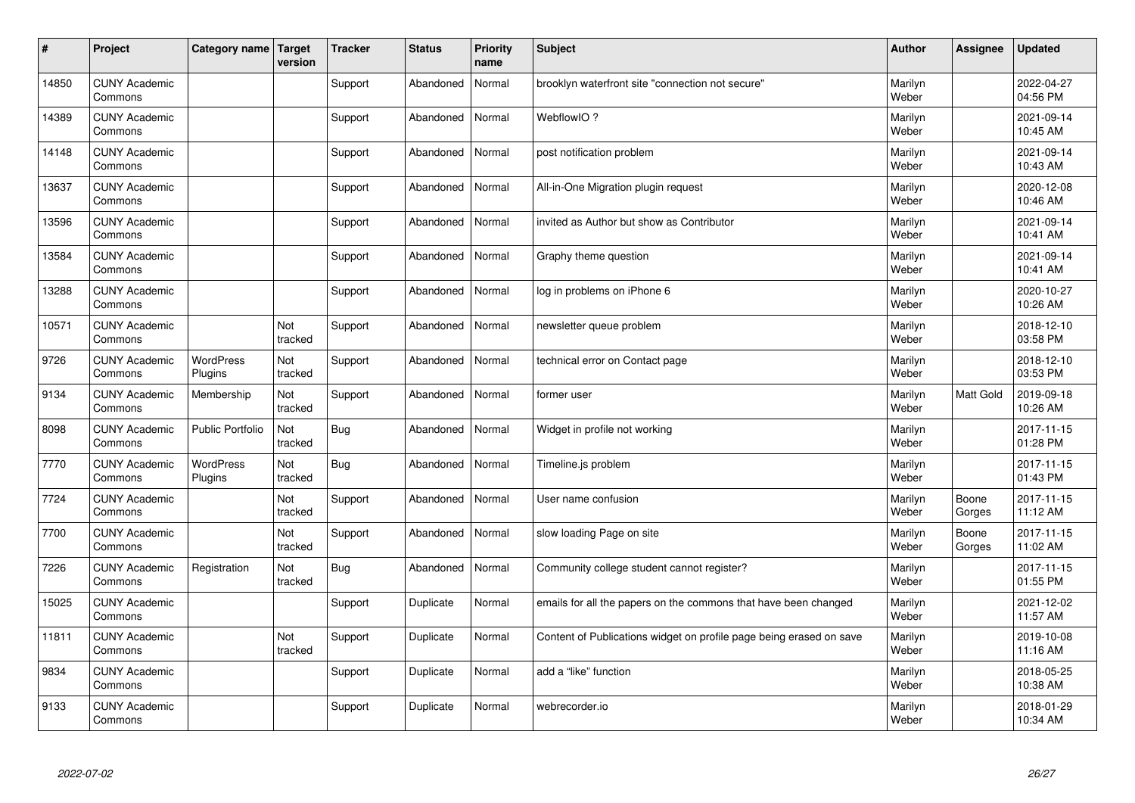| #     | Project                         | Category name   Target      | version        | <b>Tracker</b> | <b>Status</b> | <b>Priority</b><br>name | <b>Subject</b>                                                      | <b>Author</b>    | Assignee        | <b>Updated</b>         |
|-------|---------------------------------|-----------------------------|----------------|----------------|---------------|-------------------------|---------------------------------------------------------------------|------------------|-----------------|------------------------|
| 14850 | <b>CUNY Academic</b><br>Commons |                             |                | Support        | Abandoned     | Normal                  | brooklyn waterfront site "connection not secure"                    | Marilyn<br>Weber |                 | 2022-04-27<br>04:56 PM |
| 14389 | <b>CUNY Academic</b><br>Commons |                             |                | Support        | Abandoned     | Normal                  | WebflowIO?                                                          | Marilyn<br>Weber |                 | 2021-09-14<br>10:45 AM |
| 14148 | <b>CUNY Academic</b><br>Commons |                             |                | Support        | Abandoned     | Normal                  | post notification problem                                           | Marilyn<br>Weber |                 | 2021-09-14<br>10:43 AM |
| 13637 | <b>CUNY Academic</b><br>Commons |                             |                | Support        | Abandoned     | Normal                  | All-in-One Migration plugin request                                 | Marilyn<br>Weber |                 | 2020-12-08<br>10:46 AM |
| 13596 | <b>CUNY Academic</b><br>Commons |                             |                | Support        | Abandoned     | Normal                  | invited as Author but show as Contributor                           | Marilyn<br>Weber |                 | 2021-09-14<br>10:41 AM |
| 13584 | <b>CUNY Academic</b><br>Commons |                             |                | Support        | Abandoned     | Normal                  | Graphy theme question                                               | Marilyn<br>Weber |                 | 2021-09-14<br>10:41 AM |
| 13288 | <b>CUNY Academic</b><br>Commons |                             |                | Support        | Abandoned     | Normal                  | log in problems on iPhone 6                                         | Marilyn<br>Weber |                 | 2020-10-27<br>10:26 AM |
| 10571 | <b>CUNY Academic</b><br>Commons |                             | Not<br>tracked | Support        | Abandoned     | Normal                  | newsletter queue problem                                            | Marilyn<br>Weber |                 | 2018-12-10<br>03:58 PM |
| 9726  | <b>CUNY Academic</b><br>Commons | <b>WordPress</b><br>Plugins | Not<br>tracked | Support        | Abandoned     | Normal                  | technical error on Contact page                                     | Marilyn<br>Weber |                 | 2018-12-10<br>03:53 PM |
| 9134  | <b>CUNY Academic</b><br>Commons | Membership                  | Not<br>tracked | Support        | Abandoned     | Normal                  | former user                                                         | Marilyn<br>Weber | Matt Gold       | 2019-09-18<br>10:26 AM |
| 8098  | <b>CUNY Academic</b><br>Commons | <b>Public Portfolio</b>     | Not<br>tracked | <b>Bug</b>     | Abandoned     | Normal                  | Widget in profile not working                                       | Marilyn<br>Weber |                 | 2017-11-15<br>01:28 PM |
| 7770  | <b>CUNY Academic</b><br>Commons | WordPress<br>Plugins        | Not<br>tracked | <b>Bug</b>     | Abandoned     | Normal                  | Timeline.js problem                                                 | Marilyn<br>Weber |                 | 2017-11-15<br>01:43 PM |
| 7724  | <b>CUNY Academic</b><br>Commons |                             | Not<br>tracked | Support        | Abandoned     | Normal                  | User name confusion                                                 | Marilyn<br>Weber | Boone<br>Gorges | 2017-11-15<br>11:12 AM |
| 7700  | <b>CUNY Academic</b><br>Commons |                             | Not<br>tracked | Support        | Abandoned     | Normal                  | slow loading Page on site                                           | Marilyn<br>Weber | Boone<br>Gorges | 2017-11-15<br>11:02 AM |
| 7226  | <b>CUNY Academic</b><br>Commons | Registration                | Not<br>tracked | Bug            | Abandoned     | Normal                  | Community college student cannot register?                          | Marilyn<br>Weber |                 | 2017-11-15<br>01:55 PM |
| 15025 | <b>CUNY Academic</b><br>Commons |                             |                | Support        | Duplicate     | Normal                  | emails for all the papers on the commons that have been changed     | Marilyn<br>Weber |                 | 2021-12-02<br>11:57 AM |
| 11811 | <b>CUNY Academic</b><br>Commons |                             | Not<br>tracked | Support        | Duplicate     | Normal                  | Content of Publications widget on profile page being erased on save | Marilyn<br>Weber |                 | 2019-10-08<br>11:16 AM |
| 9834  | <b>CUNY Academic</b><br>Commons |                             |                | Support        | Duplicate     | Normal                  | add a "like" function                                               | Marilyn<br>Weber |                 | 2018-05-25<br>10:38 AM |
| 9133  | <b>CUNY Academic</b><br>Commons |                             |                | Support        | Duplicate     | Normal                  | webrecorder.io                                                      | Marilyn<br>Weber |                 | 2018-01-29<br>10:34 AM |